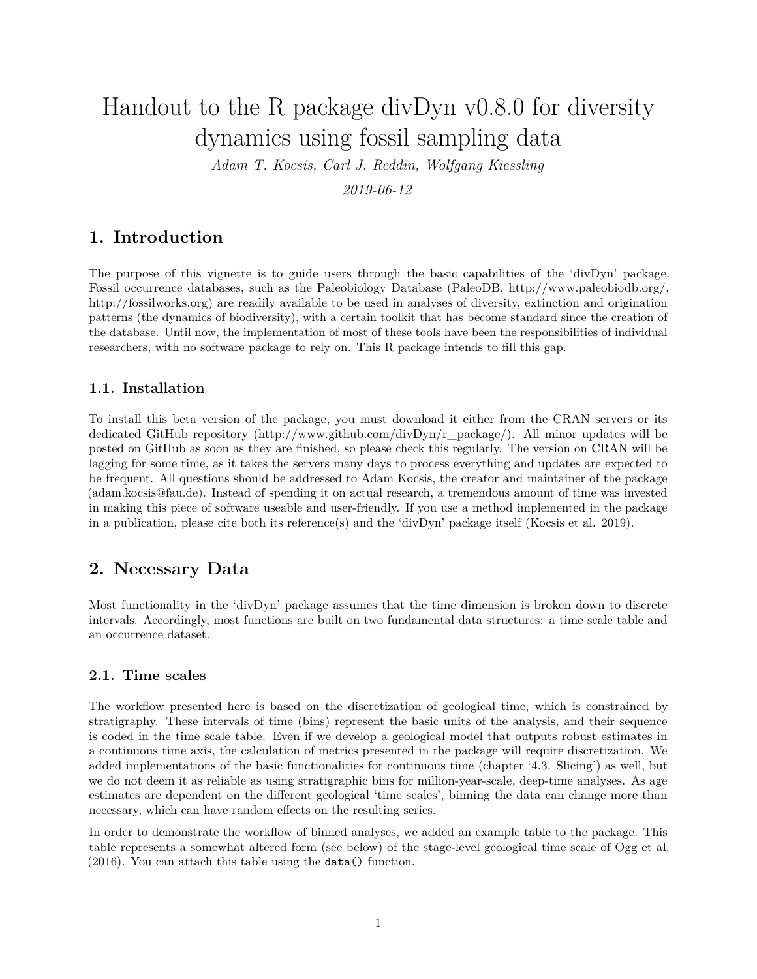# Handout to the R package divDyn v0.8.0 for diversity dynamics using fossil sampling data

*Adam T. Kocsis, Carl J. Reddin, Wolfgang Kiessling*

*2019-06-12*

## **1. Introduction**

The purpose of this vignette is to guide users through the basic capabilities of the 'divDyn' package. Fossil occurrence databases, such as the Paleobiology Database (PaleoDB, http://www.paleobiodb.org/, http://fossilworks.org) are readily available to be used in analyses of diversity, extinction and origination patterns (the dynamics of biodiversity), with a certain toolkit that has become standard since the creation of the database. Until now, the implementation of most of these tools have been the responsibilities of individual researchers, with no software package to rely on. This R package intends to fill this gap.

## **1.1. Installation**

To install this beta version of the package, you must download it either from the CRAN servers or its dedicated GitHub repository (http://www.github.com/divDyn/r\_package/). All minor updates will be posted on GitHub as soon as they are finished, so please check this regularly. The version on CRAN will be lagging for some time, as it takes the servers many days to process everything and updates are expected to be frequent. All questions should be addressed to Adam Kocsis, the creator and maintainer of the package (adam.kocsis@fau.de). Instead of spending it on actual research, a tremendous amount of time was invested in making this piece of software useable and user-friendly. If you use a method implemented in the package in a publication, please cite both its reference(s) and the 'divDyn' package itself (Kocsis et al. 2019).

## **2. Necessary Data**

Most functionality in the 'divDyn' package assumes that the time dimension is broken down to discrete intervals. Accordingly, most functions are built on two fundamental data structures: a time scale table and an occurrence dataset.

## **2.1. Time scales**

The workflow presented here is based on the discretization of geological time, which is constrained by stratigraphy. These intervals of time (bins) represent the basic units of the analysis, and their sequence is coded in the time scale table. Even if we develop a geological model that outputs robust estimates in a continuous time axis, the calculation of metrics presented in the package will require discretization. We added implementations of the basic functionalities for continuous time (chapter '4.3. Slicing') as well, but we do not deem it as reliable as using stratigraphic bins for million-year-scale, deep-time analyses. As age estimates are dependent on the different geological 'time scales', binning the data can change more than necessary, which can have random effects on the resulting series.

In order to demonstrate the workflow of binned analyses, we added an example table to the package. This table represents a somewhat altered form (see below) of the stage-level geological time scale of Ogg et al. (2016). You can attach this table using the data() function.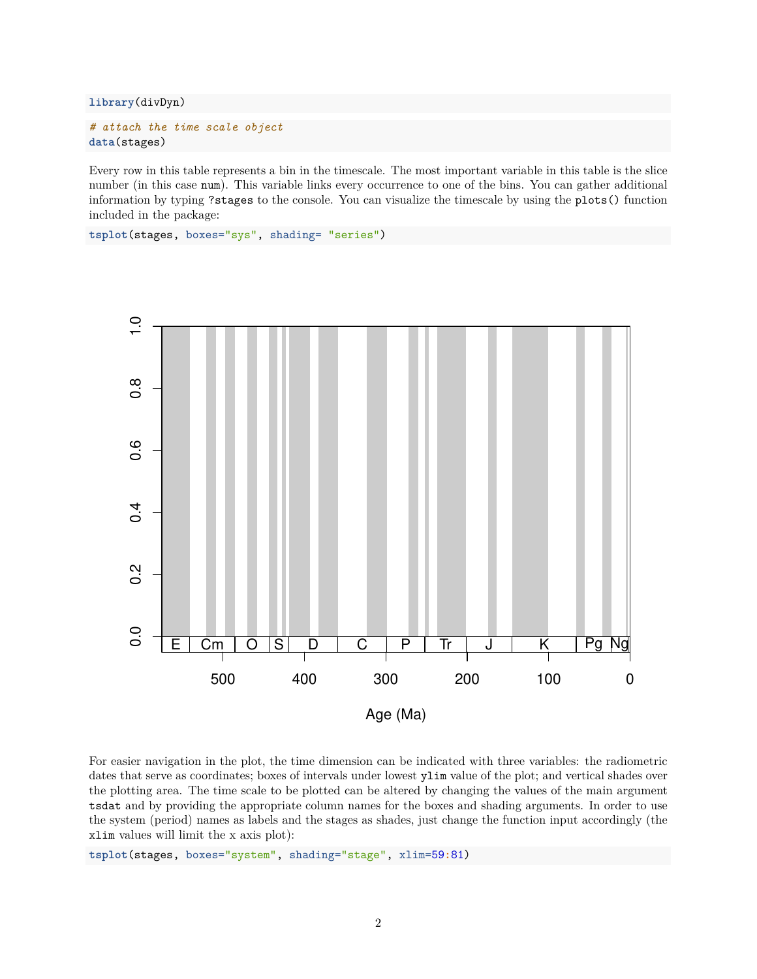**library**(divDyn)

```
# attach the time scale object
data(stages)
```
Every row in this table represents a bin in the timescale. The most important variable in this table is the slice number (in this case num). This variable links every occurrence to one of the bins. You can gather additional information by typing ?stages to the console. You can visualize the timescale by using the plots() function included in the package:

**tsplot**(stages, boxes="sys", shading= "series")



For easier navigation in the plot, the time dimension can be indicated with three variables: the radiometric dates that serve as coordinates; boxes of intervals under lowest ylim value of the plot; and vertical shades over the plotting area. The time scale to be plotted can be altered by changing the values of the main argument tsdat and by providing the appropriate column names for the boxes and shading arguments. In order to use the system (period) names as labels and the stages as shades, just change the function input accordingly (the xlim values will limit the x axis plot):

**tsplot**(stages, boxes="system", shading="stage", xlim=59**:**81)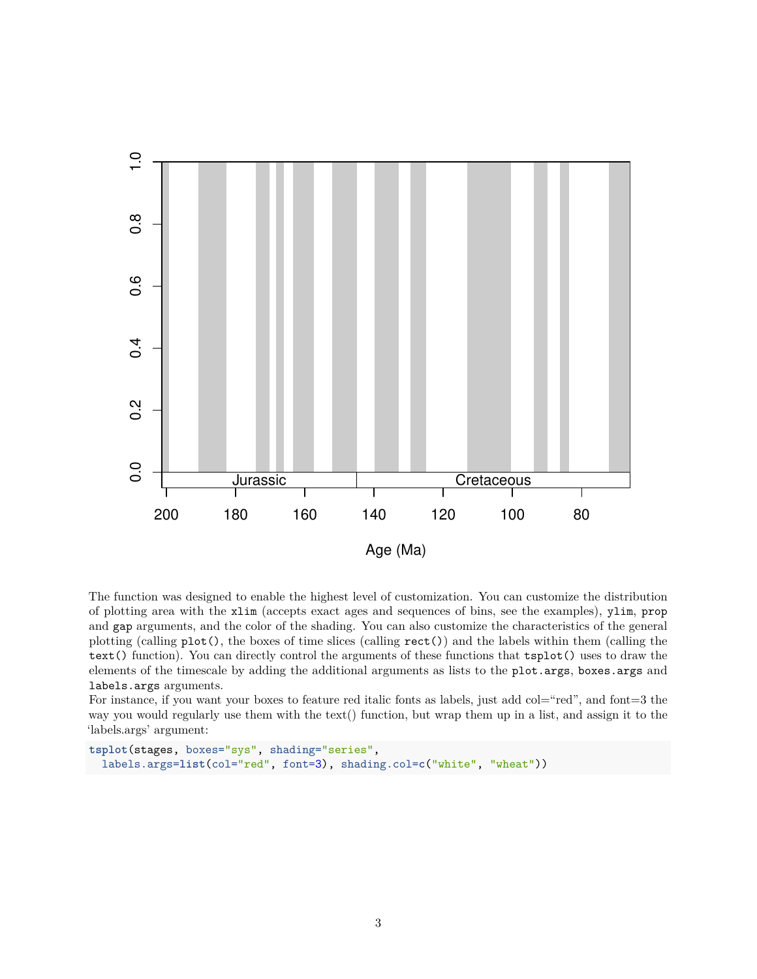

The function was designed to enable the highest level of customization. You can customize the distribution of plotting area with the xlim (accepts exact ages and sequences of bins, see the examples), ylim, prop and gap arguments, and the color of the shading. You can also customize the characteristics of the general plotting (calling plot(), the boxes of time slices (calling rect()) and the labels within them (calling the text() function). You can directly control the arguments of these functions that tsplot() uses to draw the elements of the timescale by adding the additional arguments as lists to the plot.args, boxes.args and labels.args arguments.

For instance, if you want your boxes to feature red italic fonts as labels, just add col="red", and font=3 the way you would regularly use them with the text() function, but wrap them up in a list, and assign it to the 'labels.args' argument:

```
tsplot(stages, boxes="sys", shading="series",
  labels.args=list(col="red", font=3), shading.col=c("white", "wheat"))
```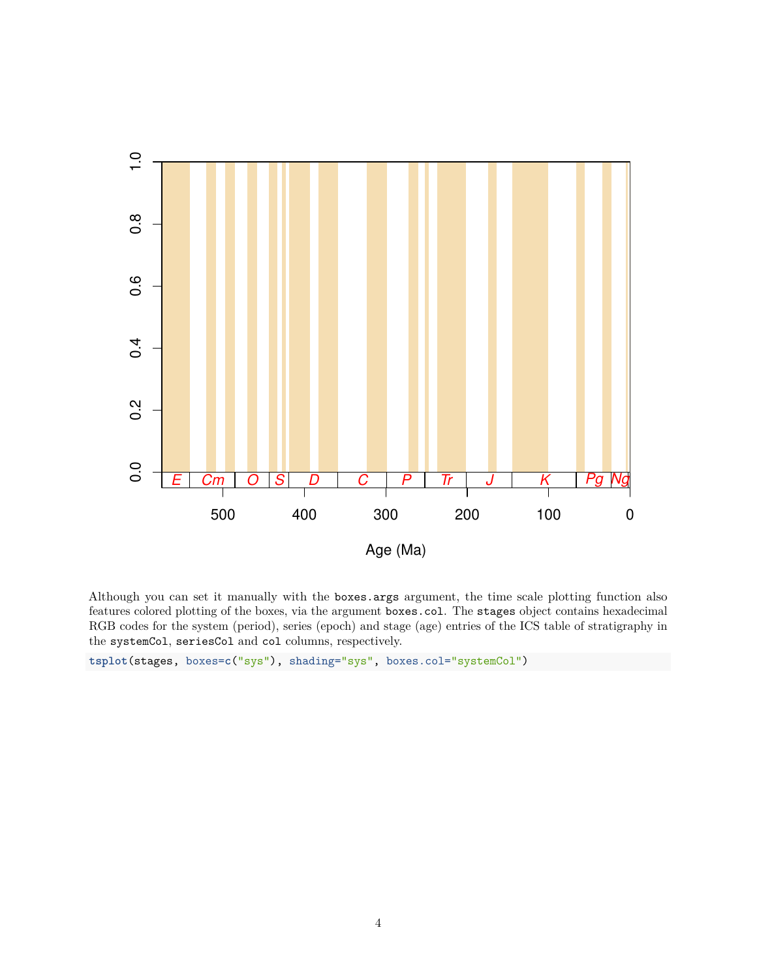

Although you can set it manually with the boxes.args argument, the time scale plotting function also features colored plotting of the boxes, via the argument boxes.col. The stages object contains hexadecimal RGB codes for the system (period), series (epoch) and stage (age) entries of the ICS table of stratigraphy in the systemCol, seriesCol and col columns, respectively.

**tsplot**(stages, boxes=**c**("sys"), shading="sys", boxes.col="systemCol")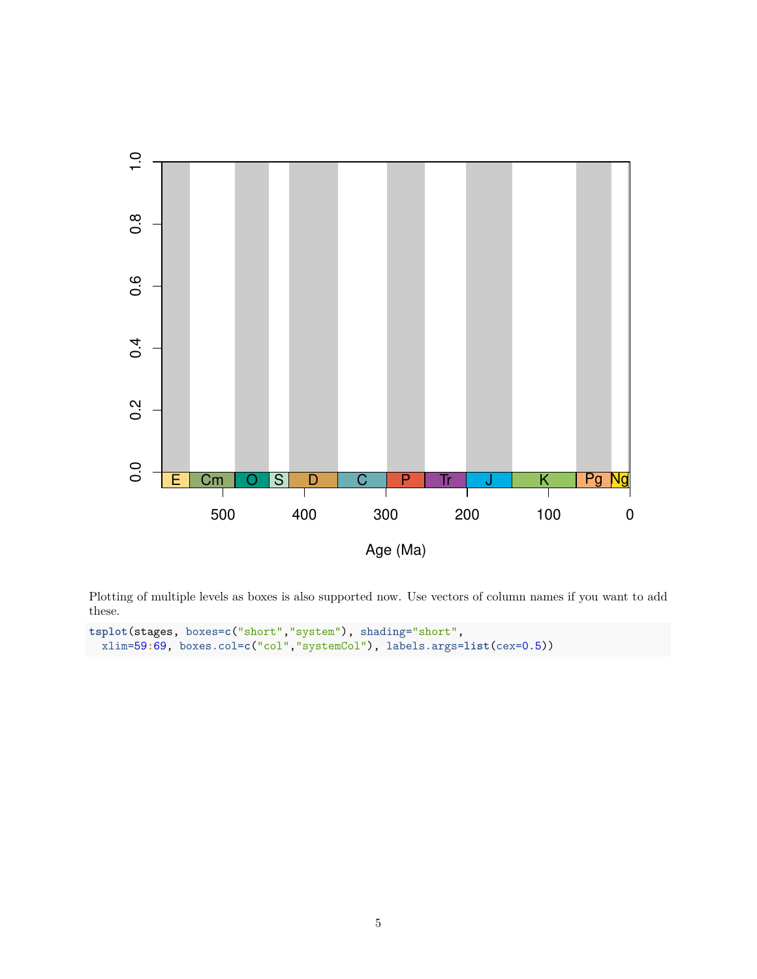

Plotting of multiple levels as boxes is also supported now. Use vectors of column names if you want to add these.

```
tsplot(stages, boxes=c("short","system"), shading="short",
 xlim=59:69, boxes.col=c("col","systemCol"), labels.args=list(cex=0.5))
```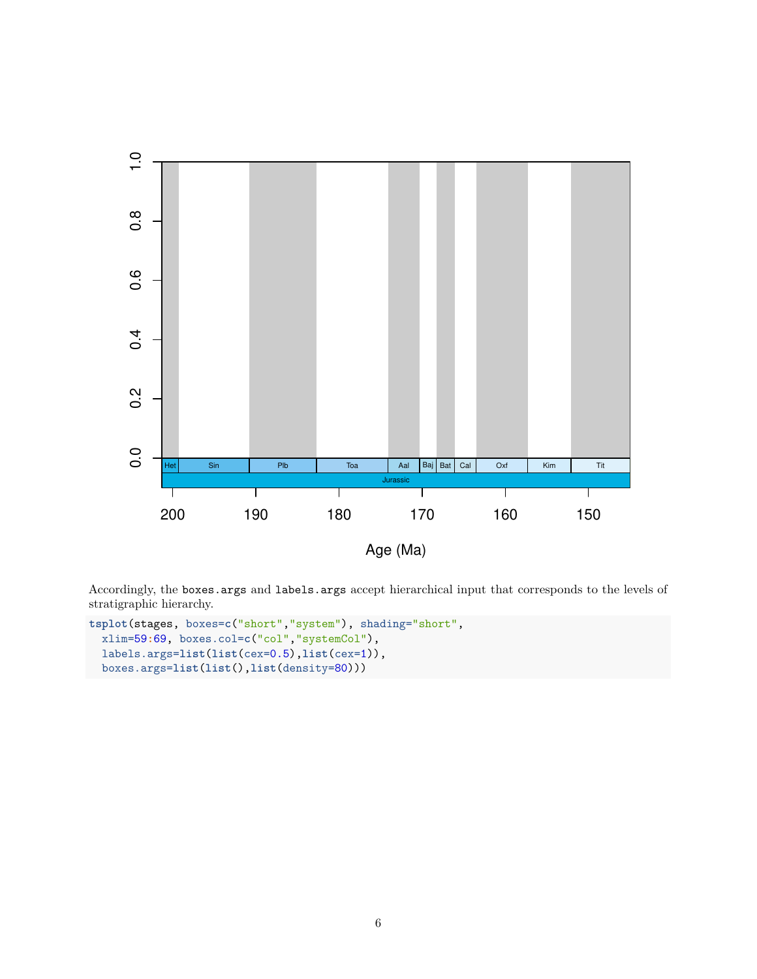

Accordingly, the boxes.args and labels.args accept hierarchical input that corresponds to the levels of stratigraphic hierarchy.

```
tsplot(stages, boxes=c("short","system"), shading="short",
  xlim=59:69, boxes.col=c("col","systemCol"),
 labels.args=list(list(cex=0.5),list(cex=1)),
  boxes.args=list(list(),list(density=80)))
```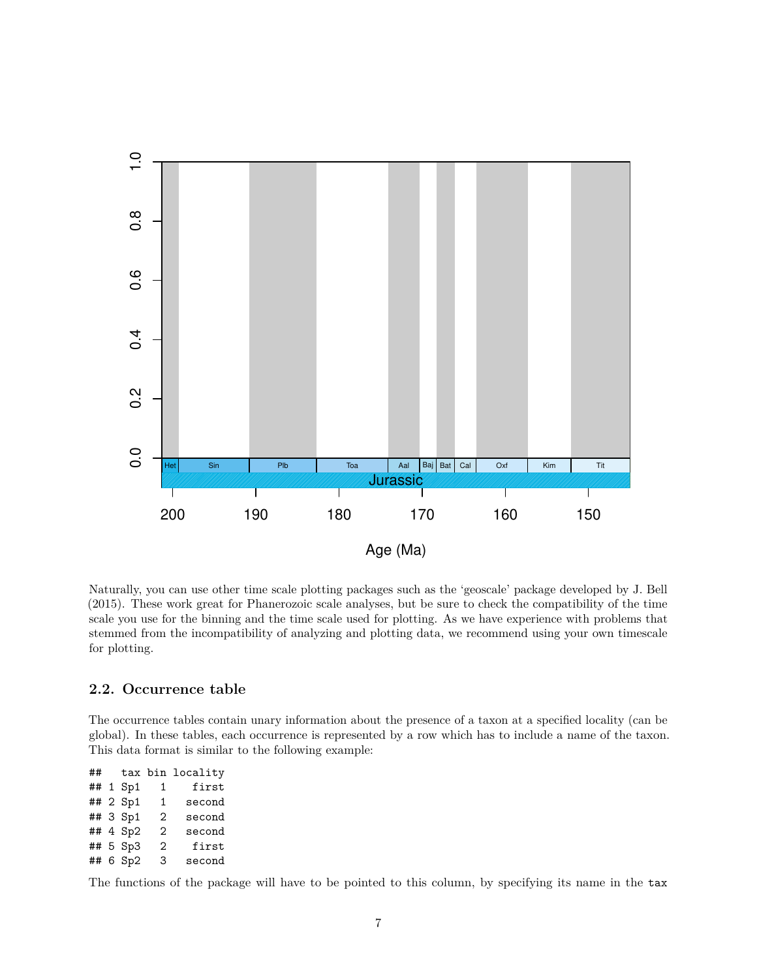

Naturally, you can use other time scale plotting packages such as the 'geoscale' package developed by J. Bell (2015). These work great for Phanerozoic scale analyses, but be sure to check the compatibility of the time scale you use for the binning and the time scale used for plotting. As we have experience with problems that stemmed from the incompatibility of analyzing and plotting data, we recommend using your own timescale for plotting.

## **2.2. Occurrence table**

The occurrence tables contain unary information about the presence of a taxon at a specified locality (can be global). In these tables, each occurrence is represented by a row which has to include a name of the taxon. This data format is similar to the following example:

## tax bin locality ## 1 Sp1 1 first ## 2 Sp1 1 second ## 3 Sp1 2 second ## 4 Sp2 2 second ## 5 Sp3 2 first ## 6 Sp2 3 second

The functions of the package will have to be pointed to this column, by specifying its name in the tax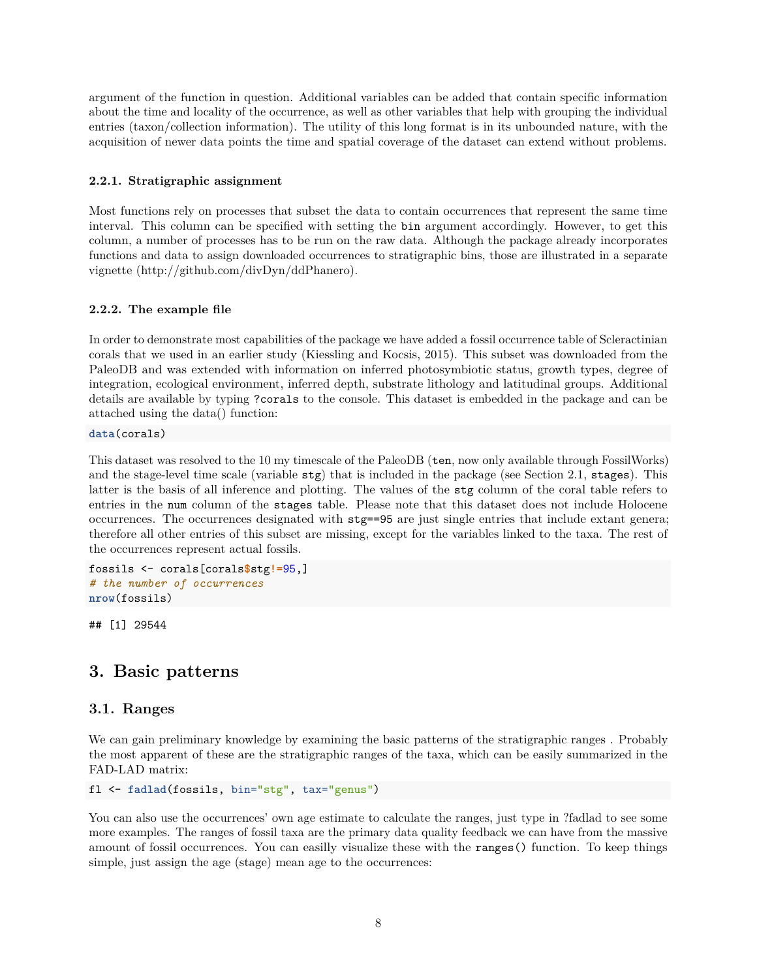argument of the function in question. Additional variables can be added that contain specific information about the time and locality of the occurrence, as well as other variables that help with grouping the individual entries (taxon/collection information). The utility of this long format is in its unbounded nature, with the acquisition of newer data points the time and spatial coverage of the dataset can extend without problems.

### **2.2.1. Stratigraphic assignment**

Most functions rely on processes that subset the data to contain occurrences that represent the same time interval. This column can be specified with setting the bin argument accordingly. However, to get this column, a number of processes has to be run on the raw data. Although the package already incorporates functions and data to assign downloaded occurrences to stratigraphic bins, those are illustrated in a separate vignette (http://github.com/divDyn/ddPhanero).

## **2.2.2. The example file**

In order to demonstrate most capabilities of the package we have added a fossil occurrence table of Scleractinian corals that we used in an earlier study (Kiessling and Kocsis, 2015). This subset was downloaded from the PaleoDB and was extended with information on inferred photosymbiotic status, growth types, degree of integration, ecological environment, inferred depth, substrate lithology and latitudinal groups. Additional details are available by typing ?corals to the console. This dataset is embedded in the package and can be attached using the data() function:

**data**(corals)

This dataset was resolved to the 10 my timescale of the PaleoDB (ten, now only available through FossilWorks) and the stage-level time scale (variable stg) that is included in the package (see Section 2.1, stages). This latter is the basis of all inference and plotting. The values of the stg column of the coral table refers to entries in the num column of the stages table. Please note that this dataset does not include Holocene occurrences. The occurrences designated with stg==95 are just single entries that include extant genera; therefore all other entries of this subset are missing, except for the variables linked to the taxa. The rest of the occurrences represent actual fossils.

```
fossils <- corals[corals$stg!=95,]
# the number of occurrences
nrow(fossils)
```
## [1] 29544

## **3. Basic patterns**

## **3.1. Ranges**

We can gain preliminary knowledge by examining the basic patterns of the stratigraphic ranges . Probably the most apparent of these are the stratigraphic ranges of the taxa, which can be easily summarized in the FAD-LAD matrix:

```
fl <- fadlad(fossils, bin="stg", tax="genus")
```
You can also use the occurrences' own age estimate to calculate the ranges, just type in ?fadlad to see some more examples. The ranges of fossil taxa are the primary data quality feedback we can have from the massive amount of fossil occurrences. You can easilly visualize these with the ranges() function. To keep things simple, just assign the age (stage) mean age to the occurrences: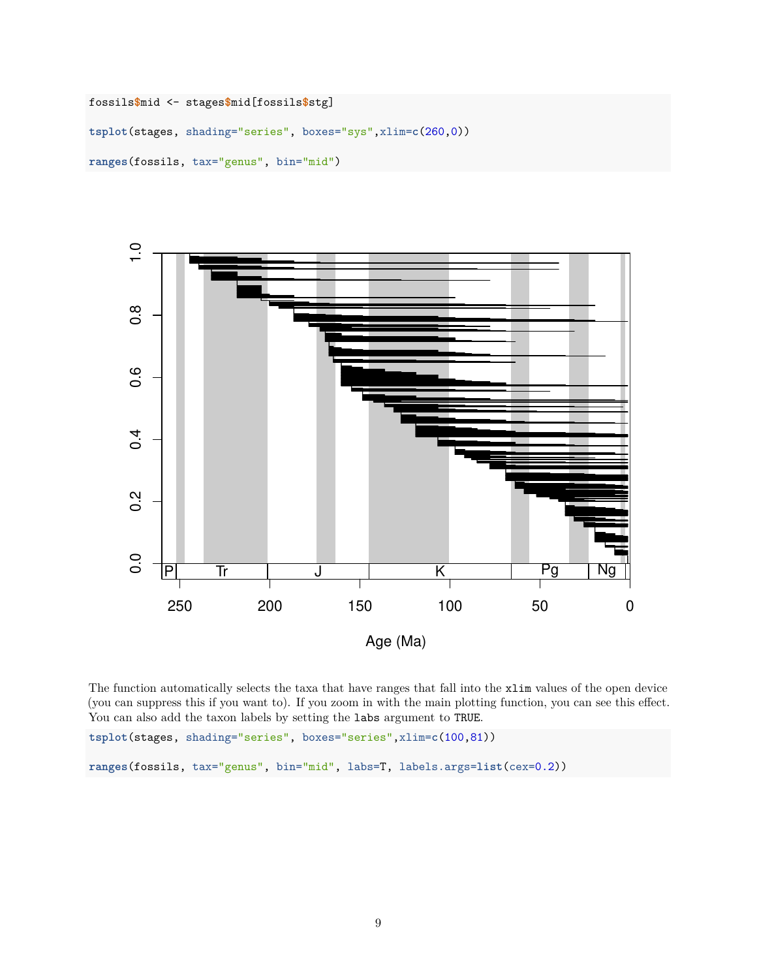```
fossils$mid <- stages$mid[fossils$stg]
tsplot(stages, shading="series", boxes="sys",xlim=c(260,0))
ranges(fossils, tax="genus", bin="mid")
```


The function automatically selects the taxa that have ranges that fall into the xlim values of the open device (you can suppress this if you want to). If you zoom in with the main plotting function, you can see this effect. You can also add the taxon labels by setting the labs argument to TRUE.

**tsplot**(stages, shading="series", boxes="series",xlim=**c**(100,81))

**ranges**(fossils, tax="genus", bin="mid", labs=T, labels.args=**list**(cex=0.2))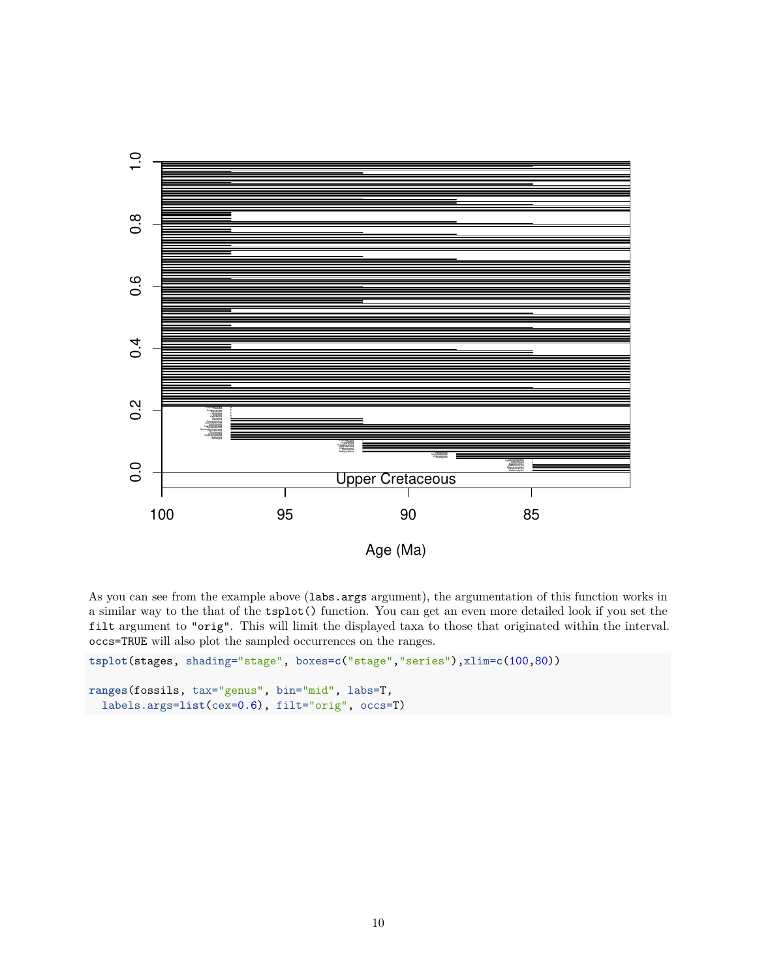

As you can see from the example above (labs.args argument), the argumentation of this function works in a similar way to the that of the tsplot() function. You can get an even more detailed look if you set the filt argument to "orig". This will limit the displayed taxa to those that originated within the interval. occs=TRUE will also plot the sampled occurrences on the ranges.

```
tsplot(stages, shading="stage", boxes=c("stage","series"),xlim=c(100,80))
ranges(fossils, tax="genus", bin="mid", labs=T,
  labels.args=list(cex=0.6), filt="orig", occs=T)
```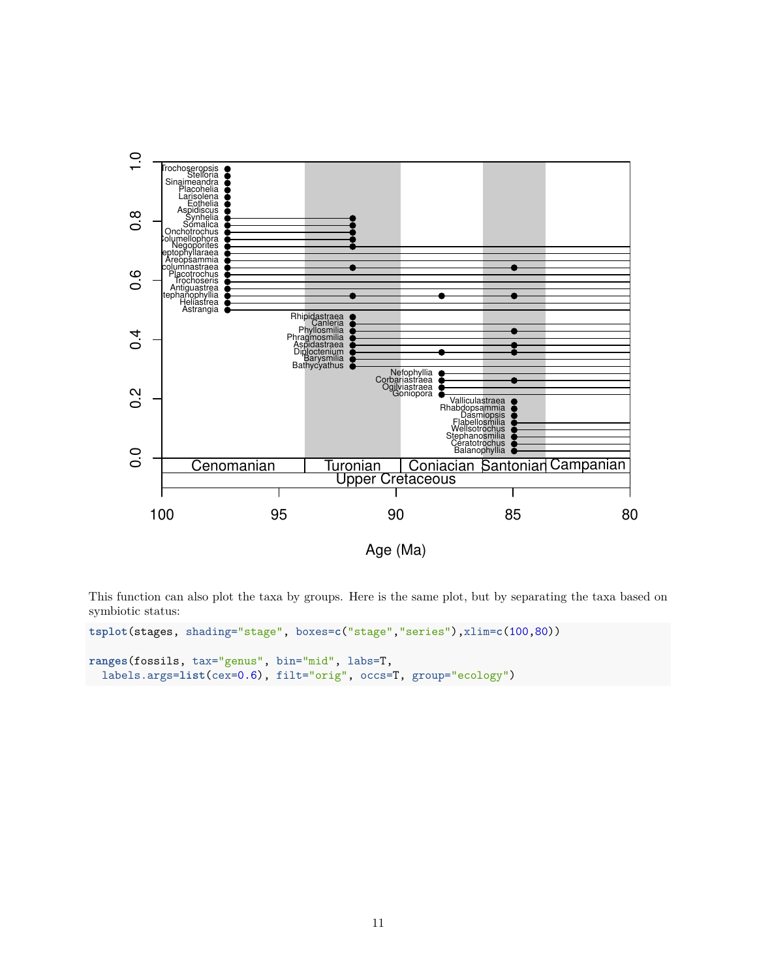

This function can also plot the taxa by groups. Here is the same plot, but by separating the taxa based on symbiotic status:

```
tsplot(stages, shading="stage", boxes=c("stage","series"),xlim=c(100,80))
ranges(fossils, tax="genus", bin="mid", labs=T,
  labels.args=list(cex=0.6), filt="orig", occs=T, group="ecology")
```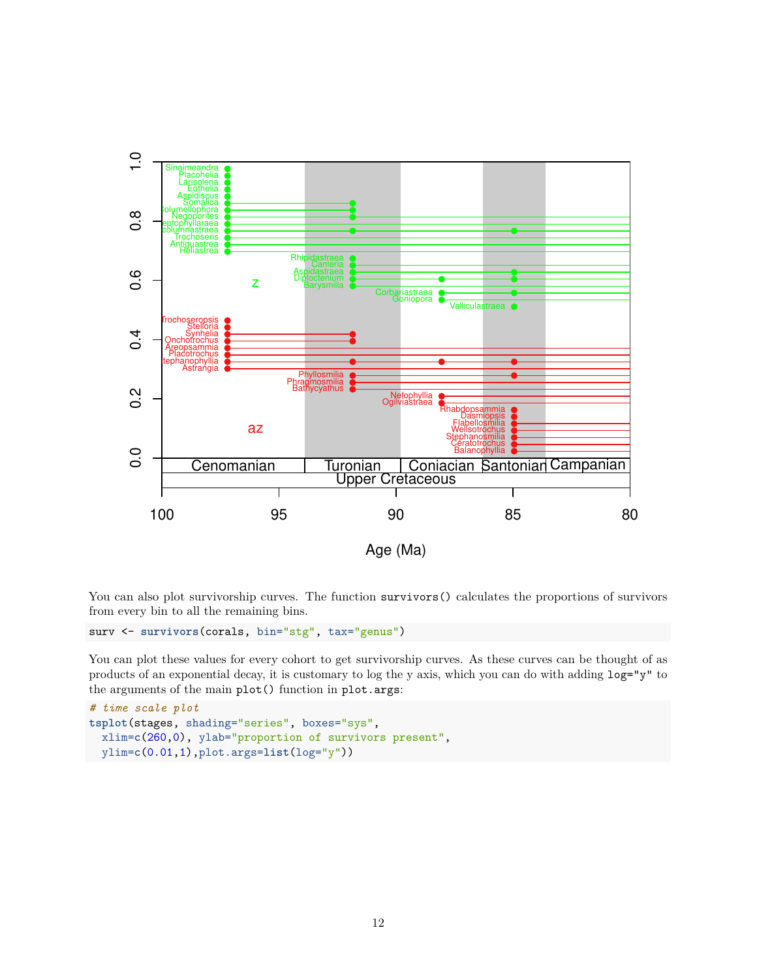

You can also plot survivorship curves. The function survivors() calculates the proportions of survivors from every bin to all the remaining bins.

surv <- **survivors**(corals, bin="stg", tax="genus")

You can plot these values for every cohort to get survivorship curves. As these curves can be thought of as products of an exponential decay, it is customary to log the y axis, which you can do with adding log="y" to the arguments of the main plot() function in plot.args:

```
# time scale plot
tsplot(stages, shading="series", boxes="sys",
  xlim=c(260,0), ylab="proportion of survivors present",
  ylim=c(0.01,1),plot.args=list(log="y"))
```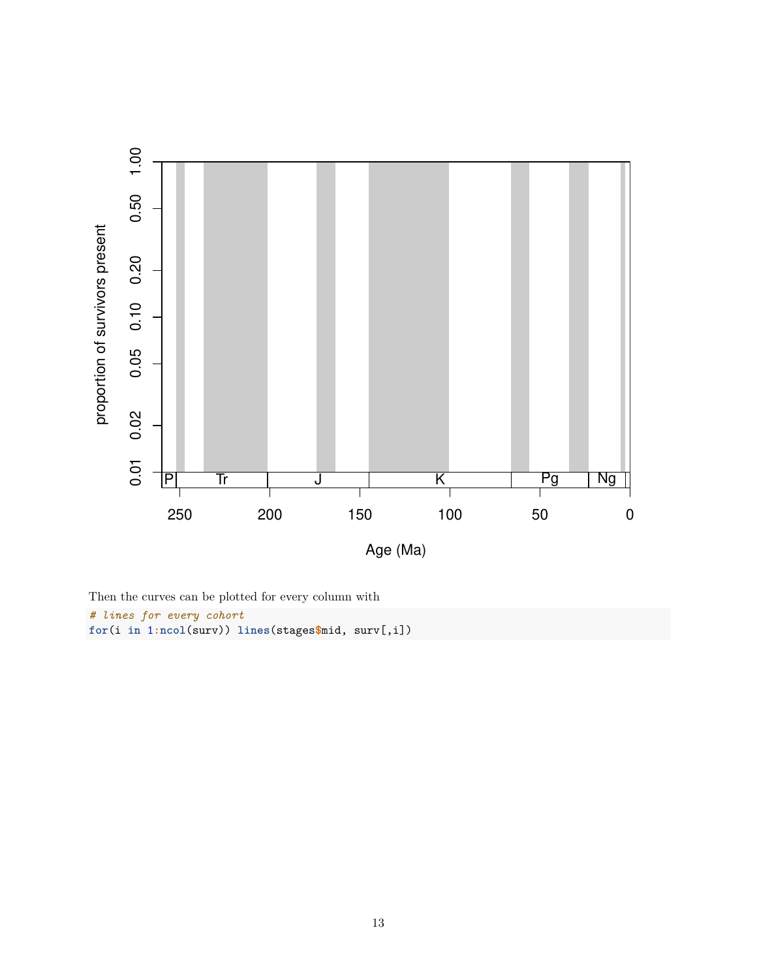

Then the curves can be plotted for every column with *# lines for every cohort* **for**(i **in** 1**:ncol**(surv)) **lines**(stages**\$**mid, surv[,i])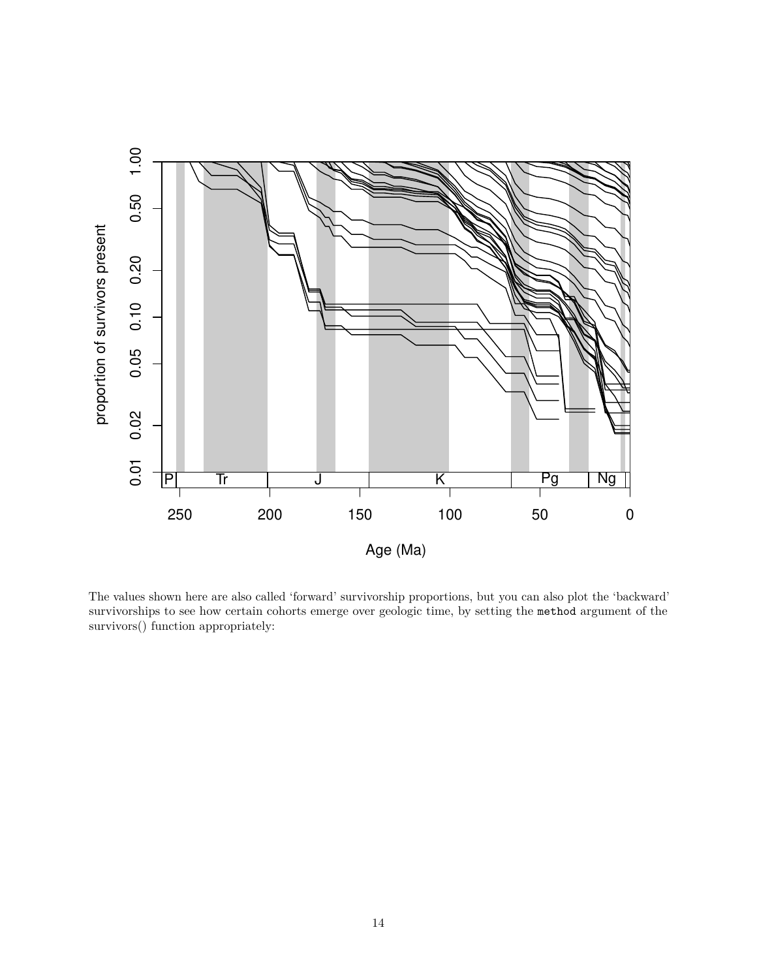

The values shown here are also called 'forward' survivorship proportions, but you can also plot the 'backward' survivorships to see how certain cohorts emerge over geologic time, by setting the method argument of the survivors() function appropriately: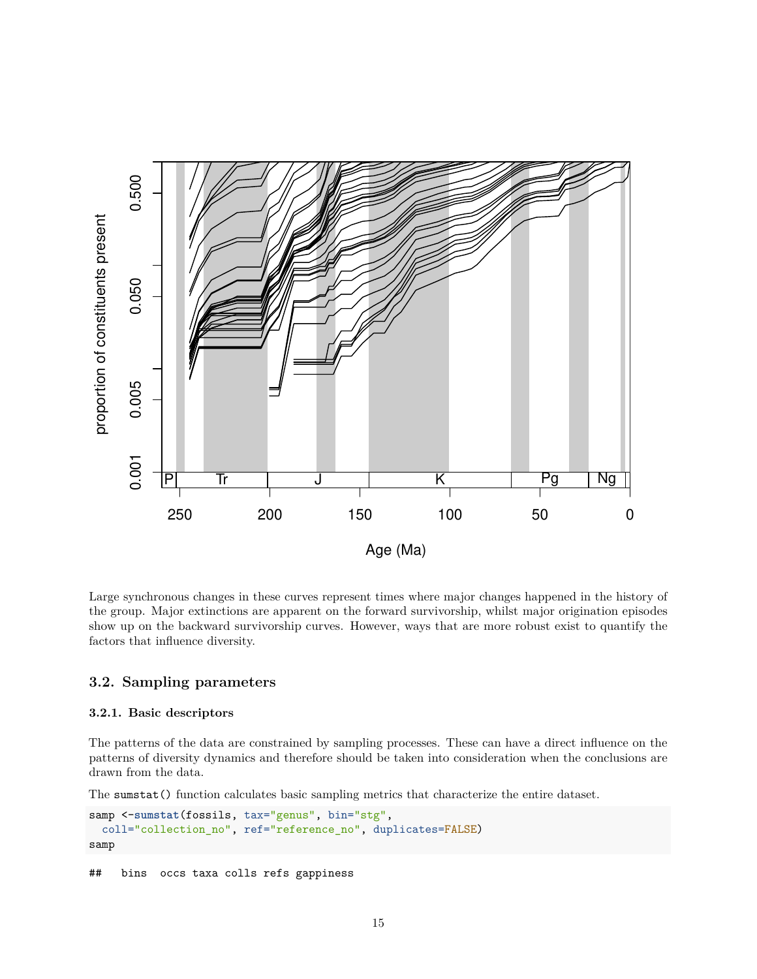

Large synchronous changes in these curves represent times where major changes happened in the history of the group. Major extinctions are apparent on the forward survivorship, whilst major origination episodes show up on the backward survivorship curves. However, ways that are more robust exist to quantify the factors that influence diversity.

## **3.2. Sampling parameters**

### **3.2.1. Basic descriptors**

The patterns of the data are constrained by sampling processes. These can have a direct influence on the patterns of diversity dynamics and therefore should be taken into consideration when the conclusions are drawn from the data.

The sumstat() function calculates basic sampling metrics that characterize the entire dataset.

```
samp <-sumstat(fossils, tax="genus", bin="stg",
  coll="collection_no", ref="reference_no", duplicates=FALSE)
samp
```
## bins occs taxa colls refs gappiness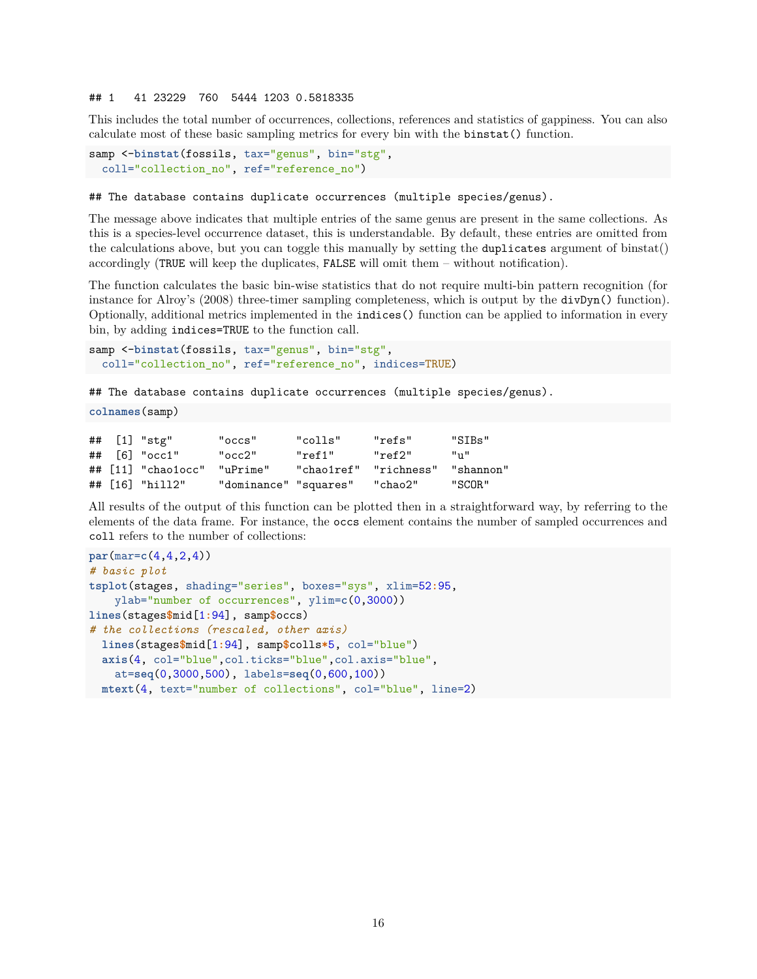#### ## 1 41 23229 760 5444 1203 0.5818335

This includes the total number of occurrences, collections, references and statistics of gappiness. You can also calculate most of these basic sampling metrics for every bin with the binstat() function.

```
samp <-binstat(fossils, tax="genus", bin="stg",
  coll="collection_no", ref="reference_no")
```
## The database contains duplicate occurrences (multiple species/genus).

The message above indicates that multiple entries of the same genus are present in the same collections. As this is a species-level occurrence dataset, this is understandable. By default, these entries are omitted from the calculations above, but you can toggle this manually by setting the duplicates argument of binstat() accordingly (TRUE will keep the duplicates, FALSE will omit them – without notification).

The function calculates the basic bin-wise statistics that do not require multi-bin pattern recognition (for instance for Alroy's (2008) three-timer sampling completeness, which is output by the divDyn() function). Optionally, additional metrics implemented in the indices() function can be applied to information in every bin, by adding indices=TRUE to the function call.

```
samp <-binstat(fossils, tax="genus", bin="stg",
  coll="collection_no", ref="reference_no", indices=TRUE)
```
## The database contains duplicate occurrences (multiple species/genus).

```
colnames(samp)
```

|  | ## [1] "stg"                            | "occs"                | "colls"    | "refs"     | "STRs"      |
|--|-----------------------------------------|-----------------------|------------|------------|-------------|
|  | $\#$ $\#$ $\hbox{6}$ $\#$ $\hbox{occ1}$ | "occ2"                | "ref1"     | "ref2"     | $11_{11}11$ |
|  | $\#$ $\#$ $\lceil$ 11] "chao1occ"       | "uPrime"              | "chao1ref" | "richness" | "shannon"   |
|  | ## [16] "hill2"                         | "dominance" "squares" |            | "chao2"    | "SCOR"      |

All results of the output of this function can be plotted then in a straightforward way, by referring to the elements of the data frame. For instance, the occs element contains the number of sampled occurrences and coll refers to the number of collections:

```
par(mar=c(4,4,2,4))
# basic plot
tsplot(stages, shading="series", boxes="sys", xlim=52:95,
   ylab="number of occurrences", ylim=c(0,3000))
lines(stages$mid[1:94], samp$occs)
# the collections (rescaled, other axis)
  lines(stages$mid[1:94], samp$colls*5, col="blue")
  axis(4, col="blue",col.ticks="blue",col.axis="blue",
    at=seq(0,3000,500), labels=seq(0,600,100))
  mtext(4, text="number of collections", col="blue", line=2)
```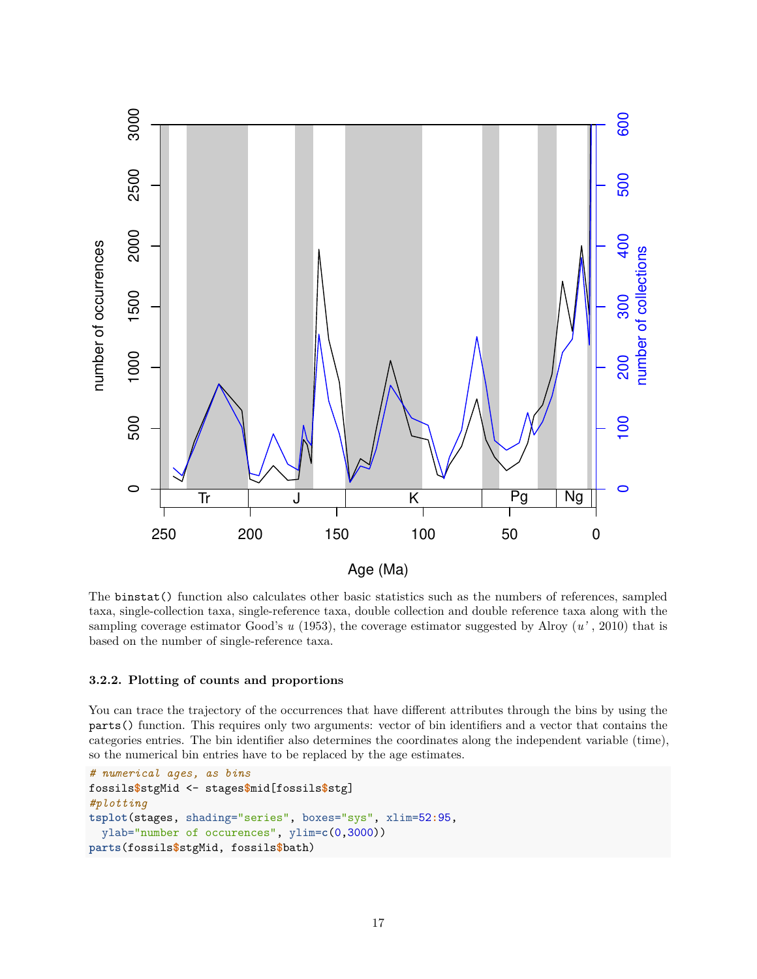

The binstat() function also calculates other basic statistics such as the numbers of references, sampled taxa, single-collection taxa, single-reference taxa, double collection and double reference taxa along with the sampling coverage estimator Good's *u* (1953), the coverage estimator suggested by Alroy (*u'* , 2010) that is based on the number of single-reference taxa.

### **3.2.2. Plotting of counts and proportions**

You can trace the trajectory of the occurrences that have different attributes through the bins by using the parts() function. This requires only two arguments: vector of bin identifiers and a vector that contains the categories entries. The bin identifier also determines the coordinates along the independent variable (time), so the numerical bin entries have to be replaced by the age estimates.

```
# numerical ages, as bins
fossils$stgMid <- stages$mid[fossils$stg]
#plotting
tsplot(stages, shading="series", boxes="sys", xlim=52:95,
 ylab="number of occurences", ylim=c(0,3000))
parts(fossils$stgMid, fossils$bath)
```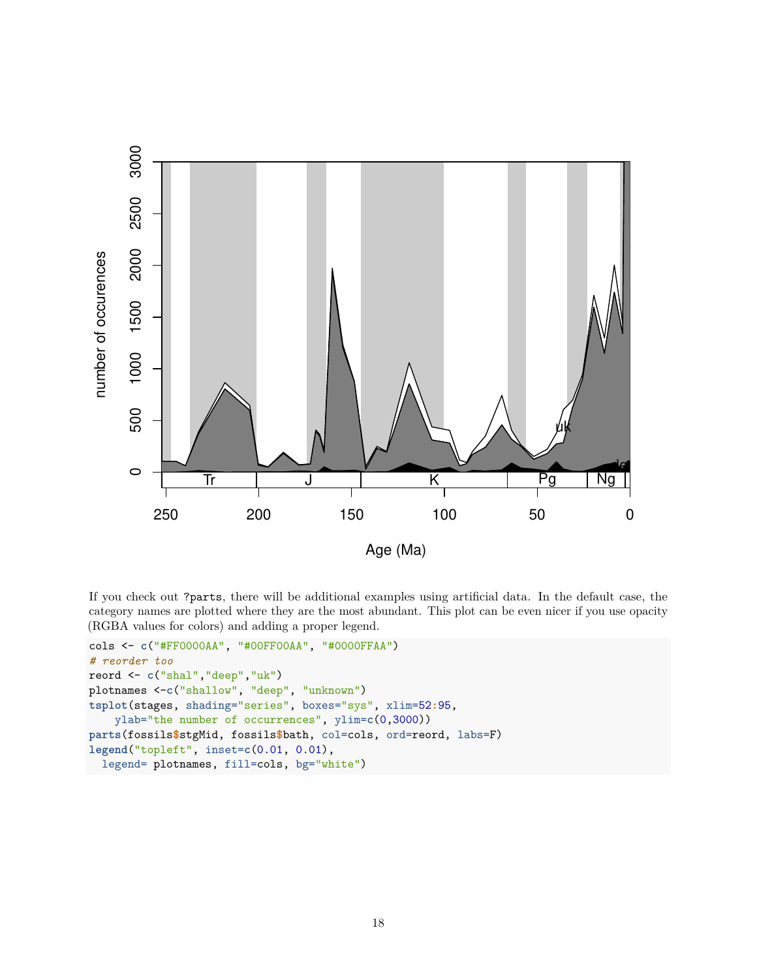

If you check out ?parts, there will be additional examples using artificial data. In the default case, the category names are plotted where they are the most abundant. This plot can be even nicer if you use opacity (RGBA values for colors) and adding a proper legend.

```
cols <- c("#FF0000AA", "#00FF00AA", "#0000FFAA")
# reorder too
reord <- c("shal","deep","uk")
plotnames <-c("shallow", "deep", "unknown")
tsplot(stages, shading="series", boxes="sys", xlim=52:95,
    ylab="the number of occurrences", ylim=c(0,3000))
parts(fossils$stgMid, fossils$bath, col=cols, ord=reord, labs=F)
legend("topleft", inset=c(0.01, 0.01),
  legend= plotnames, fill=cols, bg="white")
```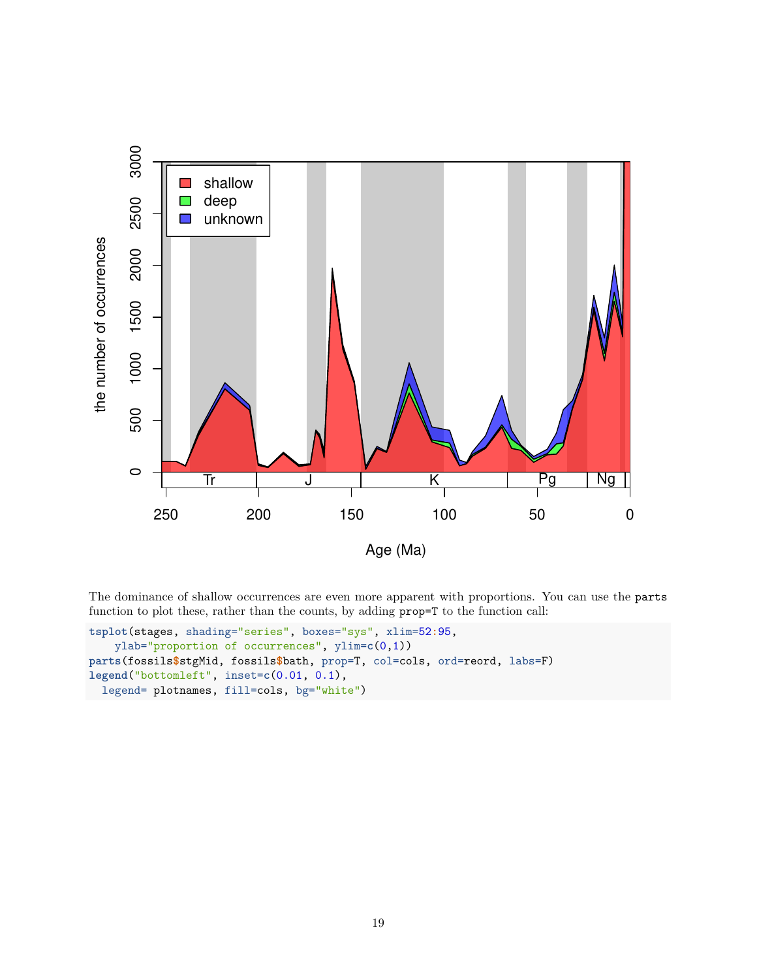

The dominance of shallow occurrences are even more apparent with proportions. You can use the parts function to plot these, rather than the counts, by adding prop=T to the function call:

```
tsplot(stages, shading="series", boxes="sys", xlim=52:95,
    ylab="proportion of occurrences", ylim=c(0,1))
parts(fossils$stgMid, fossils$bath, prop=T, col=cols, ord=reord, labs=F)
legend("bottomleft", inset=c(0.01, 0.1),
  legend= plotnames, fill=cols, bg="white")
```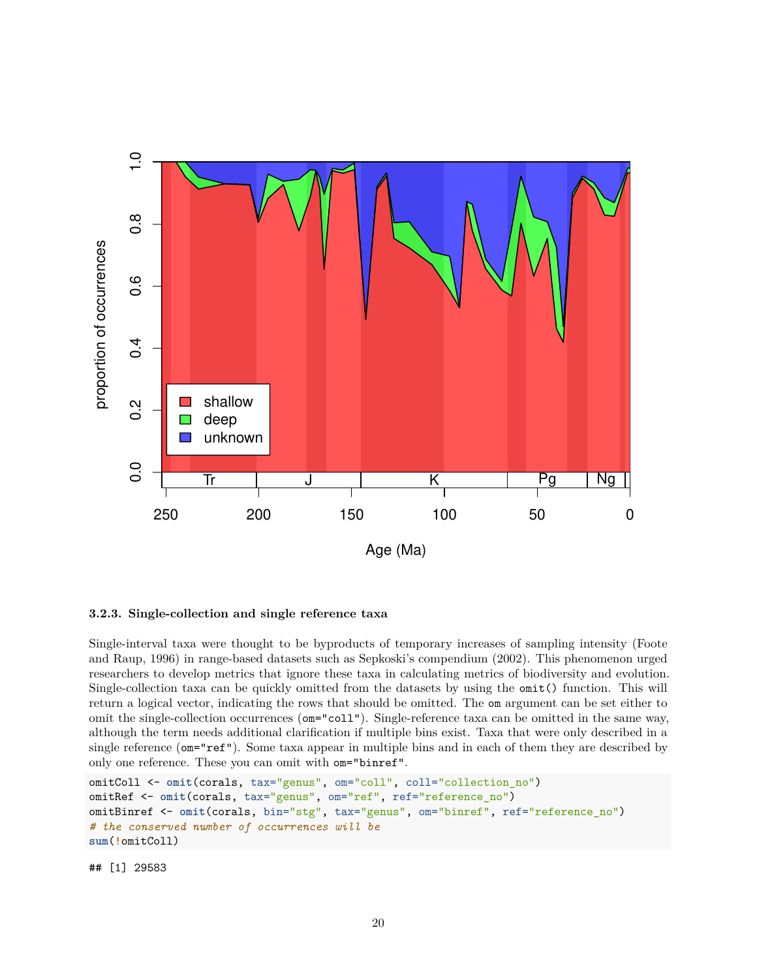

#### **3.2.3. Single-collection and single reference taxa**

Single-interval taxa were thought to be byproducts of temporary increases of sampling intensity (Foote and Raup, 1996) in range-based datasets such as Sepkoski's compendium (2002). This phenomenon urged researchers to develop metrics that ignore these taxa in calculating metrics of biodiversity and evolution. Single-collection taxa can be quickly omitted from the datasets by using the omit() function. This will return a logical vector, indicating the rows that should be omitted. The om argument can be set either to omit the single-collection occurrences (om="coll"). Single-reference taxa can be omitted in the same way, although the term needs additional clarification if multiple bins exist. Taxa that were only described in a single reference ( $om="ref"$ ). Some taxa appear in multiple bins and in each of them they are described by only one reference. These you can omit with om="binref".

```
omitColl <- omit(corals, tax="genus", om="coll", coll="collection_no")
omitRef <- omit(corals, tax="genus", om="ref", ref="reference_no")
omitBinref <- omit(corals, bin="stg", tax="genus", om="binref", ref="reference_no")
# the conserved number of occurrences will be
sum(!omitColl)
```
## [1] 29583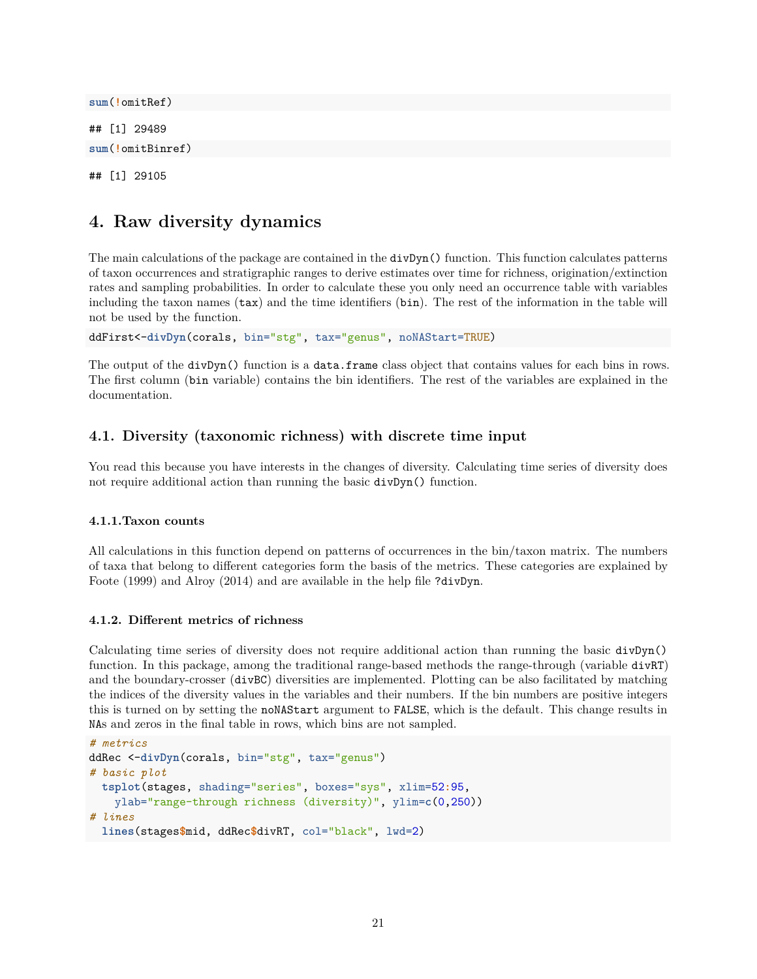**sum**(**!**omitRef) ## [1] 29489 **sum**(**!**omitBinref) ## [1] 29105

## **4. Raw diversity dynamics**

The main calculations of the package are contained in the divDyn() function. This function calculates patterns of taxon occurrences and stratigraphic ranges to derive estimates over time for richness, origination/extinction rates and sampling probabilities. In order to calculate these you only need an occurrence table with variables including the taxon names (tax) and the time identifiers (bin). The rest of the information in the table will not be used by the function.

ddFirst<-**divDyn**(corals, bin="stg", tax="genus", noNAStart=TRUE)

The output of the divDyn() function is a data.frame class object that contains values for each bins in rows. The first column (bin variable) contains the bin identifiers. The rest of the variables are explained in the documentation.

## **4.1. Diversity (taxonomic richness) with discrete time input**

You read this because you have interests in the changes of diversity. Calculating time series of diversity does not require additional action than running the basic divDyn() function.

## **4.1.1.Taxon counts**

All calculations in this function depend on patterns of occurrences in the bin/taxon matrix. The numbers of taxa that belong to different categories form the basis of the metrics. These categories are explained by Foote (1999) and Alroy (2014) and are available in the help file ?divDyn.

## **4.1.2. Different metrics of richness**

Calculating time series of diversity does not require additional action than running the basic divDyn() function. In this package, among the traditional range-based methods the range-through (variable divRT) and the boundary-crosser (divBC) diversities are implemented. Plotting can be also facilitated by matching the indices of the diversity values in the variables and their numbers. If the bin numbers are positive integers this is turned on by setting the noNAStart argument to FALSE, which is the default. This change results in NAs and zeros in the final table in rows, which bins are not sampled.

```
# metrics
ddRec <-divDyn(corals, bin="stg", tax="genus")
# basic plot
  tsplot(stages, shading="series", boxes="sys", xlim=52:95,
   ylab="range-through richness (diversity)", ylim=c(0,250))
# lines
  lines(stages$mid, ddRec$divRT, col="black", lwd=2)
```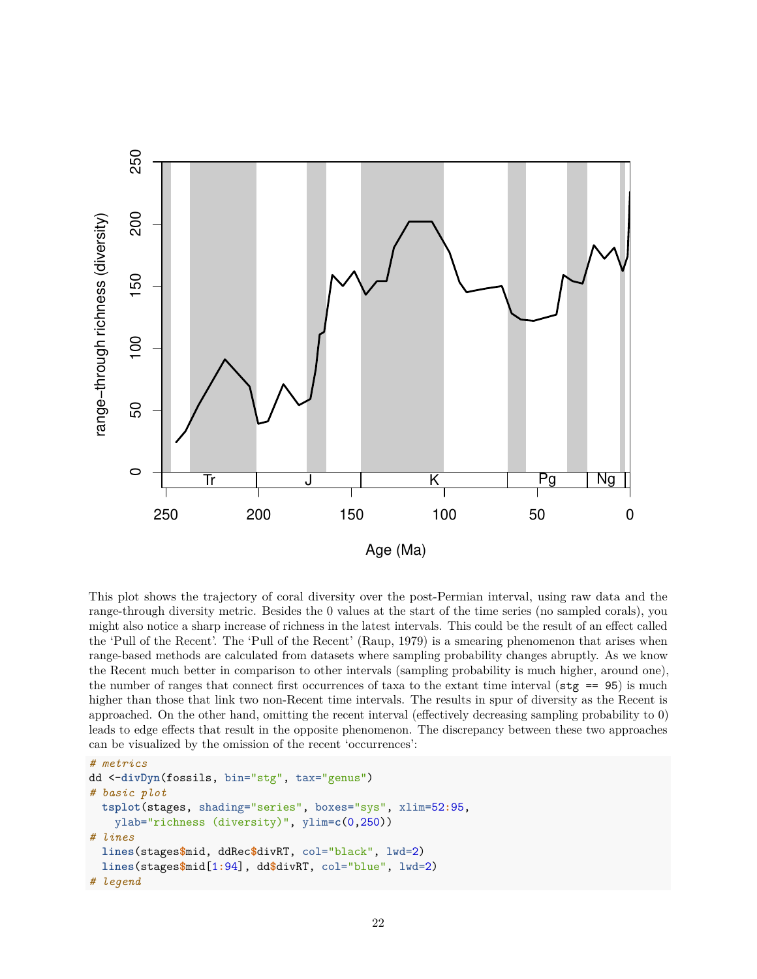

This plot shows the trajectory of coral diversity over the post-Permian interval, using raw data and the range-through diversity metric. Besides the 0 values at the start of the time series (no sampled corals), you might also notice a sharp increase of richness in the latest intervals. This could be the result of an effect called the 'Pull of the Recent'. The 'Pull of the Recent' (Raup, 1979) is a smearing phenomenon that arises when range-based methods are calculated from datasets where sampling probability changes abruptly. As we know the Recent much better in comparison to other intervals (sampling probability is much higher, around one), the number of ranges that connect first occurrences of taxa to the extant time interval ( $\text{stg}$  == 95) is much higher than those that link two non-Recent time intervals. The results in spur of diversity as the Recent is approached. On the other hand, omitting the recent interval (effectively decreasing sampling probability to 0) leads to edge effects that result in the opposite phenomenon. The discrepancy between these two approaches can be visualized by the omission of the recent 'occurrences':

```
# metrics
dd <-divDyn(fossils, bin="stg", tax="genus")
# basic plot
  tsplot(stages, shading="series", boxes="sys", xlim=52:95,
   ylab="richness (diversity)", ylim=c(0,250))
# lines
  lines(stages$mid, ddRec$divRT, col="black", lwd=2)
  lines(stages$mid[1:94], dd$divRT, col="blue", lwd=2)
# legend
```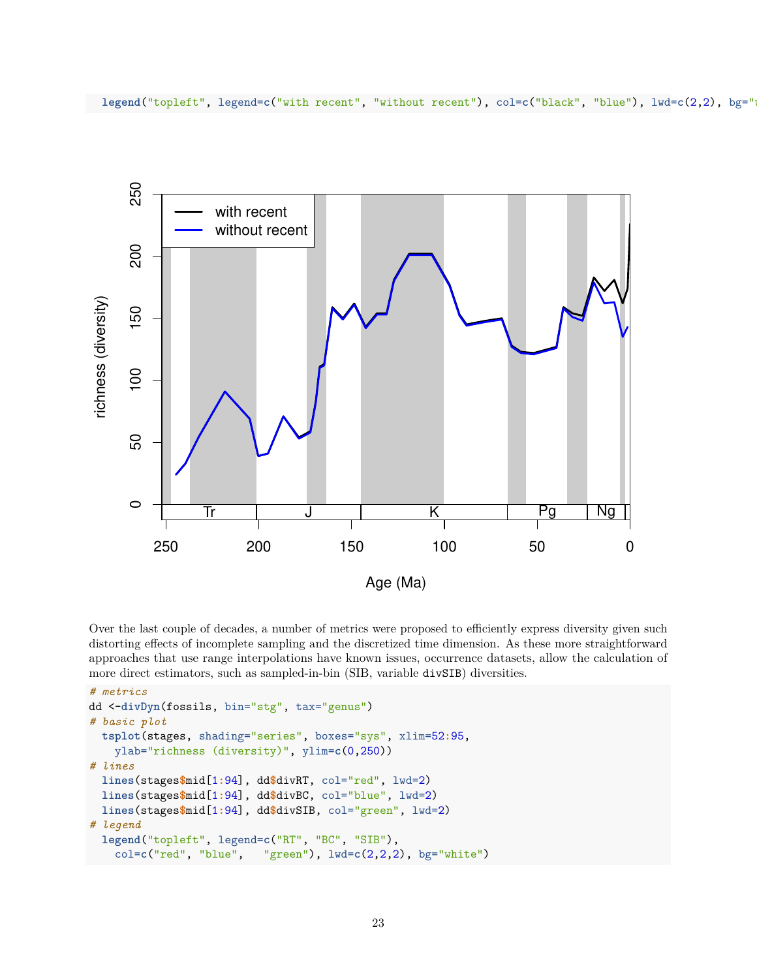

Over the last couple of decades, a number of metrics were proposed to efficiently express diversity given such distorting effects of incomplete sampling and the discretized time dimension. As these more straightforward approaches that use range interpolations have known issues, occurrence datasets, allow the calculation of more direct estimators, such as sampled-in-bin (SIB, variable divSIB) diversities.

```
# metrics
dd <-divDyn(fossils, bin="stg", tax="genus")
# basic plot
  tsplot(stages, shading="series", boxes="sys", xlim=52:95,
   ylab="richness (diversity)", ylim=c(0,250))
# lines
  lines(stages$mid[1:94], dd$divRT, col="red", lwd=2)
  lines(stages$mid[1:94], dd$divBC, col="blue", lwd=2)
 lines(stages$mid[1:94], dd$divSIB, col="green", lwd=2)
# legend
  legend("topleft", legend=c("RT", "BC", "SIB"),
   col=c("red", "blue", "green"), lwd=c(2,2,2), bg="white")
```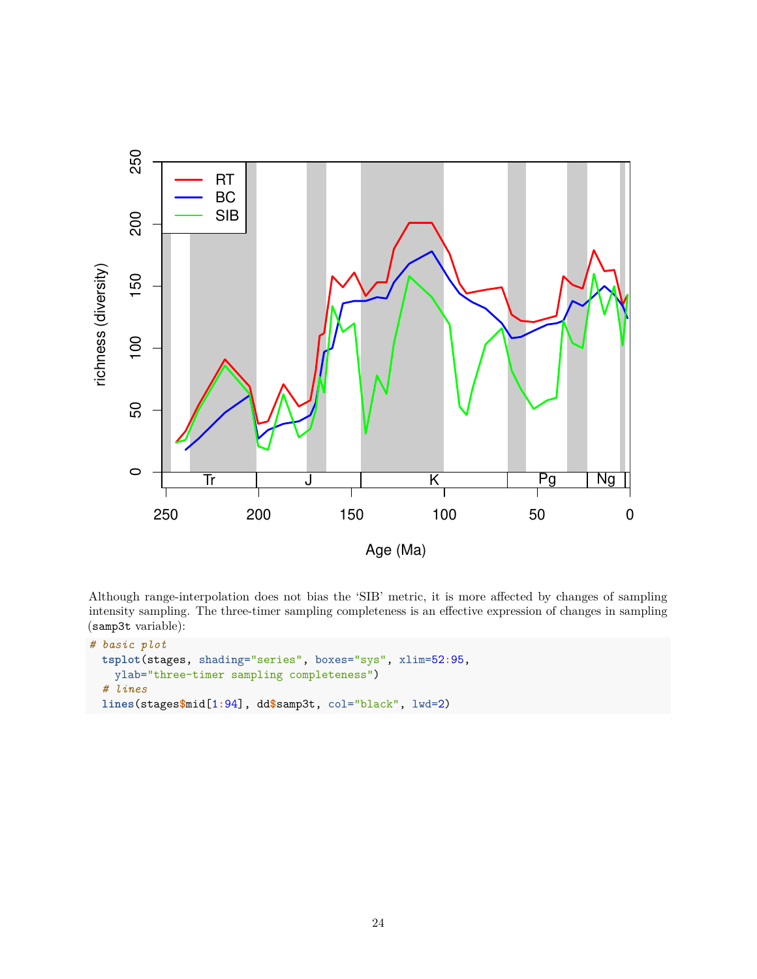

Although range-interpolation does not bias the 'SIB' metric, it is more affected by changes of sampling intensity sampling. The three-timer sampling completeness is an effective expression of changes in sampling (samp3t variable):

```
# basic plot
 tsplot(stages, shading="series", boxes="sys", xlim=52:95,
   ylab="three-timer sampling completeness")
  # lines
 lines(stages$mid[1:94], dd$samp3t, col="black", lwd=2)
```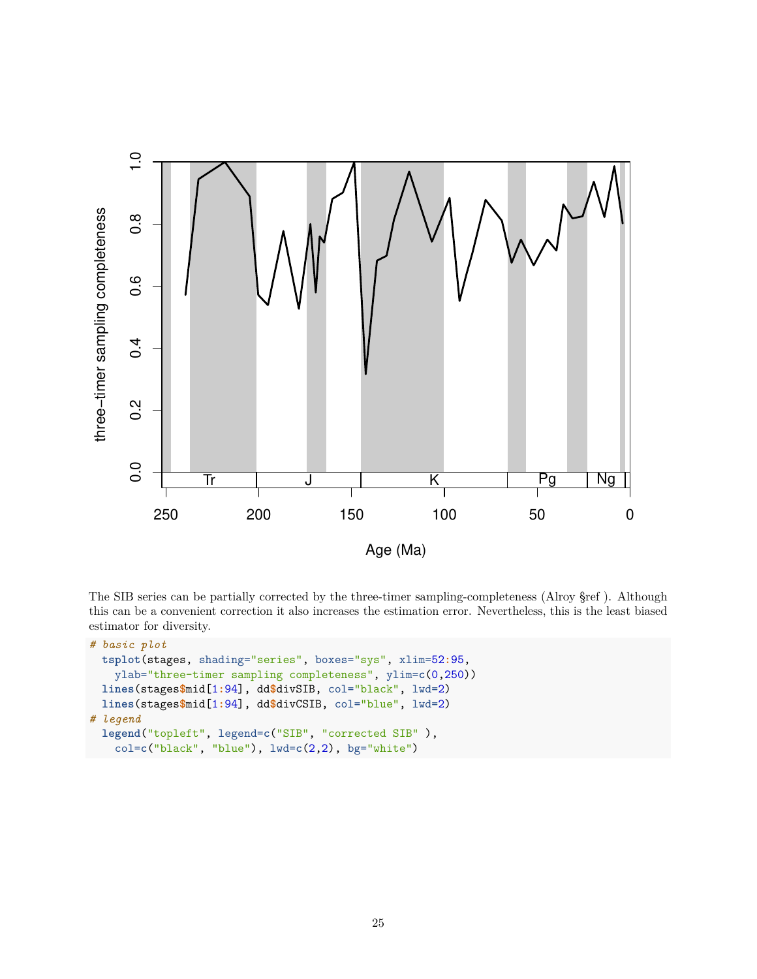

The SIB series can be partially corrected by the three-timer sampling-completeness (Alroy §ref ). Although this can be a convenient correction it also increases the estimation error. Nevertheless, this is the least biased estimator for diversity.

```
# basic plot
 tsplot(stages, shading="series", boxes="sys", xlim=52:95,
   ylab="three-timer sampling completeness", ylim=c(0,250))
 lines(stages$mid[1:94], dd$divSIB, col="black", lwd=2)
 lines(stages$mid[1:94], dd$divCSIB, col="blue", lwd=2)
# legend
  legend("topleft", legend=c("SIB", "corrected SIB" ),
   col=c("black", "blue"), lwd=c(2,2), bg="white")
```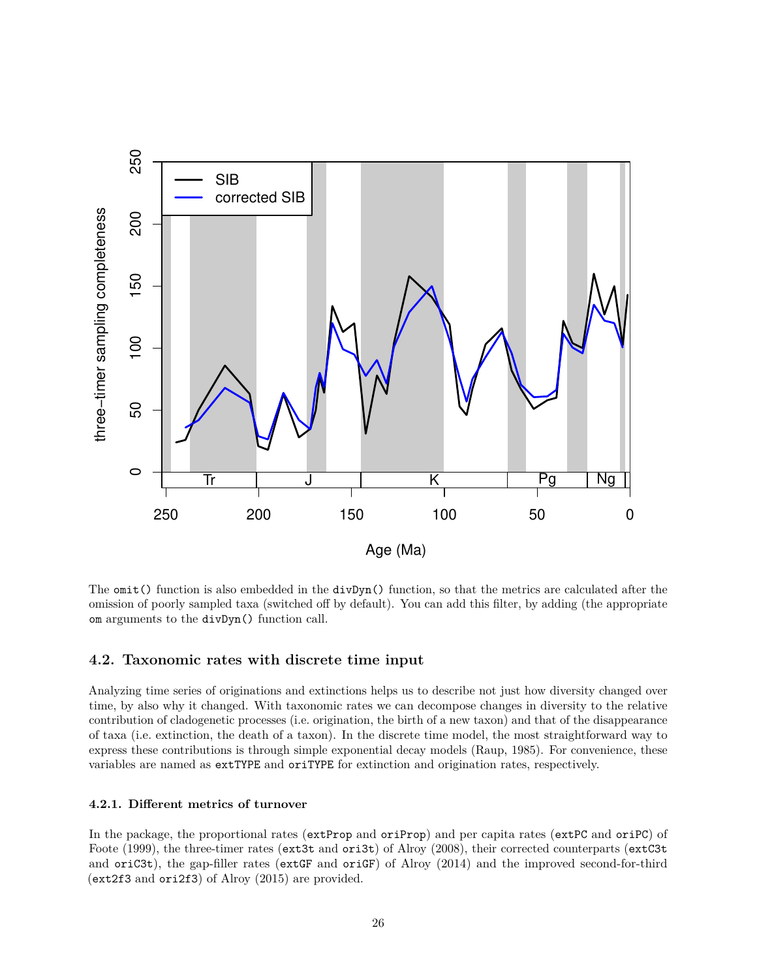

The omit() function is also embedded in the divDyn() function, so that the metrics are calculated after the omission of poorly sampled taxa (switched off by default). You can add this filter, by adding (the appropriate om arguments to the divDyn() function call.

## **4.2. Taxonomic rates with discrete time input**

Analyzing time series of originations and extinctions helps us to describe not just how diversity changed over time, by also why it changed. With taxonomic rates we can decompose changes in diversity to the relative contribution of cladogenetic processes (i.e. origination, the birth of a new taxon) and that of the disappearance of taxa (i.e. extinction, the death of a taxon). In the discrete time model, the most straightforward way to express these contributions is through simple exponential decay models (Raup, 1985). For convenience, these variables are named as extTYPE and oriTYPE for extinction and origination rates, respectively.

#### **4.2.1. Different metrics of turnover**

In the package, the proportional rates (extProp and oriProp) and per capita rates (extPC and oriPC) of Foote (1999), the three-timer rates (ext3t and ori3t) of Alroy (2008), their corrected counterparts (extC3t and oriC3t), the gap-filler rates (extGF and oriGF) of Alroy (2014) and the improved second-for-third (ext2f3 and ori2f3) of Alroy (2015) are provided.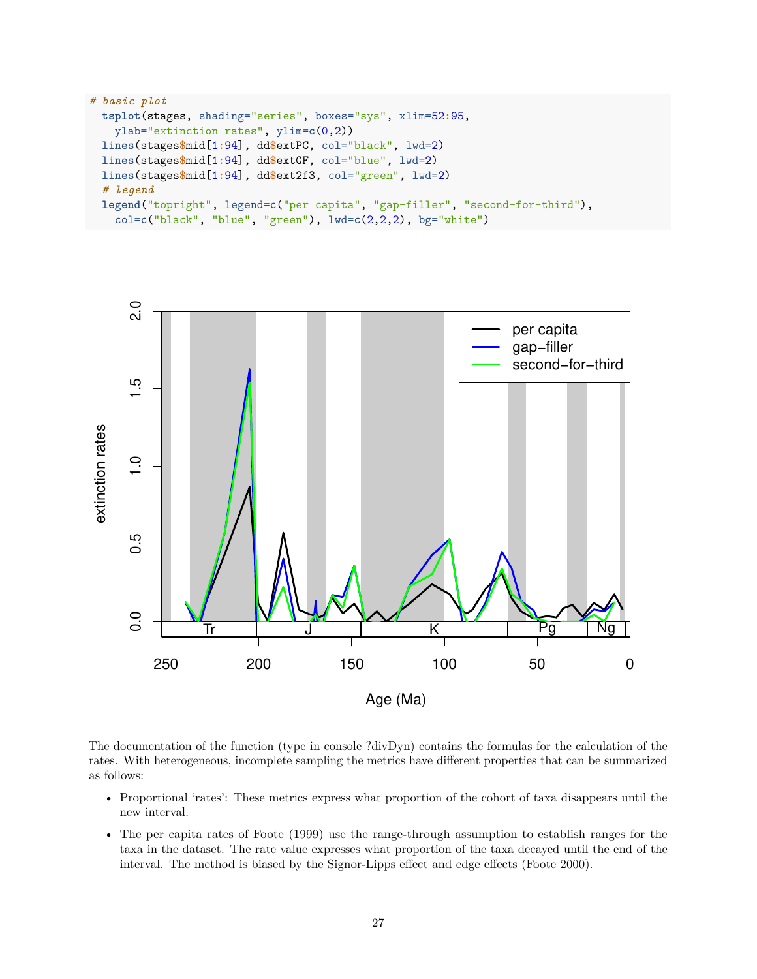```
# basic plot
 tsplot(stages, shading="series", boxes="sys", xlim=52:95,
   ylab="extinction rates", ylim=c(0,2))
 lines(stages$mid[1:94], dd$extPC, col="black", lwd=2)
 lines(stages$mid[1:94], dd$extGF, col="blue", lwd=2)
 lines(stages$mid[1:94], dd$ext2f3, col="green", lwd=2)
 # legend
 legend("topright", legend=c("per capita", "gap-filler", "second-for-third"),
   col=c("black", "blue", "green"), lwd=c(2,2,2), bg="white")
```


The documentation of the function (type in console ?divDyn) contains the formulas for the calculation of the rates. With heterogeneous, incomplete sampling the metrics have different properties that can be summarized as follows:

- Proportional 'rates': These metrics express what proportion of the cohort of taxa disappears until the new interval.
- The per capita rates of Foote (1999) use the range-through assumption to establish ranges for the taxa in the dataset. The rate value expresses what proportion of the taxa decayed until the end of the interval. The method is biased by the Signor-Lipps effect and edge effects (Foote 2000).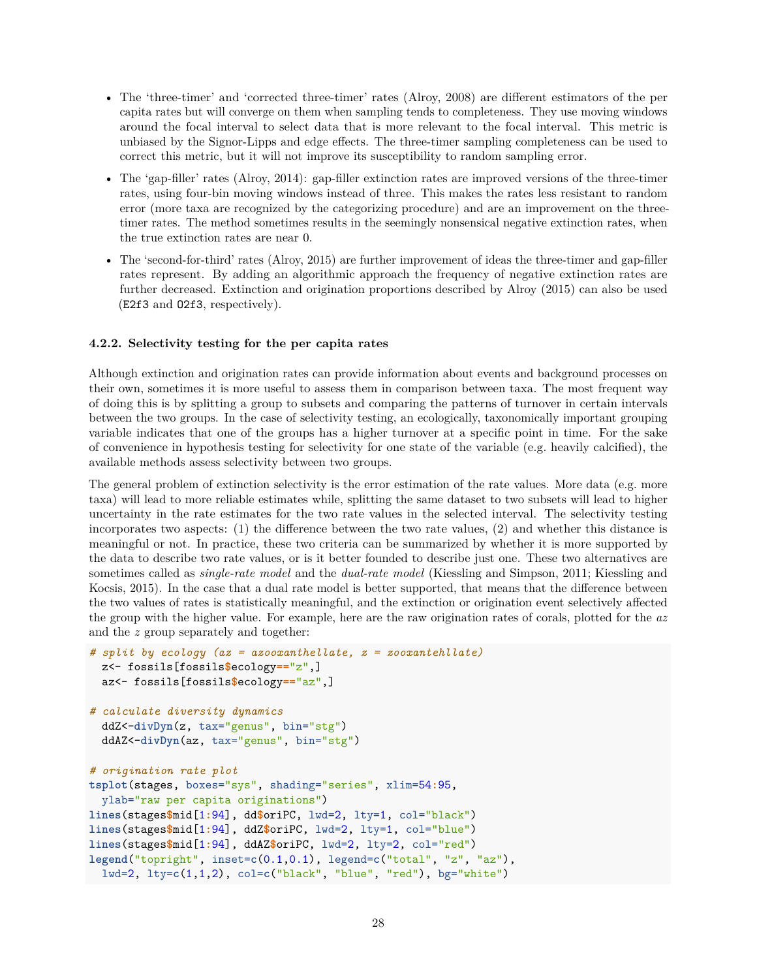- The 'three-timer' and 'corrected three-timer' rates (Alroy, 2008) are different estimators of the per capita rates but will converge on them when sampling tends to completeness. They use moving windows around the focal interval to select data that is more relevant to the focal interval. This metric is unbiased by the Signor-Lipps and edge effects. The three-timer sampling completeness can be used to correct this metric, but it will not improve its susceptibility to random sampling error.
- The 'gap-filler' rates (Alroy, 2014): gap-filler extinction rates are improved versions of the three-timer rates, using four-bin moving windows instead of three. This makes the rates less resistant to random error (more taxa are recognized by the categorizing procedure) and are an improvement on the threetimer rates. The method sometimes results in the seemingly nonsensical negative extinction rates, when the true extinction rates are near 0.
- The 'second-for-third' rates (Alroy, 2015) are further improvement of ideas the three-timer and gap-filler rates represent. By adding an algorithmic approach the frequency of negative extinction rates are further decreased. Extinction and origination proportions described by Alroy (2015) can also be used (E2f3 and O2f3, respectively).

### **4.2.2. Selectivity testing for the per capita rates**

Although extinction and origination rates can provide information about events and background processes on their own, sometimes it is more useful to assess them in comparison between taxa. The most frequent way of doing this is by splitting a group to subsets and comparing the patterns of turnover in certain intervals between the two groups. In the case of selectivity testing, an ecologically, taxonomically important grouping variable indicates that one of the groups has a higher turnover at a specific point in time. For the sake of convenience in hypothesis testing for selectivity for one state of the variable (e.g. heavily calcified), the available methods assess selectivity between two groups.

The general problem of extinction selectivity is the error estimation of the rate values. More data (e.g. more taxa) will lead to more reliable estimates while, splitting the same dataset to two subsets will lead to higher uncertainty in the rate estimates for the two rate values in the selected interval. The selectivity testing incorporates two aspects: (1) the difference between the two rate values, (2) and whether this distance is meaningful or not. In practice, these two criteria can be summarized by whether it is more supported by the data to describe two rate values, or is it better founded to describe just one. These two alternatives are sometimes called as *single-rate model* and the *dual-rate model* (Kiessling and Simpson, 2011; Kiessling and Kocsis, 2015). In the case that a dual rate model is better supported, that means that the difference between the two values of rates is statistically meaningful, and the extinction or origination event selectively affected the group with the higher value. For example, here are the raw origination rates of corals, plotted for the *az* and the *z* group separately and together:

```
# split by ecology (az = azooxanthellate, z = zooxantehllate)
  z<- fossils[fossils$ecology=="z",]
  az<- fossils[fossils$ecology=="az",]
# calculate diversity dynamics
  ddZ<-divDyn(z, tax="genus", bin="stg")
  ddAZ<-divDyn(az, tax="genus", bin="stg")
# origination rate plot
tsplot(stages, boxes="sys", shading="series", xlim=54:95,
  ylab="raw per capita originations")
lines(stages$mid[1:94], dd$oriPC, lwd=2, lty=1, col="black")
lines(stages$mid[1:94], ddZ$oriPC, lwd=2, lty=1, col="blue")
lines(stages$mid[1:94], ddAZ$oriPC, lwd=2, lty=2, col="red")
legend("topright", inset=c(0.1,0.1), legend=c("total", "z", "az"),
 lwd=2, lty=c(1,1,2), col=c("black", "blue", "red"), bg="white")
```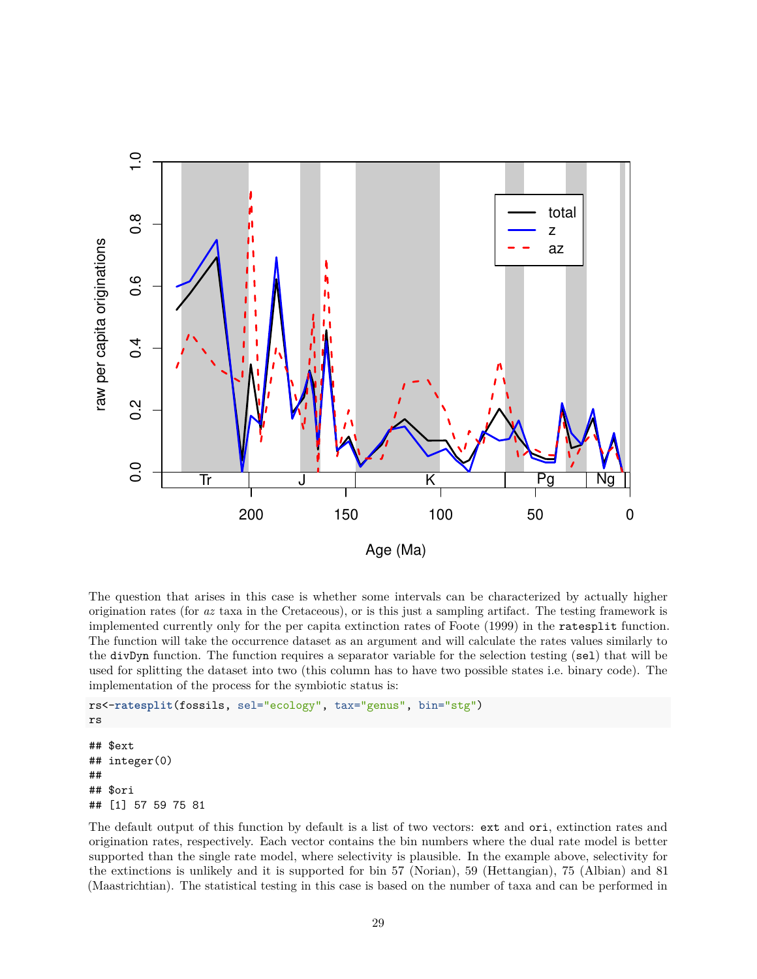

The question that arises in this case is whether some intervals can be characterized by actually higher origination rates (for *az* taxa in the Cretaceous), or is this just a sampling artifact. The testing framework is implemented currently only for the per capita extinction rates of Foote (1999) in the ratesplit function. The function will take the occurrence dataset as an argument and will calculate the rates values similarly to the divDyn function. The function requires a separator variable for the selection testing (sel) that will be used for splitting the dataset into two (this column has to have two possible states i.e. binary code). The implementation of the process for the symbiotic status is:

```
rs<-ratesplit(fossils, sel="ecology", tax="genus", bin="stg")
rs
## $ext
## integer(0)
##
## $ori
## [1] 57 59 75 81
```
The default output of this function by default is a list of two vectors: ext and ori, extinction rates and origination rates, respectively. Each vector contains the bin numbers where the dual rate model is better supported than the single rate model, where selectivity is plausible. In the example above, selectivity for the extinctions is unlikely and it is supported for bin 57 (Norian), 59 (Hettangian), 75 (Albian) and 81 (Maastrichtian). The statistical testing in this case is based on the number of taxa and can be performed in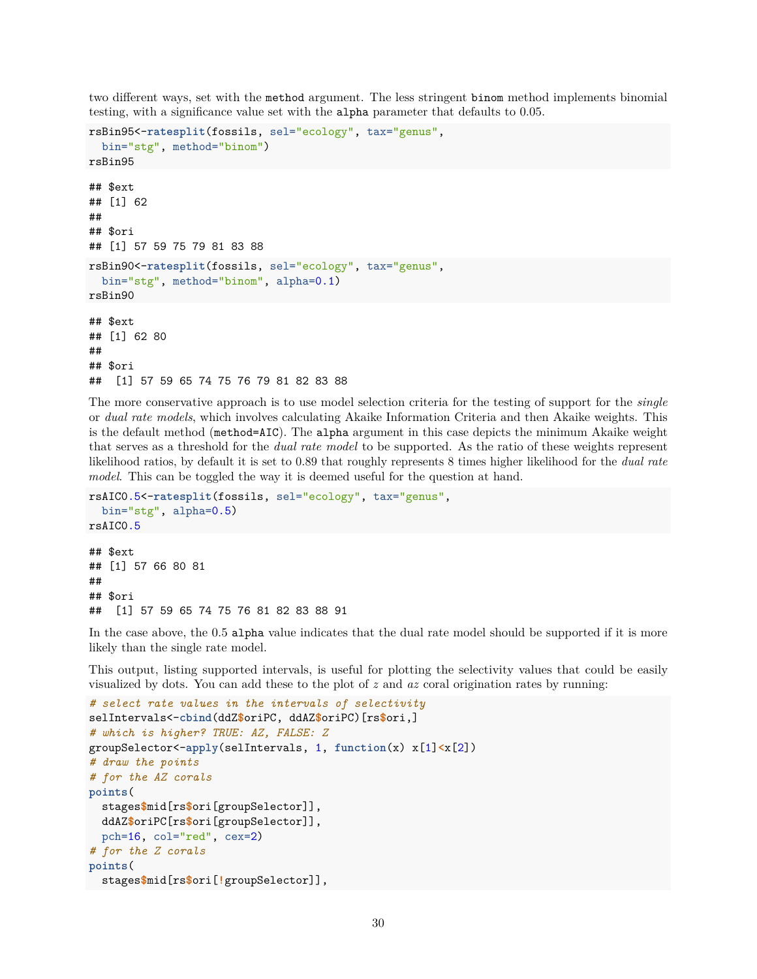two different ways, set with the method argument. The less stringent binom method implements binomial testing, with a significance value set with the alpha parameter that defaults to 0.05.

```
rsBin95<-ratesplit(fossils, sel="ecology", tax="genus",
  bin="stg", method="binom")
rsBin95
## $ext
## [1] 62
##
## $ori
## [1] 57 59 75 79 81 83 88
rsBin90<-ratesplit(fossils, sel="ecology", tax="genus",
  bin="stg", method="binom", alpha=0.1)
rsBin90
## $ext
## [1] 62 80
##
## $ori
## [1] 57 59 65 74 75 76 79 81 82 83 88
```
The more conservative approach is to use model selection criteria for the testing of support for the *single* or *dual rate models*, which involves calculating Akaike Information Criteria and then Akaike weights. This is the default method (method=AIC). The alpha argument in this case depicts the minimum Akaike weight that serves as a threshold for the *dual rate model* to be supported. As the ratio of these weights represent likelihood ratios, by default it is set to 0.89 that roughly represents 8 times higher likelihood for the *dual rate model*. This can be toggled the way it is deemed useful for the question at hand.

```
rsAIC0.5<-ratesplit(fossils, sel="ecology", tax="genus",
  bin="stg", alpha=0.5)
rsAIC0.5
## $ext
## [1] 57 66 80 81
##
## $ori
```
## [1] 57 59 65 74 75 76 81 82 83 88 91

In the case above, the 0.5 alpha value indicates that the dual rate model should be supported if it is more likely than the single rate model.

This output, listing supported intervals, is useful for plotting the selectivity values that could be easily visualized by dots. You can add these to the plot of *z* and *az* coral origination rates by running:

```
# select rate values in the intervals of selectivity
selIntervals<-cbind(ddZ$oriPC, ddAZ$oriPC)[rs$ori,]
# which is higher? TRUE: AZ, FALSE: Z
groupSelector<-apply(selIntervals, 1, function(x) x[1]<x[2])
# draw the points
# for the AZ corals
points(
  stages$mid[rs$ori[groupSelector]],
  ddAZ$oriPC[rs$ori[groupSelector]],
  pch=16, col="red", cex=2)
# for the Z corals
points(
 stages$mid[rs$ori[!groupSelector]],
```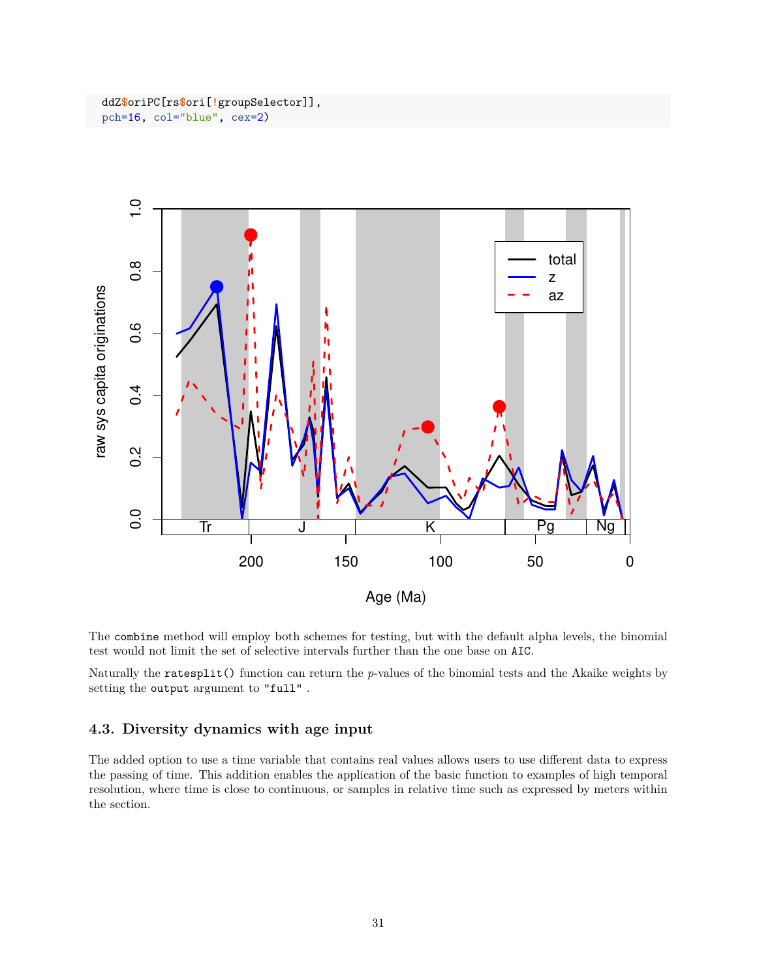ddZ**\$**oriPC[rs**\$**ori[**!**groupSelector]], pch=16, col="blue", cex=2)



The combine method will employ both schemes for testing, but with the default alpha levels, the binomial test would not limit the set of selective intervals further than the one base on AIC.

Naturally the ratesplit() function can return the *p*-values of the binomial tests and the Akaike weights by setting the output argument to "full" .

## **4.3. Diversity dynamics with age input**

The added option to use a time variable that contains real values allows users to use different data to express the passing of time. This addition enables the application of the basic function to examples of high temporal resolution, where time is close to continuous, or samples in relative time such as expressed by meters within the section.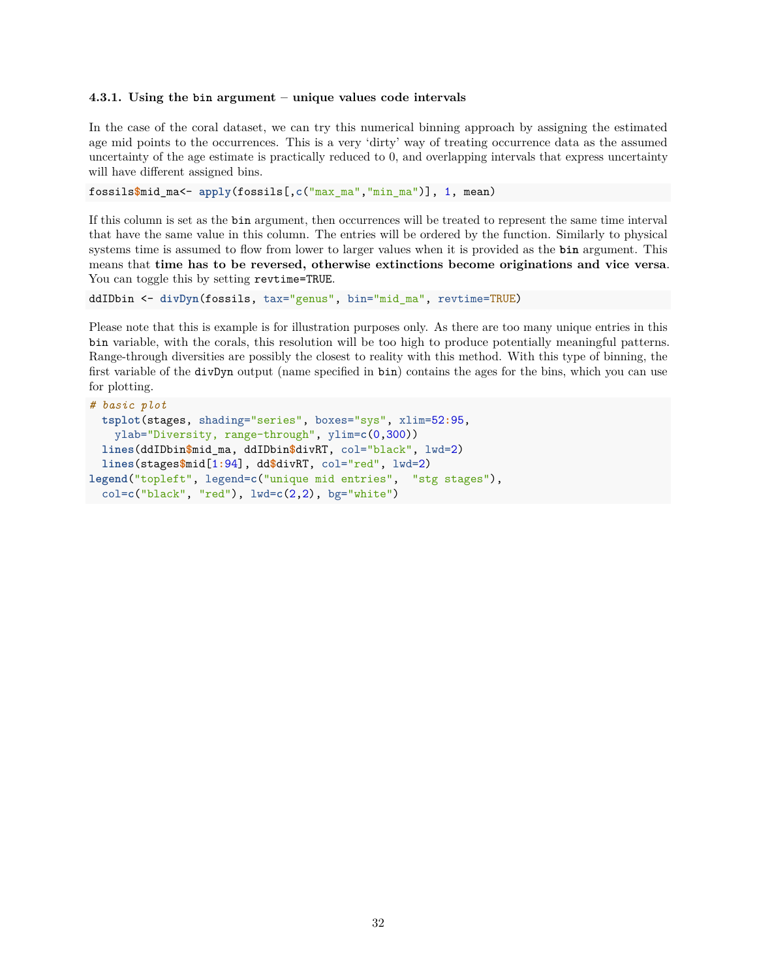#### **4.3.1. Using the bin argument – unique values code intervals**

In the case of the coral dataset, we can try this numerical binning approach by assigning the estimated age mid points to the occurrences. This is a very 'dirty' way of treating occurrence data as the assumed uncertainty of the age estimate is practically reduced to 0, and overlapping intervals that express uncertainty will have different assigned bins.

fossils**\$**mid\_ma<- **apply**(fossils[,**c**("max\_ma","min\_ma")], 1, mean)

If this column is set as the bin argument, then occurrences will be treated to represent the same time interval that have the same value in this column. The entries will be ordered by the function. Similarly to physical systems time is assumed to flow from lower to larger values when it is provided as the **bin** argument. This means that **time has to be reversed, otherwise extinctions become originations and vice versa**. You can toggle this by setting revtime=TRUE.

```
ddIDbin <- divDyn(fossils, tax="genus", bin="mid_ma", revtime=TRUE)
```
Please note that this is example is for illustration purposes only. As there are too many unique entries in this bin variable, with the corals, this resolution will be too high to produce potentially meaningful patterns. Range-through diversities are possibly the closest to reality with this method. With this type of binning, the first variable of the divDyn output (name specified in bin) contains the ages for the bins, which you can use for plotting.

```
# basic plot
  tsplot(stages, shading="series", boxes="sys", xlim=52:95,
   ylab="Diversity, range-through", ylim=c(0,300))
  lines(ddIDbin$mid_ma, ddIDbin$divRT, col="black", lwd=2)
  lines(stages$mid[1:94], dd$divRT, col="red", lwd=2)
legend("topleft", legend=c("unique mid entries", "stg stages"),
  col=c("black", "red"), lwd=c(2,2), bg="white")
```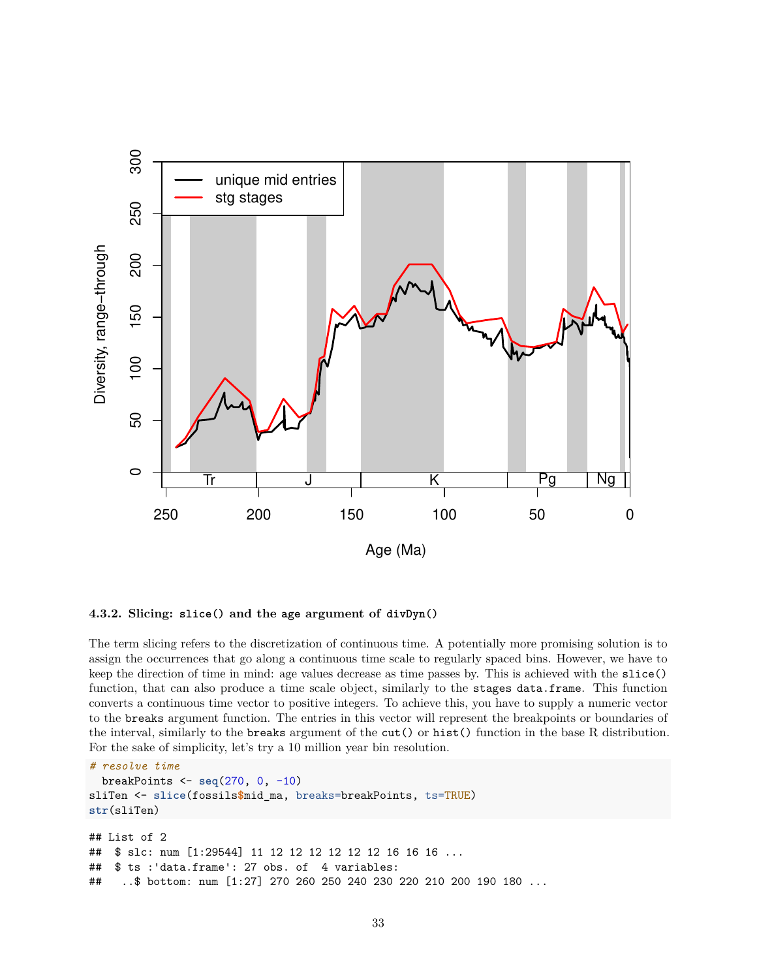



The term slicing refers to the discretization of continuous time. A potentially more promising solution is to assign the occurrences that go along a continuous time scale to regularly spaced bins. However, we have to keep the direction of time in mind: age values decrease as time passes by. This is achieved with the slice() function, that can also produce a time scale object, similarly to the stages data.frame. This function converts a continuous time vector to positive integers. To achieve this, you have to supply a numeric vector to the breaks argument function. The entries in this vector will represent the breakpoints or boundaries of the interval, similarly to the breaks argument of the cut() or hist() function in the base R distribution. For the sake of simplicity, let's try a 10 million year bin resolution.

```
# resolve time
  breakPoints <- seq(270, 0, -10)
sliTen <- slice(fossils$mid_ma, breaks=breakPoints, ts=TRUE)
str(sliTen)
## List of 2
## $ slc: num [1:29544] 11 12 12 12 12 12 12 16 16 16 ...
## $ ts :'data.frame': 27 obs. of 4 variables:
## ..$ bottom: num [1:27] 270 260 250 240 230 220 210 200 190 180 ...
```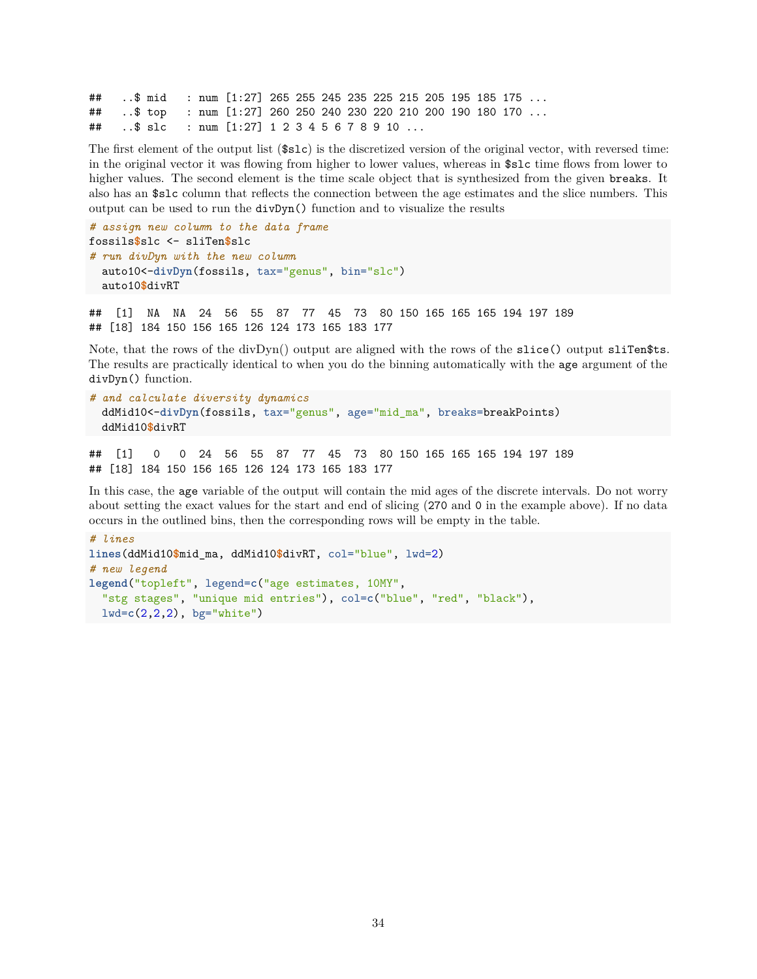## ..\$ mid : num [1:27] 265 255 245 235 225 215 205 195 185 175 ... ## ..\$ top : num [1:27] 260 250 240 230 220 210 200 190 180 170 ... ## ..\$ slc : num [1:27] 1 2 3 4 5 6 7 8 9 10 ...

The first element of the output list (\$slc) is the discretized version of the original vector, with reversed time: in the original vector it was flowing from higher to lower values, whereas in \$slc time flows from lower to higher values. The second element is the time scale object that is synthesized from the given breaks. It also has an \$slc column that reflects the connection between the age estimates and the slice numbers. This output can be used to run the divDyn() function and to visualize the results

```
# assign new column to the data frame
fossils$slc <- sliTen$slc
# run divDyn with the new column
  auto10<-divDyn(fossils, tax="genus", bin="slc")
  auto10$divRT
```
## [1] NA NA 24 56 55 87 77 45 73 80 150 165 165 165 194 197 189 ## [18] 184 150 156 165 126 124 173 165 183 177

Note, that the rows of the divDyn() output are aligned with the rows of the slice() output sliTen\$ts. The results are practically identical to when you do the binning automatically with the age argument of the divDyn() function.

```
# and calculate diversity dynamics
 ddMid10<-divDyn(fossils, tax="genus", age="mid_ma", breaks=breakPoints)
 ddMid10$divRT
```
## [1] 0 0 24 56 55 87 77 45 73 80 150 165 165 165 194 197 189 ## [18] 184 150 156 165 126 124 173 165 183 177

In this case, the age variable of the output will contain the mid ages of the discrete intervals. Do not worry about setting the exact values for the start and end of slicing (270 and 0 in the example above). If no data occurs in the outlined bins, then the corresponding rows will be empty in the table.

```
# lines
lines(ddMid10$mid_ma, ddMid10$divRT, col="blue", lwd=2)
# new legend
legend("topleft", legend=c("age estimates, 10MY",
  "stg stages", "unique mid entries"), col=c("blue", "red", "black"),
 lwd=c(2,2,2), bg="white")
```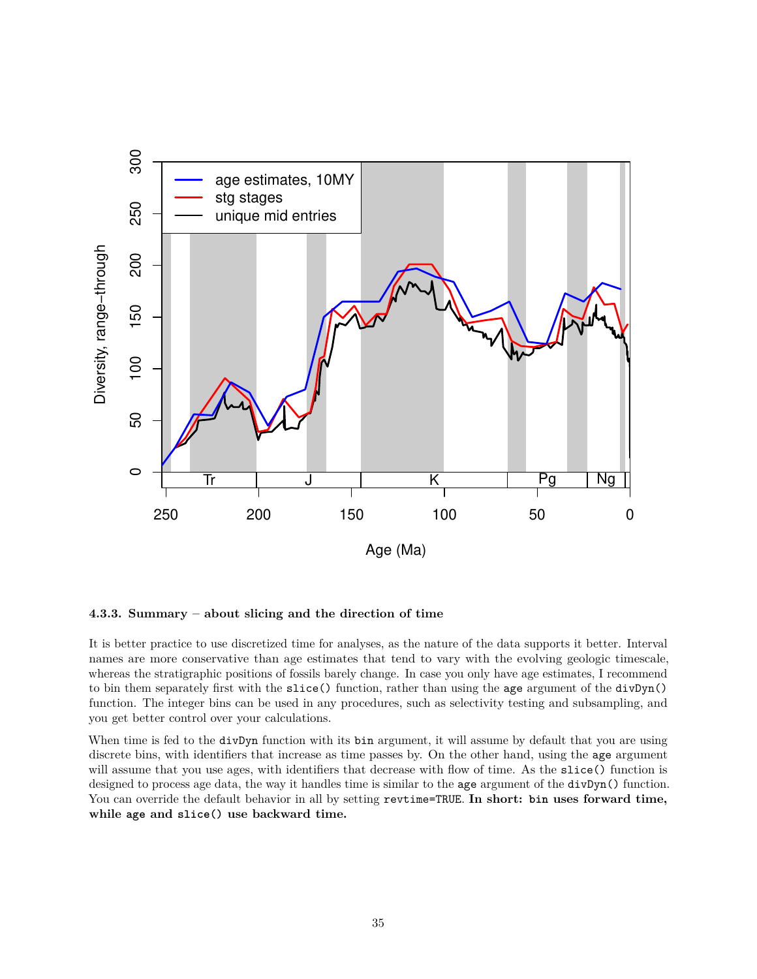

#### **4.3.3. Summary – about slicing and the direction of time**

It is better practice to use discretized time for analyses, as the nature of the data supports it better. Interval names are more conservative than age estimates that tend to vary with the evolving geologic timescale, whereas the stratigraphic positions of fossils barely change. In case you only have age estimates, I recommend to bin them separately first with the slice() function, rather than using the age argument of the divDyn() function. The integer bins can be used in any procedures, such as selectivity testing and subsampling, and you get better control over your calculations.

When time is fed to the divDyn function with its bin argument, it will assume by default that you are using discrete bins, with identifiers that increase as time passes by. On the other hand, using the age argument will assume that you use ages, with identifiers that decrease with flow of time. As the slice() function is designed to process age data, the way it handles time is similar to the age argument of the divDyn() function. You can override the default behavior in all by setting revtime=TRUE. **In short: bin uses forward time, while age and slice() use backward time.**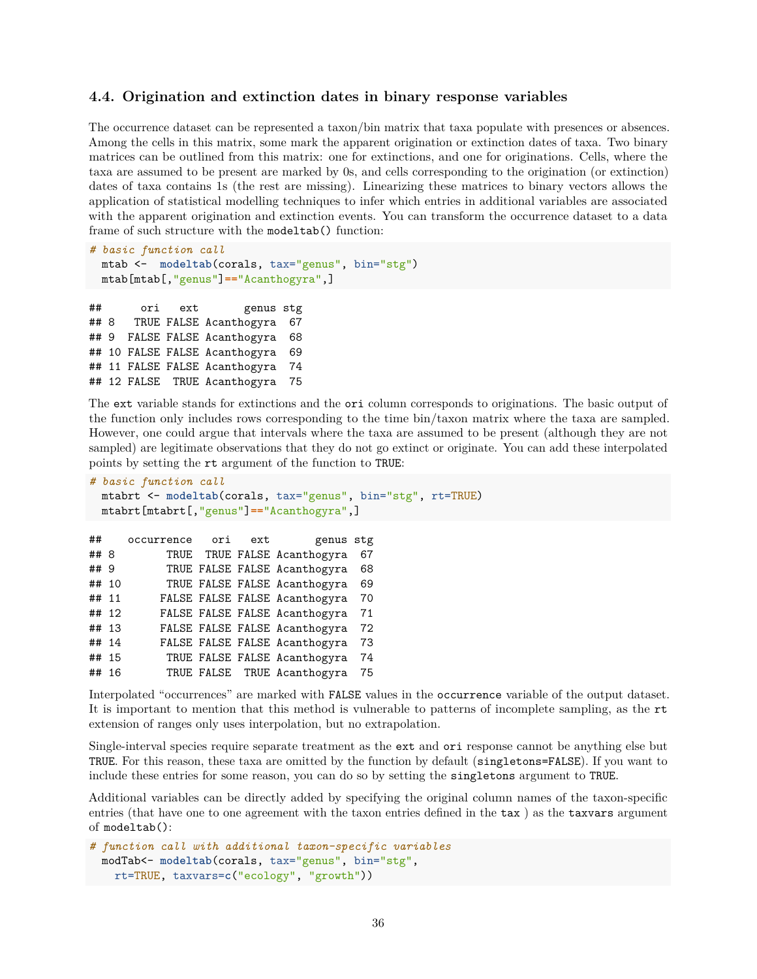### **4.4. Origination and extinction dates in binary response variables**

The occurrence dataset can be represented a taxon/bin matrix that taxa populate with presences or absences. Among the cells in this matrix, some mark the apparent origination or extinction dates of taxa. Two binary matrices can be outlined from this matrix: one for extinctions, and one for originations. Cells, where the taxa are assumed to be present are marked by 0s, and cells corresponding to the origination (or extinction) dates of taxa contains 1s (the rest are missing). Linearizing these matrices to binary vectors allows the application of statistical modelling techniques to infer which entries in additional variables are associated with the apparent origination and extinction events. You can transform the occurrence dataset to a data frame of such structure with the modeltab() function:

```
# basic function call
 mtab <- modeltab(corals, tax="genus", bin="stg")
 mtab[mtab[,"genus"]=="Acanthogyra",]
```
## ori ext genus stg ## 8 TRUE FALSE Acanthogyra 67 ## 9 FALSE FALSE Acanthogyra 68 ## 10 FALSE FALSE Acanthogyra 69 ## 11 FALSE FALSE Acanthogyra 74 ## 12 FALSE TRUE Acanthogyra 75

The ext variable stands for extinctions and the ori column corresponds to originations. The basic output of the function only includes rows corresponding to the time bin/taxon matrix where the taxa are sampled. However, one could argue that intervals where the taxa are assumed to be present (although they are not sampled) are legitimate observations that they do not go extinct or originate. You can add these interpolated points by setting the rt argument of the function to TRUE:

```
# basic function call
 mtabrt <- modeltab(corals, tax="genus", bin="stg", rt=TRUE)
 mtabrt[mtabrt[,"genus"]=="Acanthogyra",]
```

```
## occurrence ori ext genus stg
## 8 TRUE TRUE FALSE Acanthogyra 67
## 9 TRUE FALSE FALSE Acanthogyra 68
## 10 TRUE FALSE FALSE Acanthogyra 69
## 11 FALSE FALSE FALSE Acanthogyra 70
## 12 FALSE FALSE FALSE Acanthogyra 71
## 13 FALSE FALSE FALSE Acanthogyra 72
## 14 FALSE FALSE FALSE Acanthogyra 73
## 15 TRUE FALSE FALSE Acanthogyra 74
## 16 TRUE FALSE TRUE Acanthogyra 75
```
Interpolated "occurrences" are marked with FALSE values in the occurrence variable of the output dataset. It is important to mention that this method is vulnerable to patterns of incomplete sampling, as the rt extension of ranges only uses interpolation, but no extrapolation.

Single-interval species require separate treatment as the ext and ori response cannot be anything else but TRUE. For this reason, these taxa are omitted by the function by default (singletons=FALSE). If you want to include these entries for some reason, you can do so by setting the singletons argument to TRUE.

Additional variables can be directly added by specifying the original column names of the taxon-specific entries (that have one to one agreement with the taxon entries defined in the tax ) as the taxvars argument of modeltab():

```
# function call with additional taxon-specific variables
 modTab<- modeltab(corals, tax="genus", bin="stg",
   rt=TRUE, taxvars=c("ecology", "growth"))
```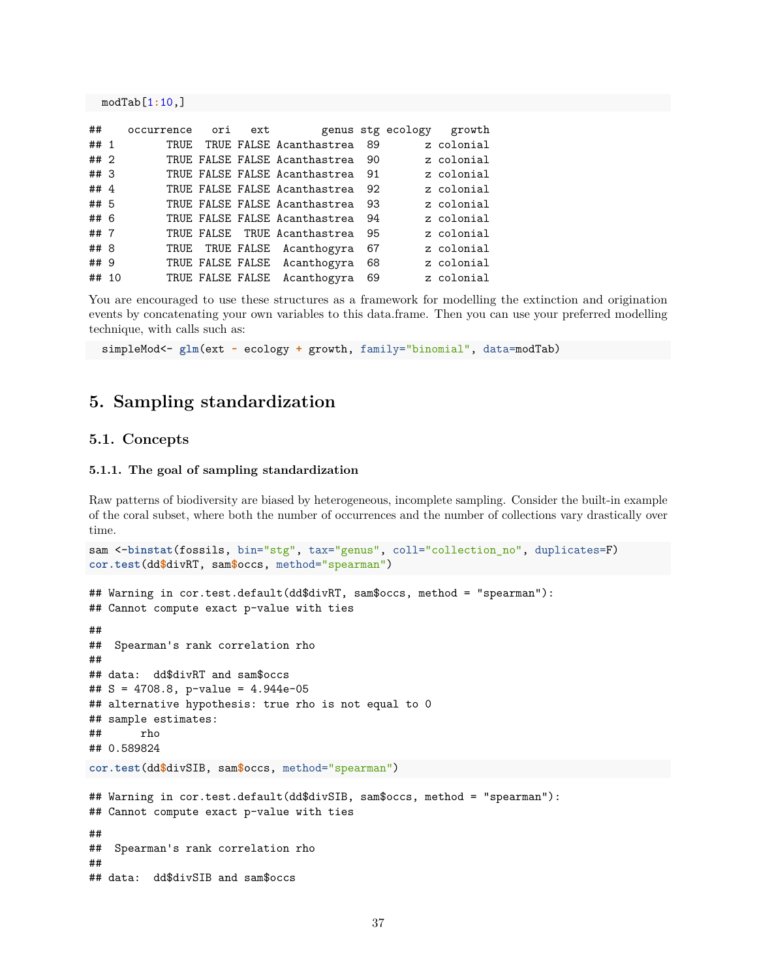modTab[1**:**10,]

| ##     | occurrence | ori | ext |                               |    | genus stg ecology | growth     |
|--------|------------|-----|-----|-------------------------------|----|-------------------|------------|
| ## 1   |            |     |     | TRUE TRUE FALSE Acanthastrea  | 89 |                   | z colonial |
| ##2    |            |     |     | TRUE FALSE FALSE Acanthastrea | 90 |                   | z colonial |
| ##3    |            |     |     | TRUE FALSE FALSE Acanthastrea | 91 |                   | z colonial |
| ## $4$ |            |     |     | TRUE FALSE FALSE Acanthastrea | 92 |                   | z colonial |
| ## 5   |            |     |     | TRUE FALSE FALSE Acanthastrea | 93 |                   | z colonial |
| ## 6   |            |     |     | TRUE FALSE FALSE Acanthastrea | 94 |                   | z colonial |
| ##7    |            |     |     | TRUE FALSE TRUE Acanthastrea  | 95 |                   | z colonial |
| ## 8   | TRUE       |     |     | TRUE FALSE Acanthogyra        | 67 |                   | z colonial |
| ## 9   |            |     |     | TRUE FALSE FALSE Acanthogyra  | 68 |                   | z colonial |
| ## 10  |            |     |     | TRUE FALSE FALSE Acanthogyra  | 69 |                   | z colonial |

You are encouraged to use these structures as a framework for modelling the extinction and origination events by concatenating your own variables to this data.frame. Then you can use your preferred modelling technique, with calls such as:

simpleMod<- **glm**(ext **~** ecology **+** growth, family="binomial", data=modTab)

## **5. Sampling standardization**

### **5.1. Concepts**

#### **5.1.1. The goal of sampling standardization**

Raw patterns of biodiversity are biased by heterogeneous, incomplete sampling. Consider the built-in example of the coral subset, where both the number of occurrences and the number of collections vary drastically over time.

```
sam <-binstat(fossils, bin="stg", tax="genus", coll="collection_no", duplicates=F)
cor.test(dd$divRT, sam$occs, method="spearman")
## Warning in cor.test.default(dd$divRT, sam$occs, method = "spearman"):
## Cannot compute exact p-value with ties
##
## Spearman's rank correlation rho
##
## data: dd$divRT and sam$occs
## S = 4708.8, p-value = 4.944e-05
## alternative hypothesis: true rho is not equal to 0
## sample estimates:
## rho
## 0.589824
cor.test(dd$divSIB, sam$occs, method="spearman")
## Warning in cor.test.default(dd$divSIB, sam$occs, method = "spearman"):
## Cannot compute exact p-value with ties
##
## Spearman's rank correlation rho
##
## data: dd$divSIB and sam$occs
```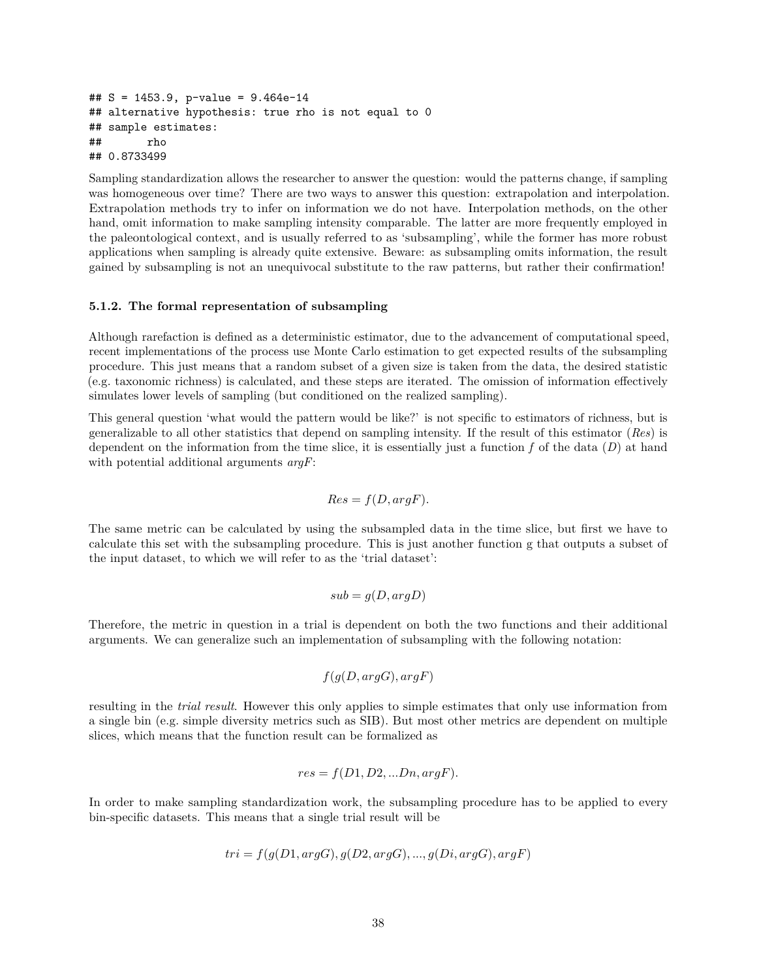```
## S = 1453.9, p-value = 9.464e-14
## alternative hypothesis: true rho is not equal to 0
## sample estimates:
## rho
## 0.8733499
```
Sampling standardization allows the researcher to answer the question: would the patterns change, if sampling was homogeneous over time? There are two ways to answer this question: extrapolation and interpolation. Extrapolation methods try to infer on information we do not have. Interpolation methods, on the other hand, omit information to make sampling intensity comparable. The latter are more frequently employed in the paleontological context, and is usually referred to as 'subsampling', while the former has more robust applications when sampling is already quite extensive. Beware: as subsampling omits information, the result gained by subsampling is not an unequivocal substitute to the raw patterns, but rather their confirmation!

#### **5.1.2. The formal representation of subsampling**

Although rarefaction is defined as a deterministic estimator, due to the advancement of computational speed, recent implementations of the process use Monte Carlo estimation to get expected results of the subsampling procedure. This just means that a random subset of a given size is taken from the data, the desired statistic (e.g. taxonomic richness) is calculated, and these steps are iterated. The omission of information effectively simulates lower levels of sampling (but conditioned on the realized sampling).

This general question 'what would the pattern would be like?' is not specific to estimators of richness, but is generalizable to all other statistics that depend on sampling intensity. If the result of this estimator (*Res*) is dependent on the information from the time slice, it is essentially just a function *f* of the data (*D*) at hand with potential additional arguments *argF*:

$$
Res = f(D, argF).
$$

The same metric can be calculated by using the subsampled data in the time slice, but first we have to calculate this set with the subsampling procedure. This is just another function g that outputs a subset of the input dataset, to which we will refer to as the 'trial dataset':

$$
sub = g(D, argD)
$$

Therefore, the metric in question in a trial is dependent on both the two functions and their additional arguments. We can generalize such an implementation of subsampling with the following notation:

$$
f(g(D, \arg G), \arg F)
$$

resulting in the *trial result*. However this only applies to simple estimates that only use information from a single bin (e.g. simple diversity metrics such as SIB). But most other metrics are dependent on multiple slices, which means that the function result can be formalized as

$$
res = f(D1, D2, ...Dn, argF).
$$

In order to make sampling standardization work, the subsampling procedure has to be applied to every bin-specific datasets. This means that a single trial result will be

$$
tri = f(g(D1, argG), g(D2, argG), ..., g(Di, argG), argF)
$$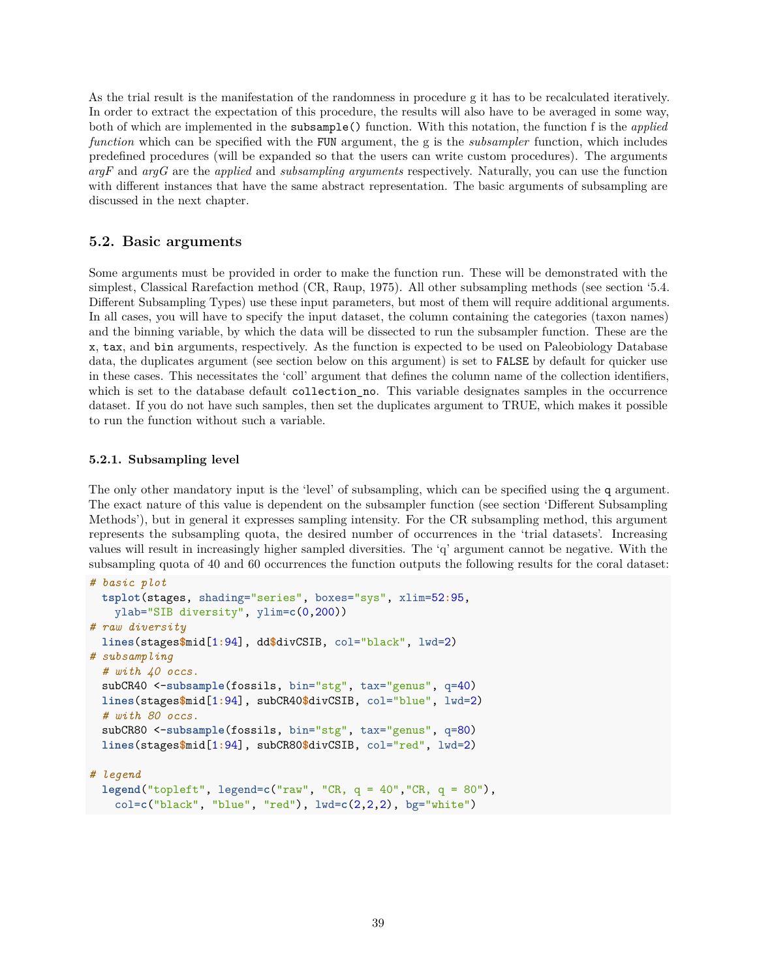As the trial result is the manifestation of the randomness in procedure g it has to be recalculated iteratively. In order to extract the expectation of this procedure, the results will also have to be averaged in some way, both of which are implemented in the subsample() function. With this notation, the function f is the *applied function* which can be specified with the FUN argument, the g is the *subsampler* function, which includes predefined procedures (will be expanded so that the users can write custom procedures). The arguments *argF* and *argG* are the *applied* and *subsampling arguments* respectively. Naturally, you can use the function with different instances that have the same abstract representation. The basic arguments of subsampling are discussed in the next chapter.

## **5.2. Basic arguments**

Some arguments must be provided in order to make the function run. These will be demonstrated with the simplest, Classical Rarefaction method (CR, Raup, 1975). All other subsampling methods (see section '5.4. Different Subsampling Types) use these input parameters, but most of them will require additional arguments. In all cases, you will have to specify the input dataset, the column containing the categories (taxon names) and the binning variable, by which the data will be dissected to run the subsampler function. These are the x, tax, and bin arguments, respectively. As the function is expected to be used on Paleobiology Database data, the duplicates argument (see section below on this argument) is set to FALSE by default for quicker use in these cases. This necessitates the 'coll' argument that defines the column name of the collection identifiers, which is set to the database default collection no. This variable designates samples in the occurrence dataset. If you do not have such samples, then set the duplicates argument to TRUE, which makes it possible to run the function without such a variable.

## **5.2.1. Subsampling level**

The only other mandatory input is the 'level' of subsampling, which can be specified using the q argument. The exact nature of this value is dependent on the subsampler function (see section 'Different Subsampling Methods'), but in general it expresses sampling intensity. For the CR subsampling method, this argument represents the subsampling quota, the desired number of occurrences in the 'trial datasets'. Increasing values will result in increasingly higher sampled diversities. The 'q' argument cannot be negative. With the subsampling quota of 40 and 60 occurrences the function outputs the following results for the coral dataset:

```
# basic plot
 tsplot(stages, shading="series", boxes="sys", xlim=52:95,
   ylab="SIB diversity", ylim=c(0,200))
# raw diversity
 lines(stages$mid[1:94], dd$divCSIB, col="black", lwd=2)
# subsampling
  # with 40 occs.
 subCR40 <-subsample(fossils, bin="stg", tax="genus", q=40)
 lines(stages$mid[1:94], subCR40$divCSIB, col="blue", lwd=2)
 # with 80 occs.
 subCR80 <-subsample(fossils, bin="stg", tax="genus", q=80)
 lines(stages$mid[1:94], subCR80$divCSIB, col="red", lwd=2)
# legend
 legend("topleft", legend=c("raw", "CR, q = 40","CR, q = 80"),
```
col=**c**("black", "blue", "red"), lwd=**c**(2,2,2), bg="white")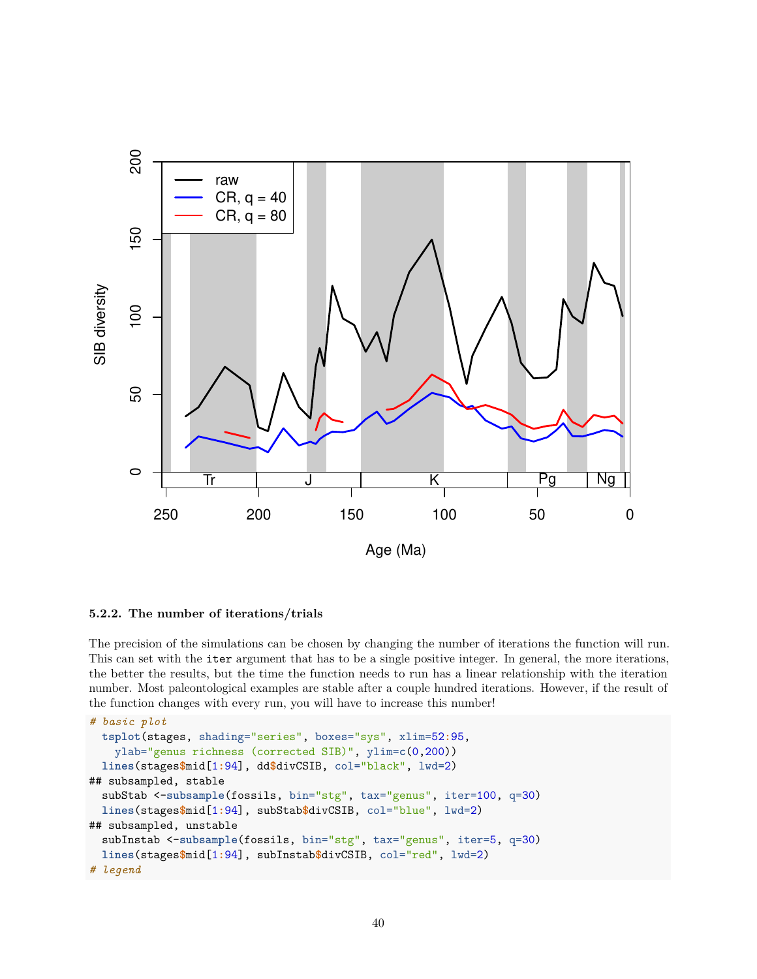

### **5.2.2. The number of iterations/trials**

The precision of the simulations can be chosen by changing the number of iterations the function will run. This can set with the iter argument that has to be a single positive integer. In general, the more iterations, the better the results, but the time the function needs to run has a linear relationship with the iteration number. Most paleontological examples are stable after a couple hundred iterations. However, if the result of the function changes with every run, you will have to increase this number!

```
# basic plot
  tsplot(stages, shading="series", boxes="sys", xlim=52:95,
   ylab="genus richness (corrected SIB)", ylim=c(0,200))
  lines(stages$mid[1:94], dd$divCSIB, col="black", lwd=2)
## subsampled, stable
  subStab <-subsample(fossils, bin="stg", tax="genus", iter=100, q=30)
  lines(stages$mid[1:94], subStab$divCSIB, col="blue", lwd=2)
## subsampled, unstable
  subInstab <-subsample(fossils, bin="stg", tax="genus", iter=5, q=30)
  lines(stages$mid[1:94], subInstab$divCSIB, col="red", lwd=2)
# legend
```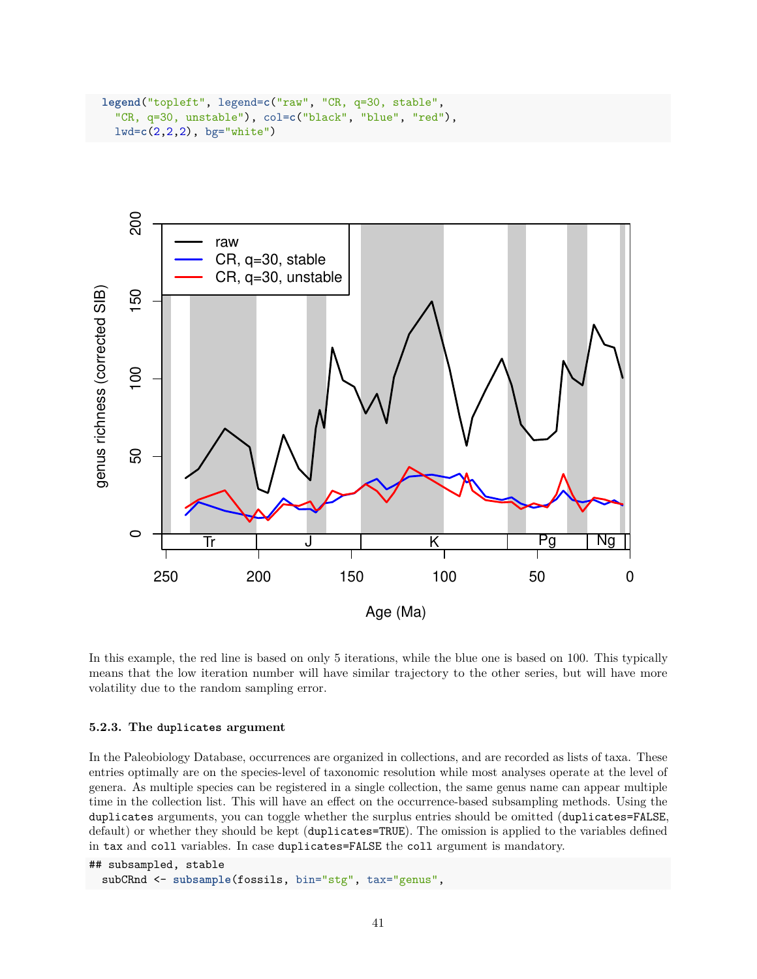```
legend("topleft", legend=c("raw", "CR, q=30, stable",
  "CR, q=30, unstable"), col=c("black", "blue", "red"),
 lwd=c(2,2,2), bg="white")
```


In this example, the red line is based on only 5 iterations, while the blue one is based on 100. This typically means that the low iteration number will have similar trajectory to the other series, but will have more volatility due to the random sampling error.

#### **5.2.3. The duplicates argument**

In the Paleobiology Database, occurrences are organized in collections, and are recorded as lists of taxa. These entries optimally are on the species-level of taxonomic resolution while most analyses operate at the level of genera. As multiple species can be registered in a single collection, the same genus name can appear multiple time in the collection list. This will have an effect on the occurrence-based subsampling methods. Using the duplicates arguments, you can toggle whether the surplus entries should be omitted (duplicates=FALSE, default) or whether they should be kept (duplicates=TRUE). The omission is applied to the variables defined in tax and coll variables. In case duplicates=FALSE the coll argument is mandatory.

```
## subsampled, stable
  subCRnd <- subsample(fossils, bin="stg", tax="genus",
```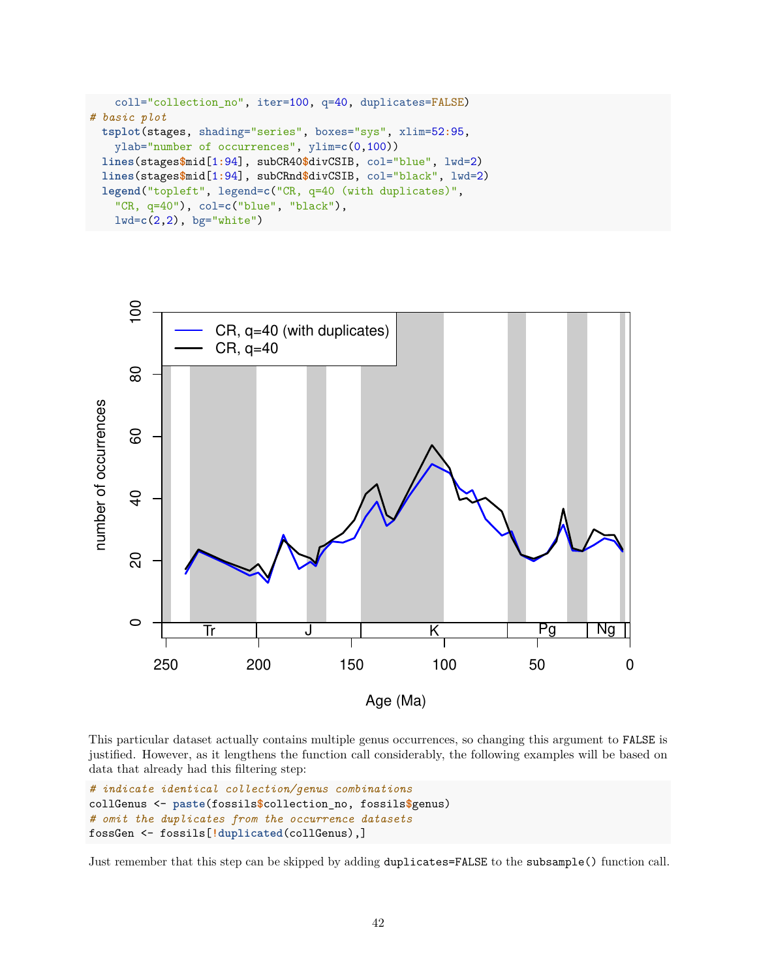```
coll="collection_no", iter=100, q=40, duplicates=FALSE)
# basic plot
 tsplot(stages, shading="series", boxes="sys", xlim=52:95,
   ylab="number of occurrences", ylim=c(0,100))
 lines(stages$mid[1:94], subCR40$divCSIB, col="blue", lwd=2)
 lines(stages$mid[1:94], subCRnd$divCSIB, col="black", lwd=2)
 legend("topleft", legend=c("CR, q=40 (with duplicates)",
    "CR, q=40"), col=c("blue", "black"),
   lwd=c(2,2), bg="white")
```


This particular dataset actually contains multiple genus occurrences, so changing this argument to FALSE is justified. However, as it lengthens the function call considerably, the following examples will be based on data that already had this filtering step:

```
# indicate identical collection/genus combinations
collGenus <- paste(fossils$collection_no, fossils$genus)
# omit the duplicates from the occurrence datasets
fossGen <- fossils[!duplicated(collGenus),]
```
Just remember that this step can be skipped by adding duplicates=FALSE to the subsample() function call.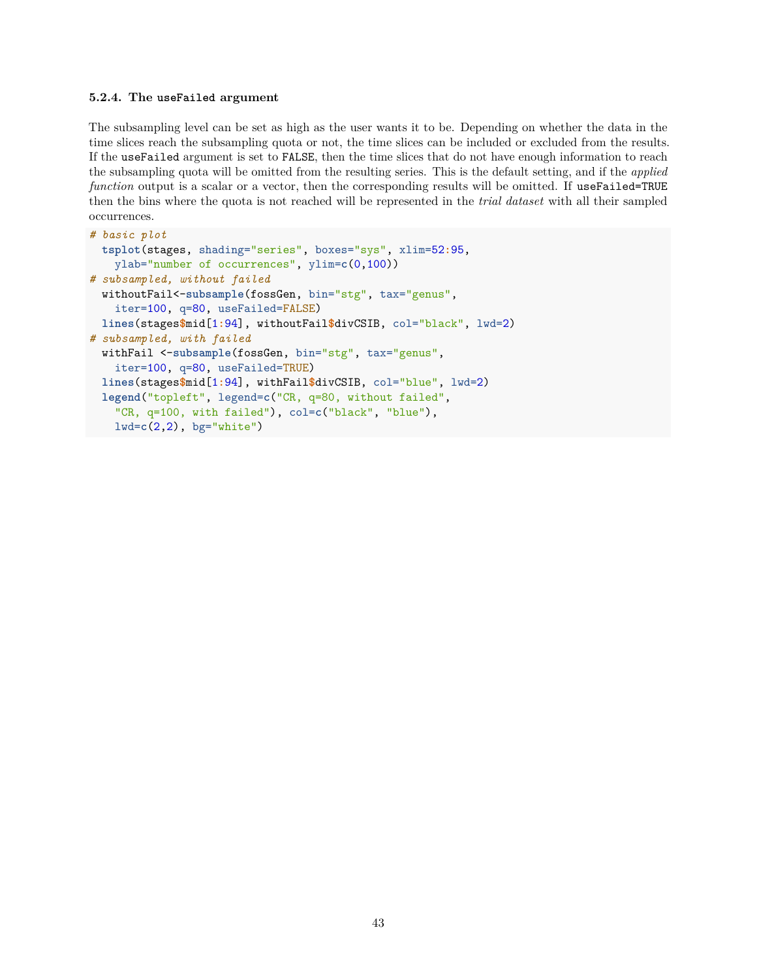#### **5.2.4. The useFailed argument**

The subsampling level can be set as high as the user wants it to be. Depending on whether the data in the time slices reach the subsampling quota or not, the time slices can be included or excluded from the results. If the useFailed argument is set to FALSE, then the time slices that do not have enough information to reach the subsampling quota will be omitted from the resulting series. This is the default setting, and if the *applied function* output is a scalar or a vector, then the corresponding results will be omitted. If useFailed=TRUE then the bins where the quota is not reached will be represented in the *trial dataset* with all their sampled occurrences.

```
# basic plot
 tsplot(stages, shading="series", boxes="sys", xlim=52:95,
   ylab="number of occurrences", ylim=c(0,100))
# subsampled, without failed
  withoutFail<-subsample(fossGen, bin="stg", tax="genus",
    iter=100, q=80, useFailed=FALSE)
 lines(stages$mid[1:94], withoutFail$divCSIB, col="black", lwd=2)
# subsampled, with failed
  withFail <-subsample(fossGen, bin="stg", tax="genus",
    iter=100, q=80, useFailed=TRUE)
  lines(stages$mid[1:94], withFail$divCSIB, col="blue", lwd=2)
  legend("topleft", legend=c("CR, q=80, without failed",
    "CR, q=100, with failed"), col=c("black", "blue"),
   lwd=c(2,2), bg="white")
```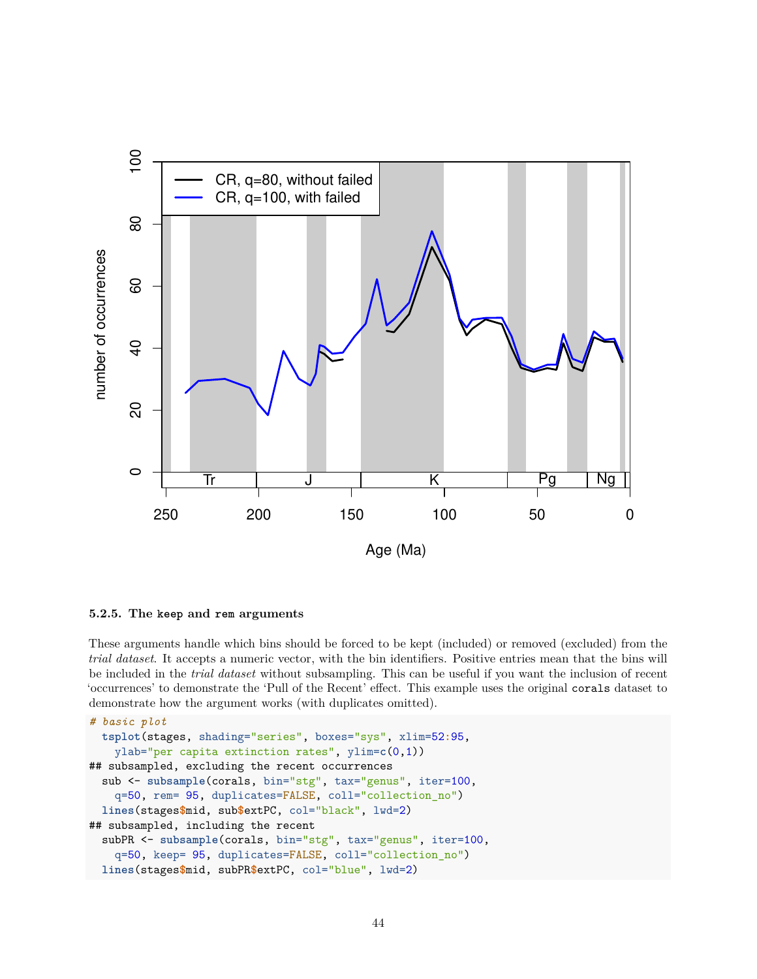

### **5.2.5. The keep and rem arguments**

These arguments handle which bins should be forced to be kept (included) or removed (excluded) from the *trial dataset*. It accepts a numeric vector, with the bin identifiers. Positive entries mean that the bins will be included in the *trial dataset* without subsampling. This can be useful if you want the inclusion of recent 'occurrences' to demonstrate the 'Pull of the Recent' effect. This example uses the original corals dataset to demonstrate how the argument works (with duplicates omitted).

```
# basic plot
  tsplot(stages, shading="series", boxes="sys", xlim=52:95,
   ylab="per capita extinction rates", ylim=c(0,1))
## subsampled, excluding the recent occurrences
  sub <- subsample(corals, bin="stg", tax="genus", iter=100,
    q=50, rem= 95, duplicates=FALSE, coll="collection_no")
  lines(stages$mid, sub$extPC, col="black", lwd=2)
## subsampled, including the recent
  subPR <- subsample(corals, bin="stg", tax="genus", iter=100,
    q=50, keep= 95, duplicates=FALSE, coll="collection_no")
  lines(stages$mid, subPR$extPC, col="blue", lwd=2)
```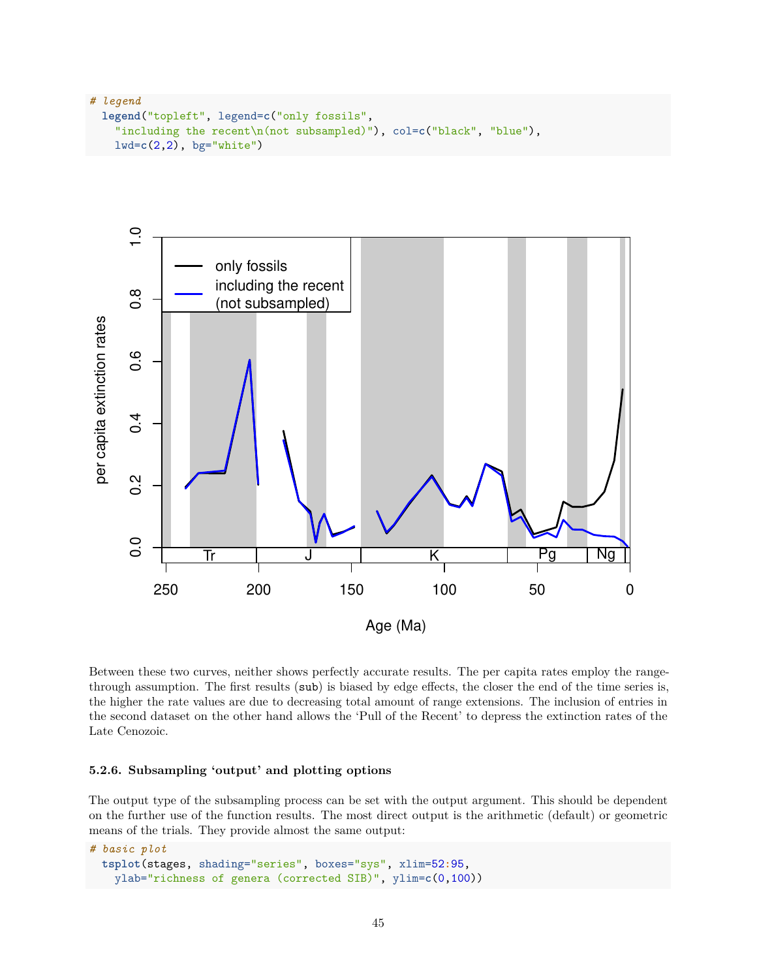```
# legend
 legend("topleft", legend=c("only fossils",
    "including the recent\n(not subsampled)"), col=c("black", "blue"),
   lwd=c(2,2), bg="white")
```


Between these two curves, neither shows perfectly accurate results. The per capita rates employ the rangethrough assumption. The first results (sub) is biased by edge effects, the closer the end of the time series is, the higher the rate values are due to decreasing total amount of range extensions. The inclusion of entries in the second dataset on the other hand allows the 'Pull of the Recent' to depress the extinction rates of the Late Cenozoic.

#### **5.2.6. Subsampling 'output' and plotting options**

The output type of the subsampling process can be set with the output argument. This should be dependent on the further use of the function results. The most direct output is the arithmetic (default) or geometric means of the trials. They provide almost the same output:

```
# basic plot
 tsplot(stages, shading="series", boxes="sys", xlim=52:95,
   ylab="richness of genera (corrected SIB)", ylim=c(0,100))
```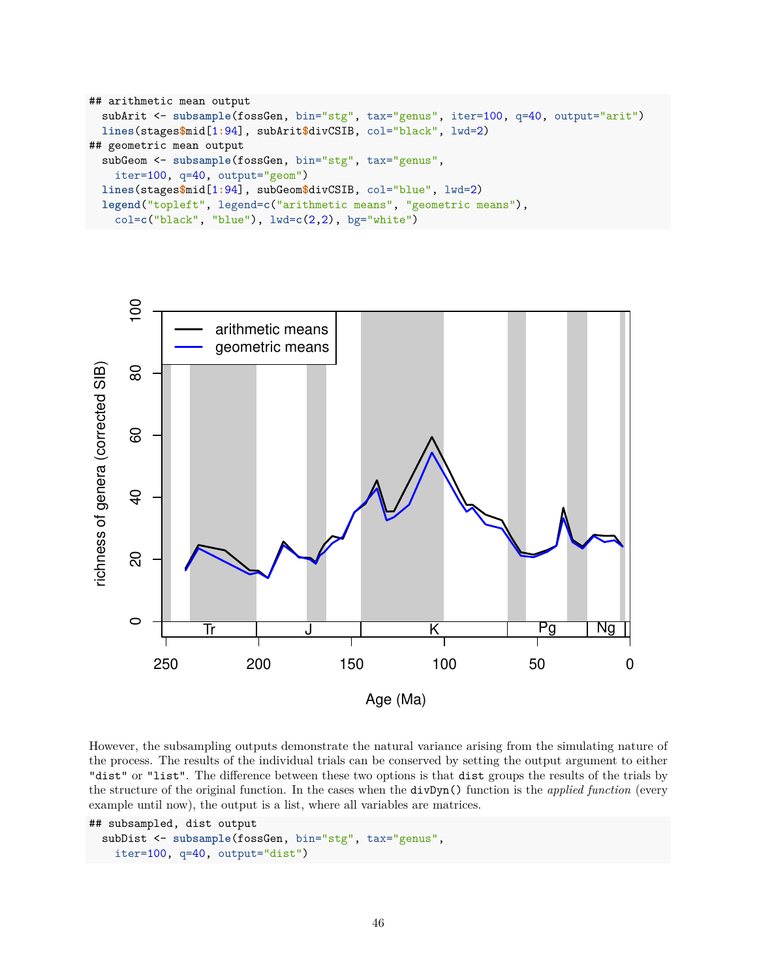```
## arithmetic mean output
  subArit <- subsample(fossGen, bin="stg", tax="genus", iter=100, q=40, output="arit")
  lines(stages$mid[1:94], subArit$divCSIB, col="black", lwd=2)
## geometric mean output
  subGeom <- subsample(fossGen, bin="stg", tax="genus",
    iter=100, q=40, output="geom")
  lines(stages$mid[1:94], subGeom$divCSIB, col="blue", lwd=2)
  legend("topleft", legend=c("arithmetic means", "geometric means"),
    col=c("black", "blue"), lwd=c(2,2), bg="white")
```


However, the subsampling outputs demonstrate the natural variance arising from the simulating nature of the process. The results of the individual trials can be conserved by setting the output argument to either "dist" or "list". The difference between these two options is that dist groups the results of the trials by the structure of the original function. In the cases when the divDyn() function is the *applied function* (every example until now), the output is a list, where all variables are matrices.

```
## subsampled, dist output
  subDist <- subsample(fossGen, bin="stg", tax="genus",
    iter=100, q=40, output="dist")
```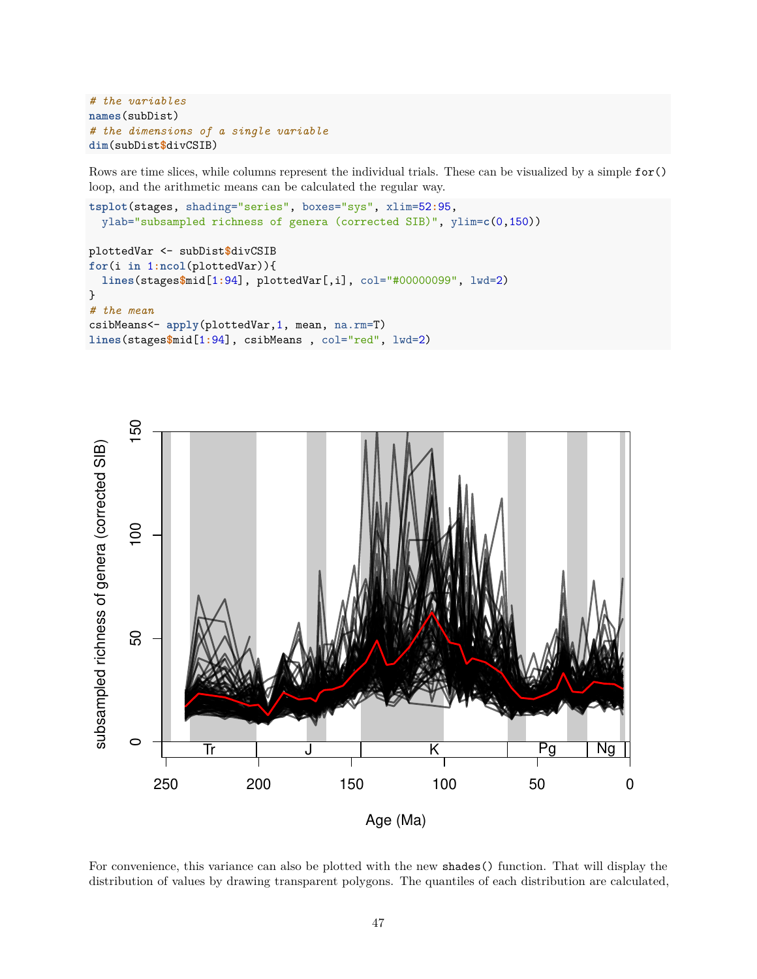```
# the variables
names(subDist)
# the dimensions of a single variable
dim(subDist$divCSIB)
```
Rows are time slices, while columns represent the individual trials. These can be visualized by a simple for() loop, and the arithmetic means can be calculated the regular way.

```
tsplot(stages, shading="series", boxes="sys", xlim=52:95,
 ylab="subsampled richness of genera (corrected SIB)", ylim=c(0,150))
```

```
plottedVar <- subDist$divCSIB
for(i in 1:ncol(plottedVar)){
  lines(stages$mid[1:94], plottedVar[,i], col="#00000099", lwd=2)
}
# the mean
csibMeans<- apply(plottedVar,1, mean, na.rm=T)
lines(stages$mid[1:94], csibMeans , col="red", lwd=2)
```


For convenience, this variance can also be plotted with the new shades() function. That will display the distribution of values by drawing transparent polygons. The quantiles of each distribution are calculated,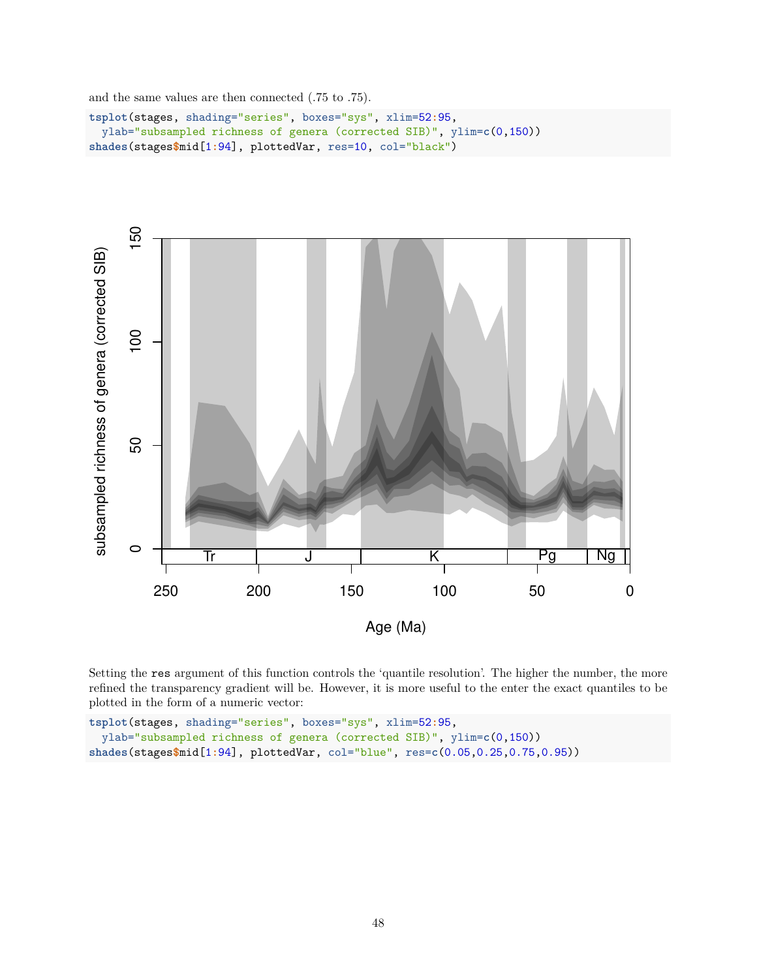and the same values are then connected (.75 to .75).

```
tsplot(stages, shading="series", boxes="sys", xlim=52:95,
 ylab="subsampled richness of genera (corrected SIB)", ylim=c(0,150))
shades(stages$mid[1:94], plottedVar, res=10, col="black")
```


Setting the res argument of this function controls the 'quantile resolution'. The higher the number, the more refined the transparency gradient will be. However, it is more useful to the enter the exact quantiles to be plotted in the form of a numeric vector:

```
tsplot(stages, shading="series", boxes="sys", xlim=52:95,
 ylab="subsampled richness of genera (corrected SIB)", ylim=c(0,150))
shades(stages$mid[1:94], plottedVar, col="blue", res=c(0.05,0.25,0.75,0.95))
```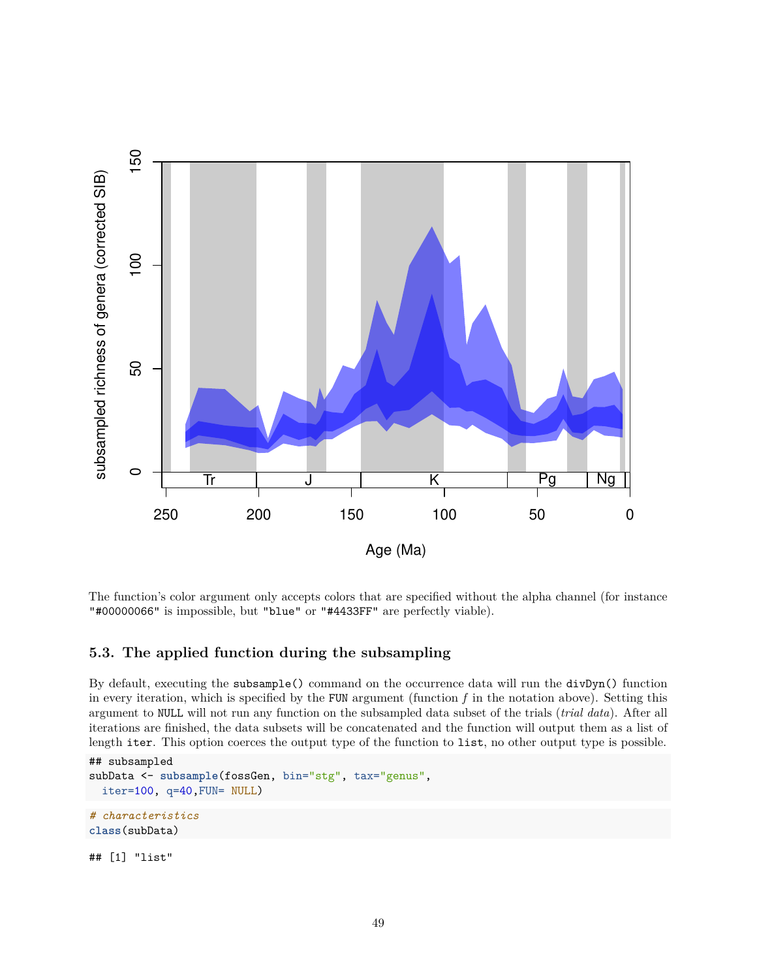

The function's color argument only accepts colors that are specified without the alpha channel (for instance "#00000066" is impossible, but "blue" or "#4433FF" are perfectly viable).

## **5.3. The applied function during the subsampling**

By default, executing the subsample() command on the occurrence data will run the divDyn() function in every iteration, which is specified by the FUN argument (function  $f$  in the notation above). Setting this argument to NULL will not run any function on the subsampled data subset of the trials (*trial data*). After all iterations are finished, the data subsets will be concatenated and the function will output them as a list of length iter. This option coerces the output type of the function to list, no other output type is possible.

```
## subsampled
subData <- subsample(fossGen, bin="stg", tax="genus",
  iter=100, q=40,FUN= NULL)
# characteristics
class(subData)
```
## [1] "list"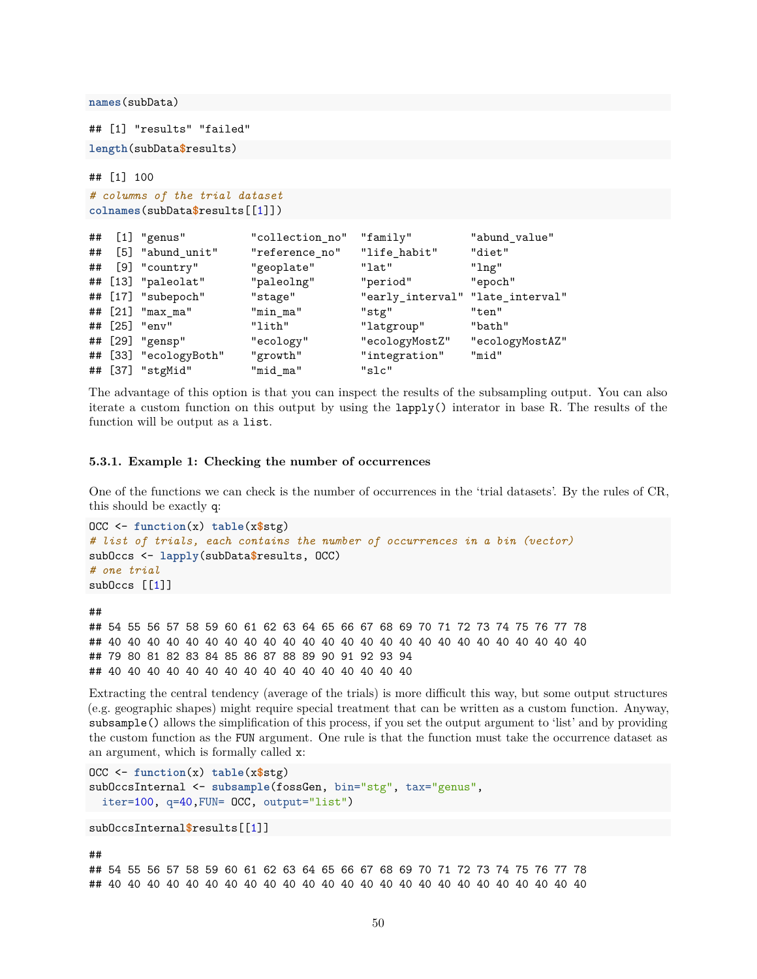**names**(subData)

## [1] "results" "failed" **length**(subData**\$**results)

```
## [1] 100
# columns of the trial dataset
colnames(subData$results[[1]])
```

| ## | $[1]$ "genus"         | "collection no" | "family"                         | "abund_value"   |
|----|-----------------------|-----------------|----------------------------------|-----------------|
| ## | [5] "abund_unit"      | "reference_no"  | "life_habit"                     | "diet"          |
| ## | [9] "country"         | "geoplate"      | "lat"                            | "lng"           |
|    | ## [13] "paleolat"    | "paleolng"      | "period"                         | "epoch"         |
|    | ## [17] "subepoch"    | "stage"         | "early_interval" "late_interval" |                 |
|    | ## [21] "max_ma"      | "min_ma"        | "stg"                            | "ten"           |
|    | ## [25] "env"         | "lith"          | "latgroup"                       | "bath"          |
|    | ## [29] "gensp"       | "ecology"       | "ecologyMostZ"                   | "ecologyMostAZ" |
|    | ## [33] "ecologyBoth" | "growth"        | "integration"                    | "mid"           |
|    | ## [37] "stgMid"      | "mid_ma"        | "slc"                            |                 |

The advantage of this option is that you can inspect the results of the subsampling output. You can also iterate a custom function on this output by using the lapply() interator in base R. The results of the function will be output as a list.

#### **5.3.1. Example 1: Checking the number of occurrences**

One of the functions we can check is the number of occurrences in the 'trial datasets'. By the rules of CR, this should be exactly q:

```
OCC <- function(x) table(x$stg)
# list of trials, each contains the number of occurrences in a bin (vector)
subOccs <- lapply(subData$results, OCC)
# one trial
subOccs [[1]]
```
## 54 55 56 57 58 59 60 61 62 63 64 65 66 67 68 69 70 71 72 73 74 75 76 77 78 ## 40 40 40 40 40 40 40 40 40 40 40 40 40 40 40 40 40 40 40 40 40 40 40 40 40 ## 79 80 81 82 83 84 85 86 87 88 89 90 91 92 93 94 ## 40 40 40 40 40 40 40 40 40 40 40 40 40 40 40 40

Extracting the central tendency (average of the trials) is more difficult this way, but some output structures (e.g. geographic shapes) might require special treatment that can be written as a custom function. Anyway, subsample() allows the simplification of this process, if you set the output argument to 'list' and by providing the custom function as the FUN argument. One rule is that the function must take the occurrence dataset as an argument, which is formally called x:

```
OCC <- function(x) table(x$stg)
subOccsInternal <- subsample(fossGen, bin="stg", tax="genus",
  iter=100, q=40,FUN= OCC, output="list")
```
#### subOccsInternal**\$**results[[1]]

##

##

## 54 55 56 57 58 59 60 61 62 63 64 65 66 67 68 69 70 71 72 73 74 75 76 77 78 ## 40 40 40 40 40 40 40 40 40 40 40 40 40 40 40 40 40 40 40 40 40 40 40 40 40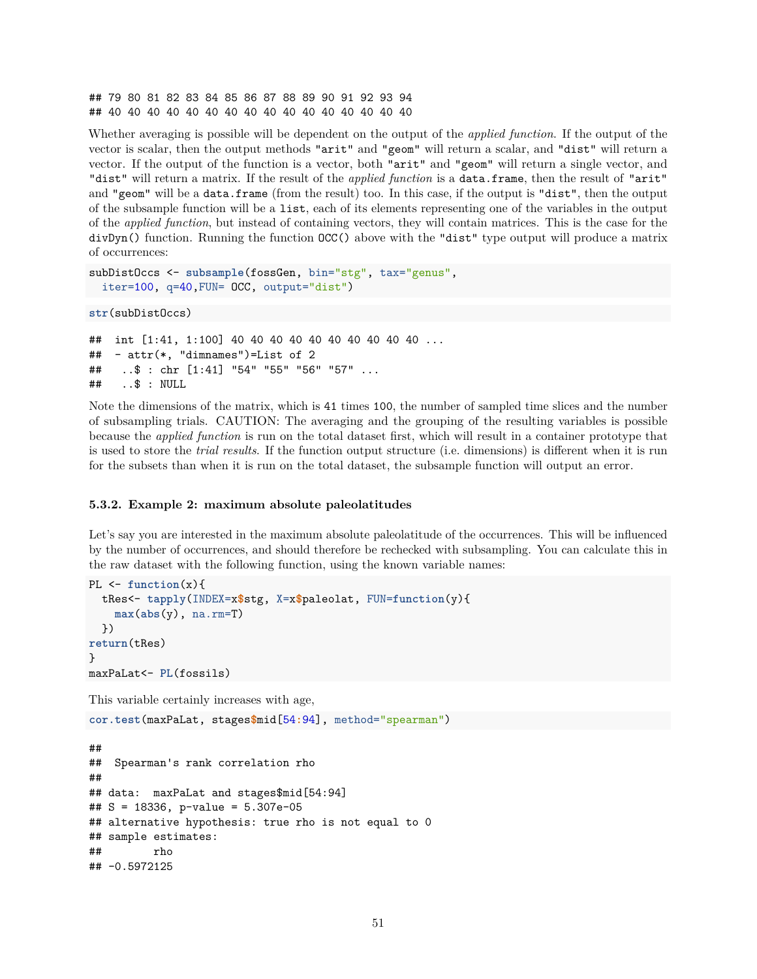## 79 80 81 82 83 84 85 86 87 88 89 90 91 92 93 94 ## 40 40 40 40 40 40 40 40 40 40 40 40 40 40 40 40

Whether averaging is possible will be dependent on the output of the *applied function*. If the output of the vector is scalar, then the output methods "arit" and "geom" will return a scalar, and "dist" will return a vector. If the output of the function is a vector, both "arit" and "geom" will return a single vector, and "dist" will return a matrix. If the result of the *applied function* is a data.frame, then the result of "arit" and "geom" will be a data.frame (from the result) too. In this case, if the output is "dist", then the output of the subsample function will be a list, each of its elements representing one of the variables in the output of the *applied function*, but instead of containing vectors, they will contain matrices. This is the case for the divDyn() function. Running the function OCC() above with the "dist" type output will produce a matrix of occurrences:

```
subDistOccs <- subsample(fossGen, bin="stg", tax="genus",
  iter=100, q=40,FUN= OCC, output="dist")
```

```
str(subDistOccs)
```

```
## int [1:41, 1:100] 40 40 40 40 40 40 40 40 40 40 ...
\# - attr(*, "dimnames")=List of 2
## ..$ : chr [1:41] "54" "55" "56" "57" ...
## ..$ : NULL
```
Note the dimensions of the matrix, which is 41 times 100, the number of sampled time slices and the number of subsampling trials. CAUTION: The averaging and the grouping of the resulting variables is possible because the *applied function* is run on the total dataset first, which will result in a container prototype that is used to store the *trial results*. If the function output structure (i.e. dimensions) is different when it is run for the subsets than when it is run on the total dataset, the subsample function will output an error.

#### **5.3.2. Example 2: maximum absolute paleolatitudes**

Let's say you are interested in the maximum absolute paleolatitude of the occurrences. This will be influenced by the number of occurrences, and should therefore be rechecked with subsampling. You can calculate this in the raw dataset with the following function, using the known variable names:

```
PL <- function(x){
  tRes<- tapply(INDEX=x$stg, X=x$paleolat, FUN=function(y){
    max(abs(y), na.rm=T)
  })
return(tRes)
}
maxPaLat<- PL(fossils)
```
This variable certainly increases with age,

**cor.test**(maxPaLat, stages**\$**mid[54**:**94], method="spearman")

```
##
## Spearman's rank correlation rho
##
## data: maxPaLat and stages$mid[54:94]
## S = 18336, p-value = 5.307e-05
## alternative hypothesis: true rho is not equal to 0
## sample estimates:
## rho
## -0.5972125
```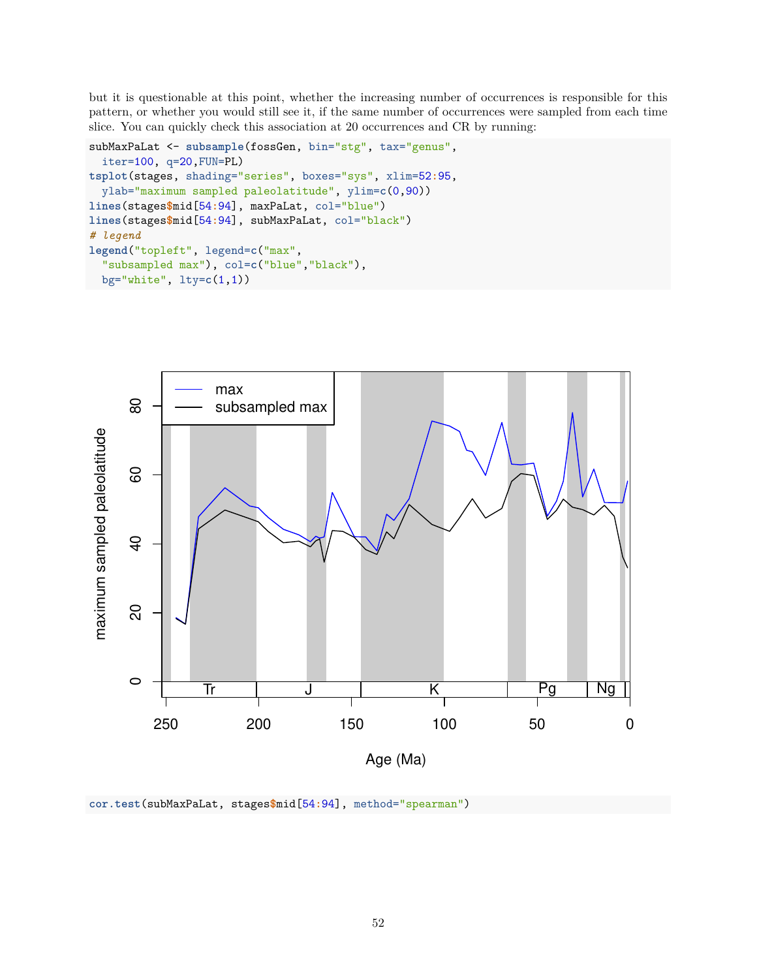but it is questionable at this point, whether the increasing number of occurrences is responsible for this pattern, or whether you would still see it, if the same number of occurrences were sampled from each time slice. You can quickly check this association at 20 occurrences and CR by running:

```
subMaxPaLat <- subsample(fossGen, bin="stg", tax="genus",
  iter=100, q=20,FUN=PL)
tsplot(stages, shading="series", boxes="sys", xlim=52:95,
  ylab="maximum sampled paleolatitude", ylim=c(0,90))
lines(stages$mid[54:94], maxPaLat, col="blue")
lines(stages$mid[54:94], subMaxPaLat, col="black")
# legend
legend("topleft", legend=c("max",
  "subsampled max"), col=c("blue","black"),
  bg="white", lty=c(1,1))
```


```
cor.test(subMaxPaLat, stages$mid[54:94], method="spearman")
```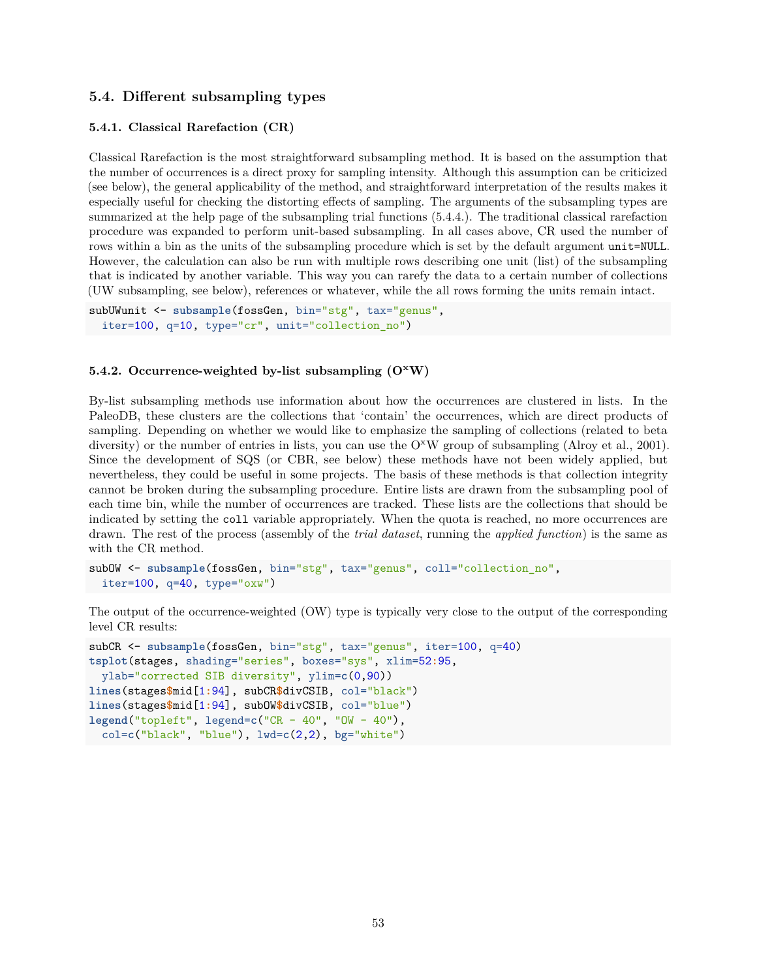## **5.4. Different subsampling types**

#### **5.4.1. Classical Rarefaction (CR)**

Classical Rarefaction is the most straightforward subsampling method. It is based on the assumption that the number of occurrences is a direct proxy for sampling intensity. Although this assumption can be criticized (see below), the general applicability of the method, and straightforward interpretation of the results makes it especially useful for checking the distorting effects of sampling. The arguments of the subsampling types are summarized at the help page of the subsampling trial functions (5.4.4.). The traditional classical rarefaction procedure was expanded to perform unit-based subsampling. In all cases above, CR used the number of rows within a bin as the units of the subsampling procedure which is set by the default argument unit=NULL. However, the calculation can also be run with multiple rows describing one unit (list) of the subsampling that is indicated by another variable. This way you can rarefy the data to a certain number of collections (UW subsampling, see below), references or whatever, while the all rows forming the units remain intact.

```
subUWunit <- subsample(fossGen, bin="stg", tax="genus",
  iter=100, q=10, type="cr", unit="collection_no")
```
#### **5.4.2. Occurrence-weighted by-list subsampling (O<sup>x</sup>W)**

By-list subsampling methods use information about how the occurrences are clustered in lists. In the PaleoDB, these clusters are the collections that 'contain' the occurrences, which are direct products of sampling. Depending on whether we would like to emphasize the sampling of collections (related to beta diversity) or the number of entries in lists, you can use the  $O^{\times}W$  group of subsampling (Alroy et al., 2001). Since the development of SQS (or CBR, see below) these methods have not been widely applied, but nevertheless, they could be useful in some projects. The basis of these methods is that collection integrity cannot be broken during the subsampling procedure. Entire lists are drawn from the subsampling pool of each time bin, while the number of occurrences are tracked. These lists are the collections that should be indicated by setting the coll variable appropriately. When the quota is reached, no more occurrences are drawn. The rest of the process (assembly of the *trial dataset*, running the *applied function*) is the same as with the CR method.

```
subOW <- subsample(fossGen, bin="stg", tax="genus", coll="collection_no",
  iter=100, q=40, type="oxw")
```
The output of the occurrence-weighted (OW) type is typically very close to the output of the corresponding level CR results:

```
subCR <- subsample(fossGen, bin="stg", tax="genus", iter=100, q=40)
tsplot(stages, shading="series", boxes="sys", xlim=52:95,
  ylab="corrected SIB diversity", ylim=c(0,90))
lines(stages$mid[1:94], subCR$divCSIB, col="black")
lines(stages$mid[1:94], subOW$divCSIB, col="blue")
legend("topleft", legend=c("CR - 40", "OW - 40"),
  col=c("black", "blue"), lwd=c(2,2), bg="white")
```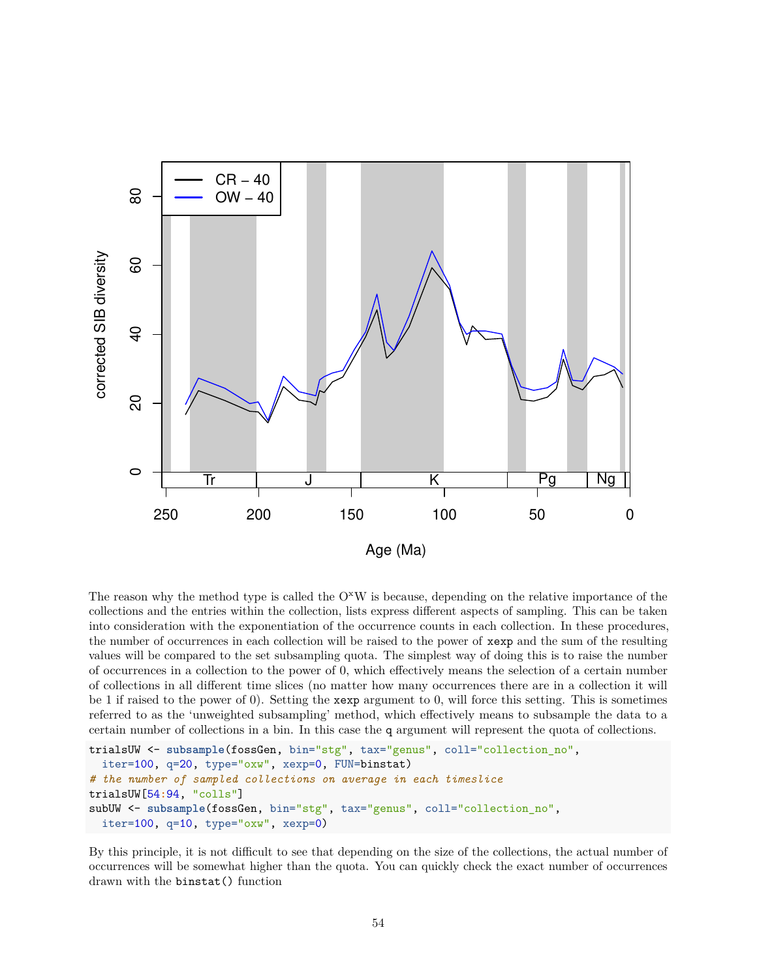

The reason why the method type is called the  $O^{\times}W$  is because, depending on the relative importance of the collections and the entries within the collection, lists express different aspects of sampling. This can be taken into consideration with the exponentiation of the occurrence counts in each collection. In these procedures, the number of occurrences in each collection will be raised to the power of xexp and the sum of the resulting values will be compared to the set subsampling quota. The simplest way of doing this is to raise the number of occurrences in a collection to the power of 0, which effectively means the selection of a certain number of collections in all different time slices (no matter how many occurrences there are in a collection it will be 1 if raised to the power of 0). Setting the xexp argument to 0, will force this setting. This is sometimes referred to as the 'unweighted subsampling' method, which effectively means to subsample the data to a certain number of collections in a bin. In this case the q argument will represent the quota of collections.

```
trialsUW <- subsample(fossGen, bin="stg", tax="genus", coll="collection_no",
  iter=100, q=20, type="oxw", xexp=0, FUN=binstat)
# the number of sampled collections on average in each timeslice
trialsUW[54:94, "colls"]
subUW <- subsample(fossGen, bin="stg", tax="genus", coll="collection_no",
  iter=100, q=10, type="oxw", xexp=0)
```
By this principle, it is not difficult to see that depending on the size of the collections, the actual number of occurrences will be somewhat higher than the quota. You can quickly check the exact number of occurrences drawn with the binstat() function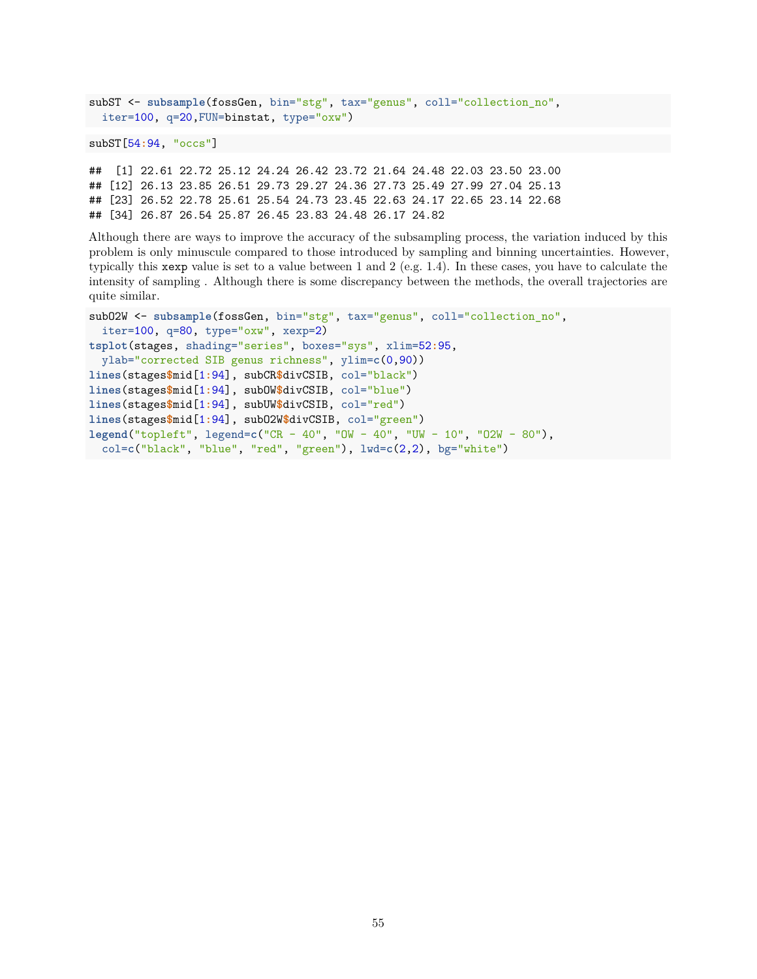```
subST <- subsample(fossGen, bin="stg", tax="genus", coll="collection_no",
  iter=100, q=20,FUN=binstat, type="oxw")
```

```
subST[54:94, "occs"]
```
## [1] 22.61 22.72 25.12 24.24 26.42 23.72 21.64 24.48 22.03 23.50 23.00 ## [12] 26.13 23.85 26.51 29.73 29.27 24.36 27.73 25.49 27.99 27.04 25.13 ## [23] 26.52 22.78 25.61 25.54 24.73 23.45 22.63 24.17 22.65 23.14 22.68 ## [34] 26.87 26.54 25.87 26.45 23.83 24.48 26.17 24.82

Although there are ways to improve the accuracy of the subsampling process, the variation induced by this problem is only minuscule compared to those introduced by sampling and binning uncertainties. However, typically this xexp value is set to a value between 1 and 2 (e.g. 1.4). In these cases, you have to calculate the intensity of sampling . Although there is some discrepancy between the methods, the overall trajectories are quite similar.

```
subO2W <- subsample(fossGen, bin="stg", tax="genus", coll="collection no",
  iter=100, q=80, type="oxw", xexp=2)
tsplot(stages, shading="series", boxes="sys", xlim=52:95,
 ylab="corrected SIB genus richness", ylim=c(0,90))
lines(stages$mid[1:94], subCR$divCSIB, col="black")
lines(stages$mid[1:94], subOW$divCSIB, col="blue")
lines(stages$mid[1:94], subUW$divCSIB, col="red")
lines(stages$mid[1:94], subO2W$divCSIB, col="green")
legend("topleft", legend=c("CR - 40", "OW - 40", "UW - 10", "O2W - 80"),
  col=c("black", "blue", "red", "green"), lwd=c(2,2), bg="white")
```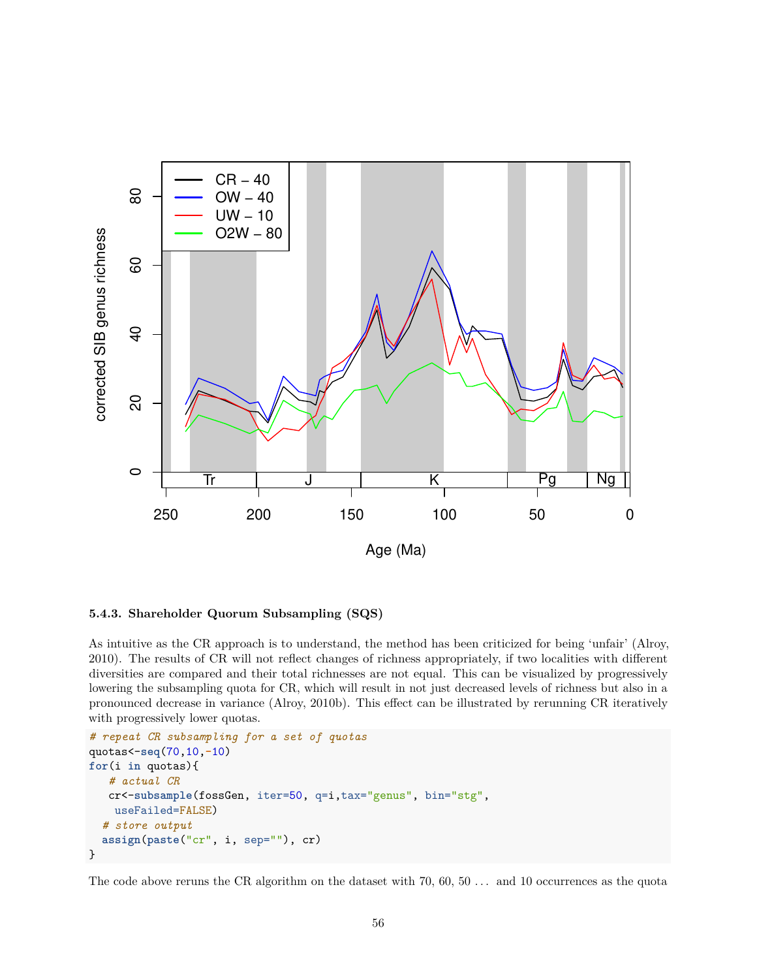

### **5.4.3. Shareholder Quorum Subsampling (SQS)**

As intuitive as the CR approach is to understand, the method has been criticized for being 'unfair' (Alroy, 2010). The results of CR will not reflect changes of richness appropriately, if two localities with different diversities are compared and their total richnesses are not equal. This can be visualized by progressively lowering the subsampling quota for CR, which will result in not just decreased levels of richness but also in a pronounced decrease in variance (Alroy, 2010b). This effect can be illustrated by rerunning CR iteratively with progressively lower quotas.

```
# repeat CR subsampling for a set of quotas
quotas<-seq(70,10,-10)
for(i in quotas){
   # actual CR
   cr<-subsample(fossGen, iter=50, q=i,tax="genus", bin="stg",
   useFailed=FALSE)
  # store output
  assign(paste("cr", i, sep=""), cr)
}
```
The code above reruns the CR algorithm on the dataset with 70, 60, 50 . . . and 10 occurrences as the quota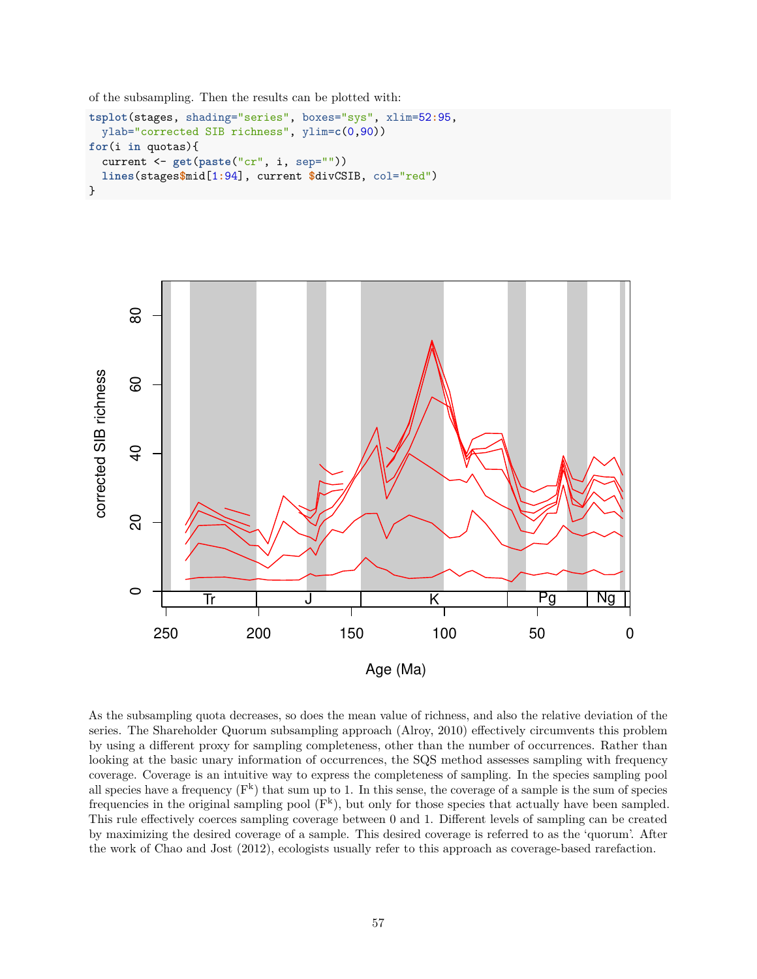of the subsampling. Then the results can be plotted with:

```
tsplot(stages, shading="series", boxes="sys", xlim=52:95,
  ylab="corrected SIB richness", ylim=c(0,90))
for(i in quotas){
  current <- get(paste("cr", i, sep=""))
  lines(stages$mid[1:94], current $divCSIB, col="red")
}
```


As the subsampling quota decreases, so does the mean value of richness, and also the relative deviation of the series. The Shareholder Quorum subsampling approach (Alroy, 2010) effectively circumvents this problem by using a different proxy for sampling completeness, other than the number of occurrences. Rather than looking at the basic unary information of occurrences, the SQS method assesses sampling with frequency coverage. Coverage is an intuitive way to express the completeness of sampling. In the species sampling pool all species have a frequency  $(F^k)$  that sum up to 1. In this sense, the coverage of a sample is the sum of species frequencies in the original sampling pool  $(F^k)$ , but only for those species that actually have been sampled. This rule effectively coerces sampling coverage between 0 and 1. Different levels of sampling can be created by maximizing the desired coverage of a sample. This desired coverage is referred to as the 'quorum'. After the work of Chao and Jost (2012), ecologists usually refer to this approach as coverage-based rarefaction.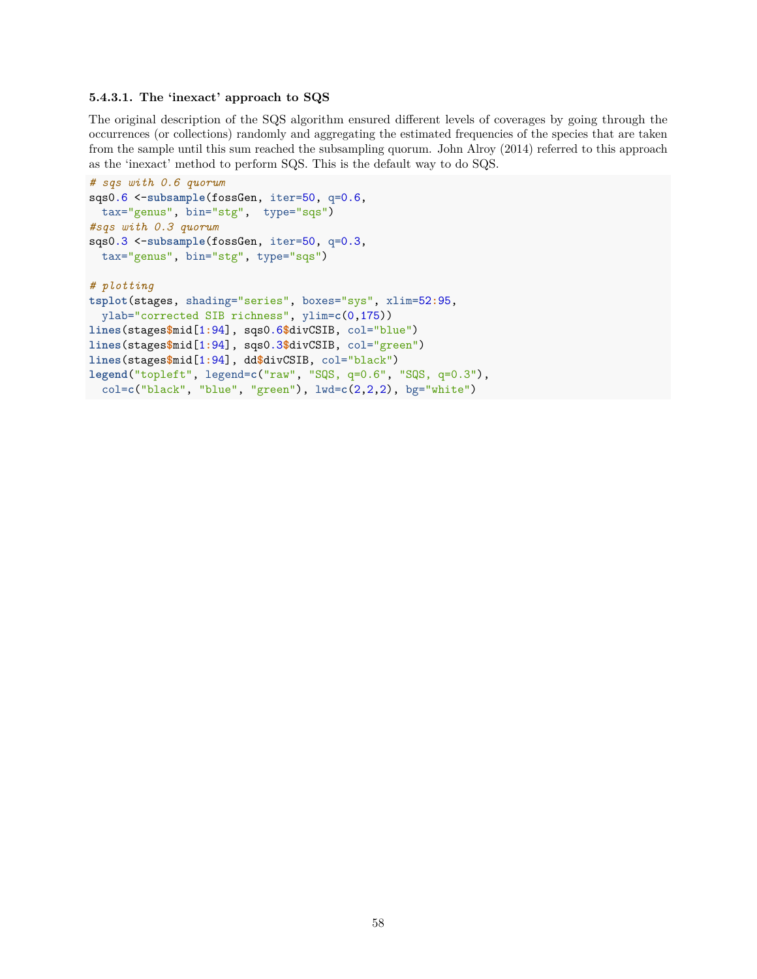#### **5.4.3.1. The 'inexact' approach to SQS**

The original description of the SQS algorithm ensured different levels of coverages by going through the occurrences (or collections) randomly and aggregating the estimated frequencies of the species that are taken from the sample until this sum reached the subsampling quorum. John Alroy (2014) referred to this approach as the 'inexact' method to perform SQS. This is the default way to do SQS.

```
# sqs with 0.6 quorum
sqs0.6 <-subsample(fossGen, iter=50, q=0.6,
 tax="genus", bin="stg", type="sqs")
#sqs with 0.3 quorum
sqs0.3 <-subsample(fossGen, iter=50, q=0.3,
 tax="genus", bin="stg", type="sqs")
# plotting
tsplot(stages, shading="series", boxes="sys", xlim=52:95,
  ylab="corrected SIB richness", ylim=c(0,175))
lines(stages$mid[1:94], sqs0.6$divCSIB, col="blue")
lines(stages$mid[1:94], sqs0.3$divCSIB, col="green")
lines(stages$mid[1:94], dd$divCSIB, col="black")
legend("topleft", legend=c("raw", "SQS, q=0.6", "SQS, q=0.3"),
 col=c("black", "blue", "green"), lwd=c(2,2,2), bg="white")
```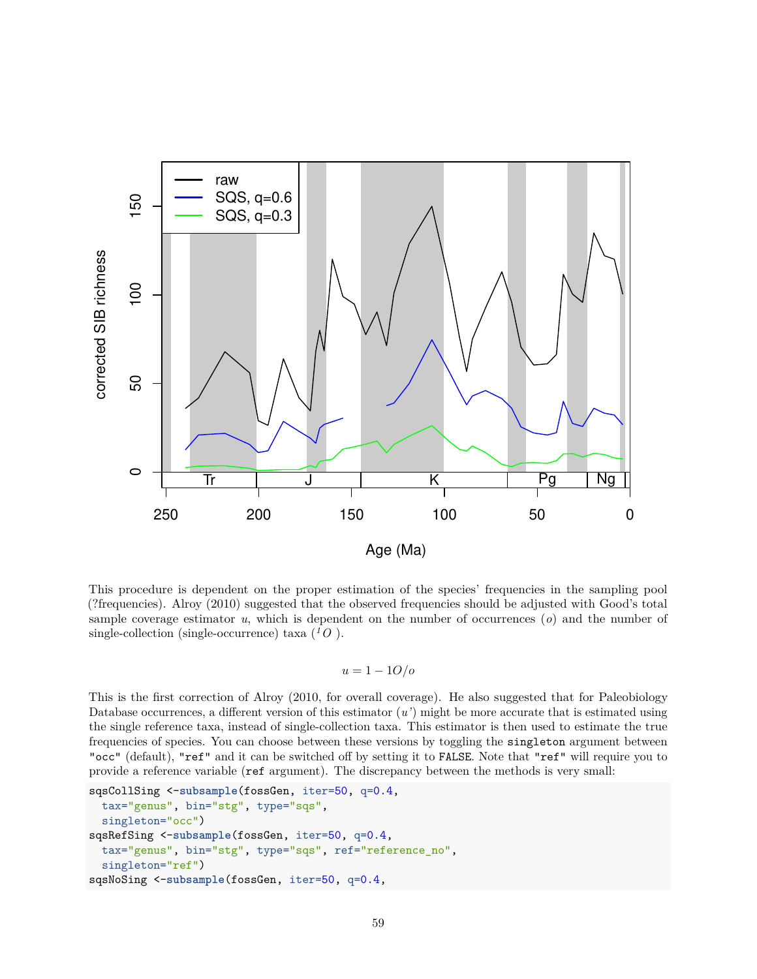

This procedure is dependent on the proper estimation of the species' frequencies in the sampling pool (?frequencies). Alroy (2010) suggested that the observed frequencies should be adjusted with Good's total sample coverage estimator *u*, which is dependent on the number of occurrences (*o*) and the number of single-collection (single-occurrence) taxa  $(^1O)$ .

$$
u = 1 - 10/o
$$

This is the first correction of Alroy (2010, for overall coverage). He also suggested that for Paleobiology Database occurrences, a different version of this estimator (*u'*) might be more accurate that is estimated using the single reference taxa, instead of single-collection taxa. This estimator is then used to estimate the true frequencies of species. You can choose between these versions by toggling the singleton argument between "occ" (default), "ref" and it can be switched off by setting it to FALSE. Note that "ref" will require you to provide a reference variable (ref argument). The discrepancy between the methods is very small:

```
sqsCollSing <-subsample(fossGen, iter=50, q=0.4,
  tax="genus", bin="stg", type="sqs",
  singleton="occ")
sqsRefSing <-subsample(fossGen, iter=50, q=0.4,
  tax="genus", bin="stg", type="sqs", ref="reference_no",
  singleton="ref")
sqsNoSing <-subsample(fossGen, iter=50, q=0.4,
```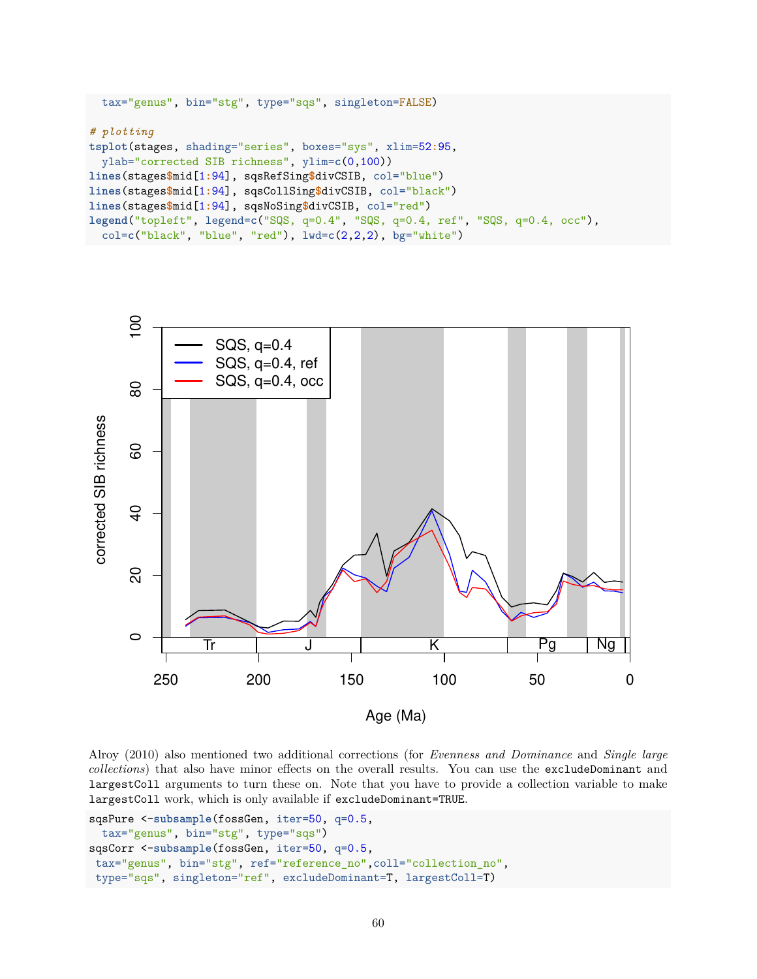```
tax="genus", bin="stg", type="sqs", singleton=FALSE)
# plotting
tsplot(stages, shading="series", boxes="sys", xlim=52:95,
 ylab="corrected SIB richness", ylim=c(0,100))
lines(stages$mid[1:94], sqsRefSing$divCSIB, col="blue")
lines(stages$mid[1:94], sqsCollSing$divCSIB, col="black")
lines(stages$mid[1:94], sqsNoSing$divCSIB, col="red")
legend("topleft", legend=c("SQS, q=0.4", "SQS, q=0.4, ref", "SQS, q=0.4, occ"),
  col=c("black", "blue", "red"), lwd=c(2,2,2), bg="white")
```


Alroy (2010) also mentioned two additional corrections (for *Evenness and Dominance* and *Single large collections*) that also have minor effects on the overall results. You can use the excludeDominant and largestColl arguments to turn these on. Note that you have to provide a collection variable to make largestColl work, which is only available if excludeDominant=TRUE.

```
sqsPure <-subsample(fossGen, iter=50, q=0.5,
 tax="genus", bin="stg", type="sqs")
sqsCorr <-subsample(fossGen, iter=50, q=0.5,
tax="genus", bin="stg", ref="reference_no",coll="collection_no",
type="sqs", singleton="ref", excludeDominant=T, largestColl=T)
```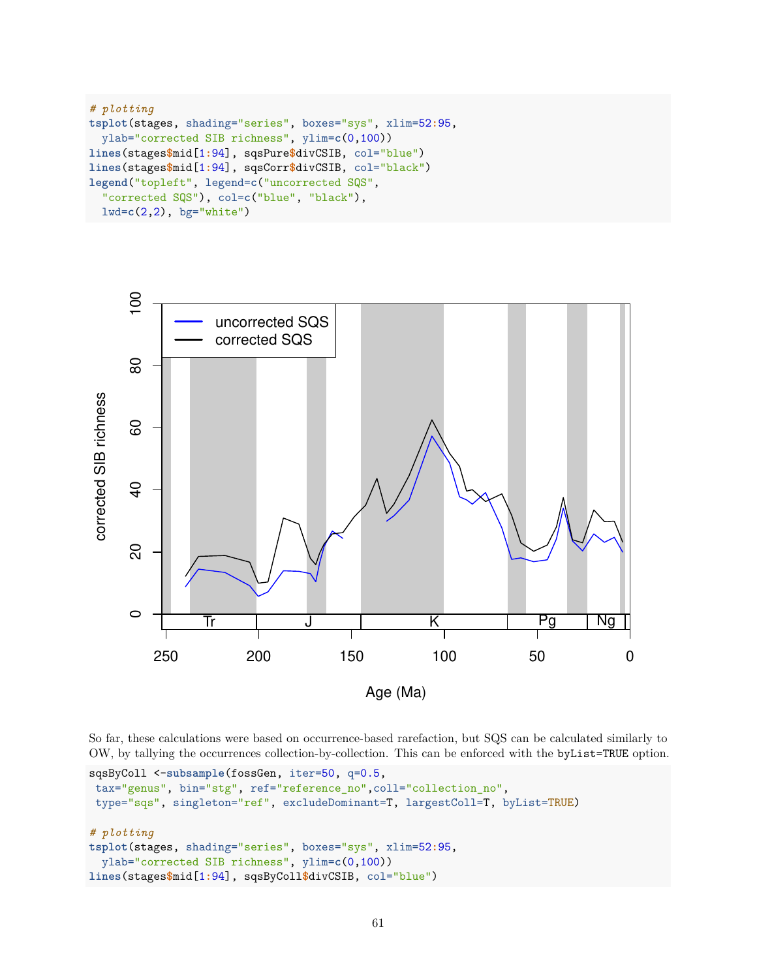```
# plotting
tsplot(stages, shading="series", boxes="sys", xlim=52:95,
  ylab="corrected SIB richness", ylim=c(0,100))
lines(stages$mid[1:94], sqsPure$divCSIB, col="blue")
lines(stages$mid[1:94], sqsCorr$divCSIB, col="black")
legend("topleft", legend=c("uncorrected SQS",
  "corrected SQS"), col=c("blue", "black"),
  lwd=c(2,2), bg="white")
```


So far, these calculations were based on occurrence-based rarefaction, but SQS can be calculated similarly to OW, by tallying the occurrences collection-by-collection. This can be enforced with the byList=TRUE option.

```
sqsByColl <-subsample(fossGen, iter=50, q=0.5,
tax="genus", bin="stg", ref="reference_no",coll="collection_no",
type="sqs", singleton="ref", excludeDominant=T, largestColl=T, byList=TRUE)
# plotting
tsplot(stages, shading="series", boxes="sys", xlim=52:95,
 ylab="corrected SIB richness", ylim=c(0,100))
lines(stages$mid[1:94], sqsByColl$divCSIB, col="blue")
```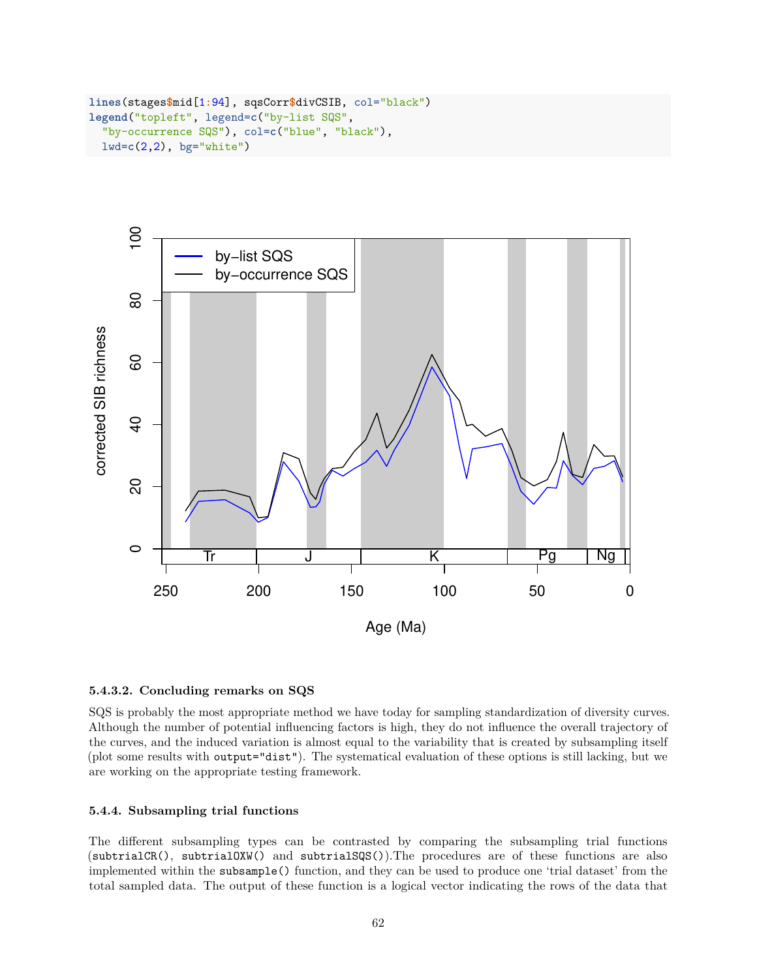```
lines(stages$mid[1:94], sqsCorr$divCSIB, col="black")
legend("topleft", legend=c("by-list SQS",
  "by-occurrence SQS"), col=c("blue", "black"),
  lwd=c(2,2), bg="white")
```


#### **5.4.3.2. Concluding remarks on SQS**

SQS is probably the most appropriate method we have today for sampling standardization of diversity curves. Although the number of potential influencing factors is high, they do not influence the overall trajectory of the curves, and the induced variation is almost equal to the variability that is created by subsampling itself (plot some results with output="dist"). The systematical evaluation of these options is still lacking, but we are working on the appropriate testing framework.

#### **5.4.4. Subsampling trial functions**

The different subsampling types can be contrasted by comparing the subsampling trial functions (subtrialCR(), subtrialOXW() and subtrialSQS()).The procedures are of these functions are also implemented within the subsample() function, and they can be used to produce one 'trial dataset' from the total sampled data. The output of these function is a logical vector indicating the rows of the data that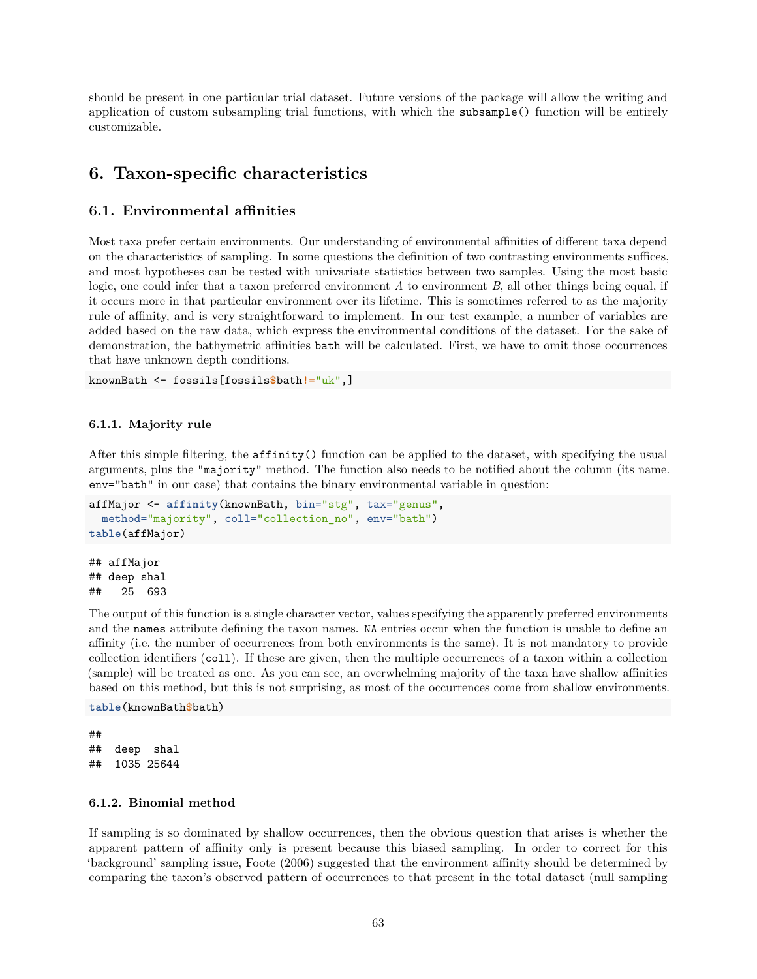should be present in one particular trial dataset. Future versions of the package will allow the writing and application of custom subsampling trial functions, with which the subsample() function will be entirely customizable.

## **6. Taxon-specific characteristics**

### **6.1. Environmental affinities**

Most taxa prefer certain environments. Our understanding of environmental affinities of different taxa depend on the characteristics of sampling. In some questions the definition of two contrasting environments suffices, and most hypotheses can be tested with univariate statistics between two samples. Using the most basic logic, one could infer that a taxon preferred environment *A* to environment *B*, all other things being equal, if it occurs more in that particular environment over its lifetime. This is sometimes referred to as the majority rule of affinity, and is very straightforward to implement. In our test example, a number of variables are added based on the raw data, which express the environmental conditions of the dataset. For the sake of demonstration, the bathymetric affinities bath will be calculated. First, we have to omit those occurrences that have unknown depth conditions.

knownBath <- fossils[fossils**\$**bath**!=**"uk",]

#### **6.1.1. Majority rule**

After this simple filtering, the affinity() function can be applied to the dataset, with specifying the usual arguments, plus the "majority" method. The function also needs to be notified about the column (its name. env="bath" in our case) that contains the binary environmental variable in question:

```
affMajor <- affinity(knownBath, bin="stg", tax="genus",
  method="majority", coll="collection no", env="bath")
table(affMajor)
```
## affMajor ## deep shal ## 25 693

The output of this function is a single character vector, values specifying the apparently preferred environments and the names attribute defining the taxon names. NA entries occur when the function is unable to define an affinity (i.e. the number of occurrences from both environments is the same). It is not mandatory to provide collection identifiers (coll). If these are given, then the multiple occurrences of a taxon within a collection (sample) will be treated as one. As you can see, an overwhelming majority of the taxa have shallow affinities based on this method, but this is not surprising, as most of the occurrences come from shallow environments.

#### **table**(knownBath**\$**bath)

## ## deep shal ## 1035 25644

## **6.1.2. Binomial method**

If sampling is so dominated by shallow occurrences, then the obvious question that arises is whether the apparent pattern of affinity only is present because this biased sampling. In order to correct for this 'background' sampling issue, Foote (2006) suggested that the environment affinity should be determined by comparing the taxon's observed pattern of occurrences to that present in the total dataset (null sampling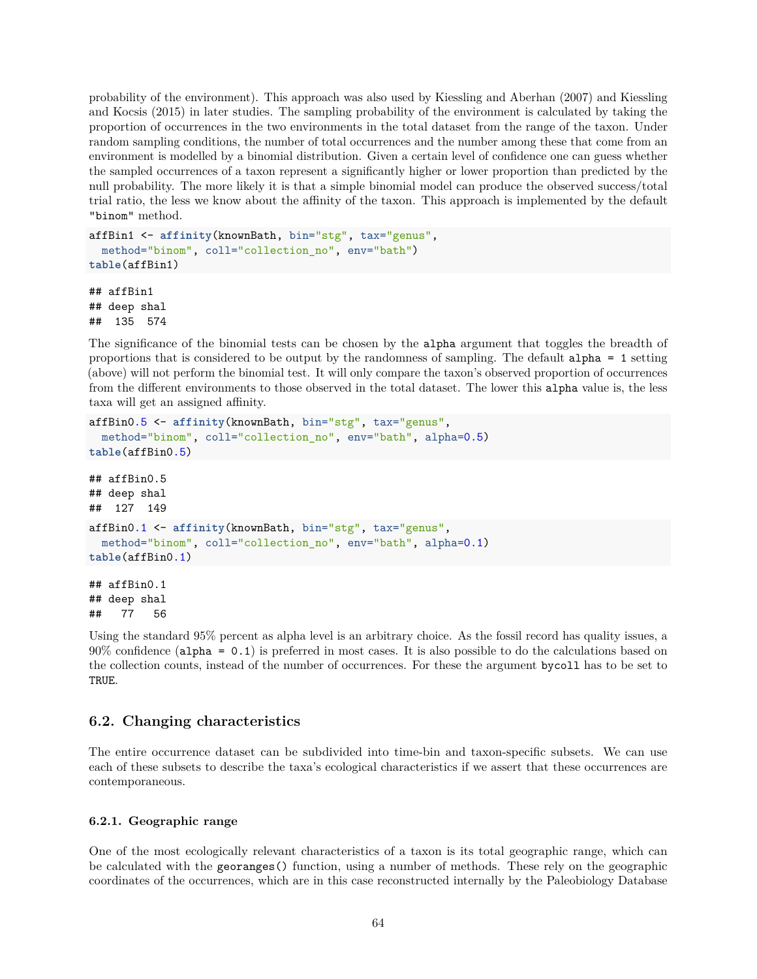probability of the environment). This approach was also used by Kiessling and Aberhan (2007) and Kiessling and Kocsis (2015) in later studies. The sampling probability of the environment is calculated by taking the proportion of occurrences in the two environments in the total dataset from the range of the taxon. Under random sampling conditions, the number of total occurrences and the number among these that come from an environment is modelled by a binomial distribution. Given a certain level of confidence one can guess whether the sampled occurrences of a taxon represent a significantly higher or lower proportion than predicted by the null probability. The more likely it is that a simple binomial model can produce the observed success/total trial ratio, the less we know about the affinity of the taxon. This approach is implemented by the default "binom" method.

```
affBin1 <- affinity(knownBath, bin="stg", tax="genus",
  method="binom", coll="collection_no", env="bath")
table(affBin1)
```
## affBin1 ## deep shal ## 135 574

The significance of the binomial tests can be chosen by the alpha argument that toggles the breadth of proportions that is considered to be output by the randomness of sampling. The default alpha = 1 setting (above) will not perform the binomial test. It will only compare the taxon's observed proportion of occurrences from the different environments to those observed in the total dataset. The lower this alpha value is, the less taxa will get an assigned affinity.

```
affBin0.5 <- affinity(knownBath, bin="stg", tax="genus",
  method="binom", coll="collection_no", env="bath", alpha=0.5)
table(affBin0.5)
## affBin0.5
## deep shal
## 127 149
affBin0.1 <- affinity(knownBath, bin="stg", tax="genus",
  method="binom", coll="collection_no", env="bath", alpha=0.1)
table(affBin0.1)
## affBin0.1
## deep shal
```
## 77 56

Using the standard 95% percent as alpha level is an arbitrary choice. As the fossil record has quality issues, a 90% confidence (alpha = 0.1) is preferred in most cases. It is also possible to do the calculations based on the collection counts, instead of the number of occurrences. For these the argument bycoll has to be set to TRUE.

## **6.2. Changing characteristics**

The entire occurrence dataset can be subdivided into time-bin and taxon-specific subsets. We can use each of these subsets to describe the taxa's ecological characteristics if we assert that these occurrences are contemporaneous.

## **6.2.1. Geographic range**

One of the most ecologically relevant characteristics of a taxon is its total geographic range, which can be calculated with the georanges() function, using a number of methods. These rely on the geographic coordinates of the occurrences, which are in this case reconstructed internally by the Paleobiology Database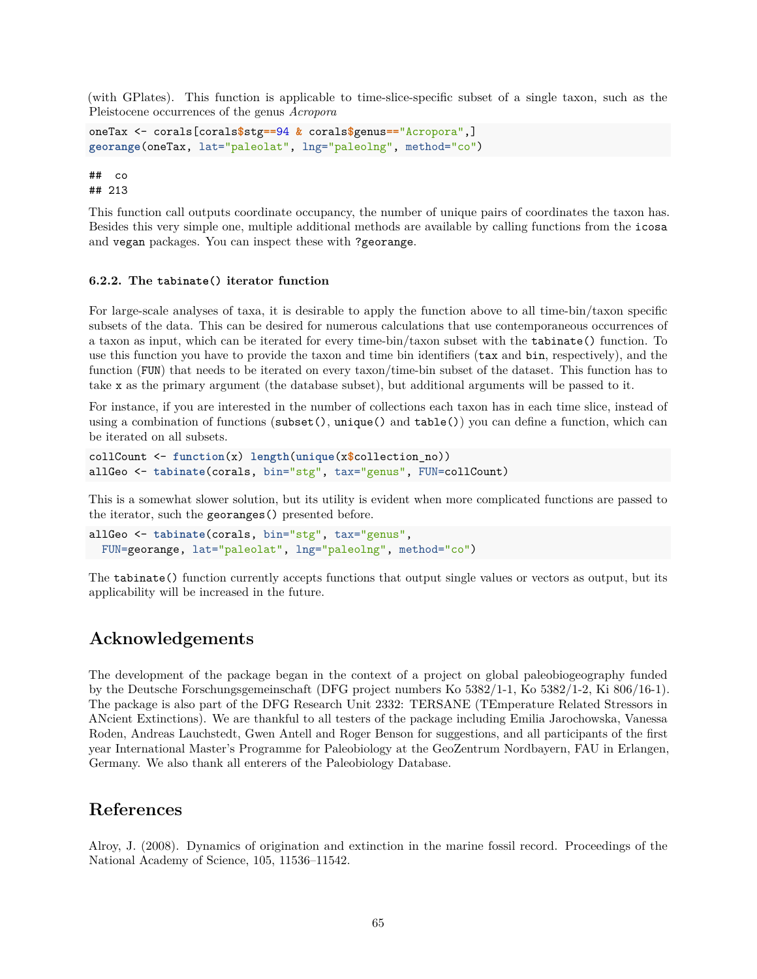(with GPlates). This function is applicable to time-slice-specific subset of a single taxon, such as the Pleistocene occurrences of the genus *Acropora*

```
oneTax <- corals[corals$stg==94 & corals$genus=="Acropora",]
georange(oneTax, lat="paleolat", lng="paleolng", method="co")
```
## co ## 213

This function call outputs coordinate occupancy, the number of unique pairs of coordinates the taxon has. Besides this very simple one, multiple additional methods are available by calling functions from the icosa and vegan packages. You can inspect these with ?georange.

#### **6.2.2. The tabinate() iterator function**

For large-scale analyses of taxa, it is desirable to apply the function above to all time-bin/taxon specific subsets of the data. This can be desired for numerous calculations that use contemporaneous occurrences of a taxon as input, which can be iterated for every time-bin/taxon subset with the tabinate() function. To use this function you have to provide the taxon and time bin identifiers (tax and bin, respectively), and the function (FUN) that needs to be iterated on every taxon/time-bin subset of the dataset. This function has to take x as the primary argument (the database subset), but additional arguments will be passed to it.

For instance, if you are interested in the number of collections each taxon has in each time slice, instead of using a combination of functions (subset(), unique() and table()) you can define a function, which can be iterated on all subsets.

```
collCount <- function(x) length(unique(x$collection_no))
allGeo <- tabinate(corals, bin="stg", tax="genus", FUN=collCount)
```
This is a somewhat slower solution, but its utility is evident when more complicated functions are passed to the iterator, such the georanges() presented before.

```
allGeo <- tabinate(corals, bin="stg", tax="genus",
  FUN=georange, lat="paleolat", lng="paleolng", method="co")
```
The tabinate() function currently accepts functions that output single values or vectors as output, but its applicability will be increased in the future.

## **Acknowledgements**

The development of the package began in the context of a project on global paleobiogeography funded by the Deutsche Forschungsgemeinschaft (DFG project numbers Ko 5382/1-1, Ko 5382/1-2, Ki 806/16-1). The package is also part of the DFG Research Unit 2332: TERSANE (TEmperature Related Stressors in ANcient Extinctions). We are thankful to all testers of the package including Emilia Jarochowska, Vanessa Roden, Andreas Lauchstedt, Gwen Antell and Roger Benson for suggestions, and all participants of the first year International Master's Programme for Paleobiology at the GeoZentrum Nordbayern, FAU in Erlangen, Germany. We also thank all enterers of the Paleobiology Database.

## **References**

Alroy, J. (2008). Dynamics of origination and extinction in the marine fossil record. Proceedings of the National Academy of Science, 105, 11536–11542.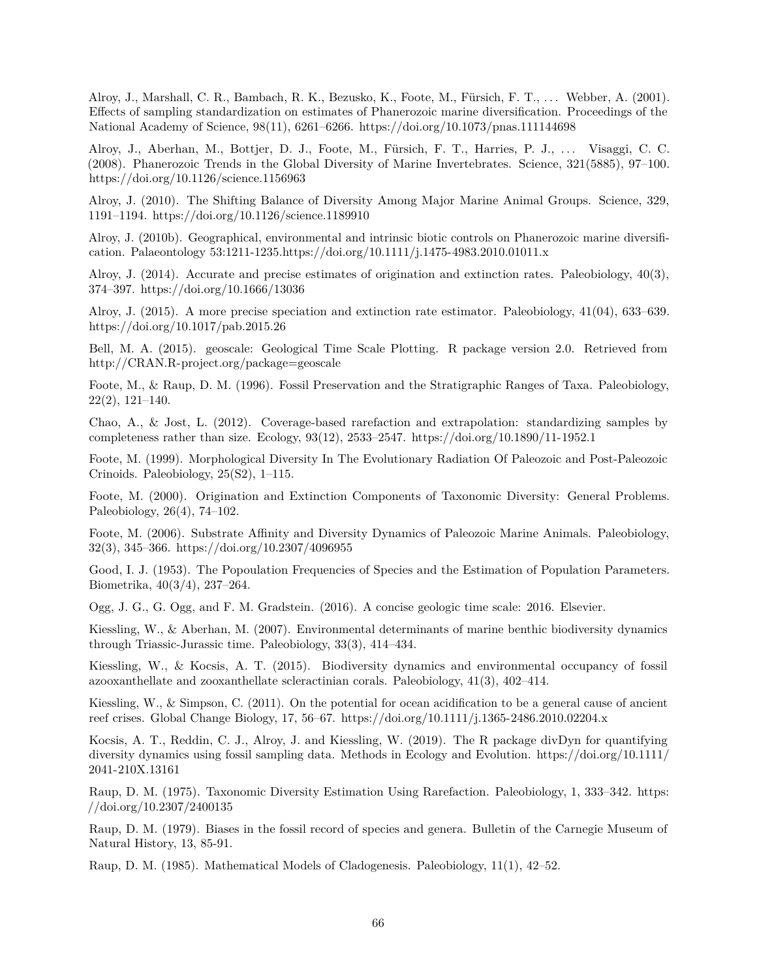Alroy, J., Marshall, C. R., Bambach, R. K., Bezusko, K., Foote, M., Fürsich, F. T., . . . Webber, A. (2001). Effects of sampling standardization on estimates of Phanerozoic marine diversification. Proceedings of the National Academy of Science, 98(11), 6261–6266. https://doi.org/10.1073/pnas.111144698

Alroy, J., Aberhan, M., Bottjer, D. J., Foote, M., Fürsich, F. T., Harries, P. J., . . . Visaggi, C. C. (2008). Phanerozoic Trends in the Global Diversity of Marine Invertebrates. Science, 321(5885), 97–100. https://doi.org/10.1126/science.1156963

Alroy, J. (2010). The Shifting Balance of Diversity Among Major Marine Animal Groups. Science, 329, 1191–1194. https://doi.org/10.1126/science.1189910

Alroy, J. (2010b). Geographical, environmental and intrinsic biotic controls on Phanerozoic marine diversification. Palaeontology 53:1211-1235.https://doi.org/10.1111/j.1475-4983.2010.01011.x

Alroy, J. (2014). Accurate and precise estimates of origination and extinction rates. Paleobiology, 40(3), 374–397. https://doi.org/10.1666/13036

Alroy, J. (2015). A more precise speciation and extinction rate estimator. Paleobiology, 41(04), 633–639. https://doi.org/10.1017/pab.2015.26

Bell, M. A. (2015). geoscale: Geological Time Scale Plotting. R package version 2.0. Retrieved from http://CRAN.R-project.org/package=geoscale

Foote, M., & Raup, D. M. (1996). Fossil Preservation and the Stratigraphic Ranges of Taxa. Paleobiology, 22(2), 121–140.

Chao, A., & Jost, L. (2012). Coverage-based rarefaction and extrapolation: standardizing samples by completeness rather than size. Ecology, 93(12), 2533–2547. https://doi.org/10.1890/11-1952.1

Foote, M. (1999). Morphological Diversity In The Evolutionary Radiation Of Paleozoic and Post-Paleozoic Crinoids. Paleobiology, 25(S2), 1–115.

Foote, M. (2000). Origination and Extinction Components of Taxonomic Diversity: General Problems. Paleobiology, 26(4), 74–102.

Foote, M. (2006). Substrate Affinity and Diversity Dynamics of Paleozoic Marine Animals. Paleobiology, 32(3), 345–366. https://doi.org/10.2307/4096955

Good, I. J. (1953). The Popoulation Frequencies of Species and the Estimation of Population Parameters. Biometrika, 40(3/4), 237–264.

Ogg, J. G., G. Ogg, and F. M. Gradstein. (2016). A concise geologic time scale: 2016. Elsevier.

Kiessling, W., & Aberhan, M. (2007). Environmental determinants of marine benthic biodiversity dynamics through Triassic-Jurassic time. Paleobiology, 33(3), 414–434.

Kiessling, W., & Kocsis, A. T. (2015). Biodiversity dynamics and environmental occupancy of fossil azooxanthellate and zooxanthellate scleractinian corals. Paleobiology, 41(3), 402–414.

Kiessling, W., & Simpson, C. (2011). On the potential for ocean acidification to be a general cause of ancient reef crises. Global Change Biology, 17, 56–67. https://doi.org/10.1111/j.1365-2486.2010.02204.x

Kocsis, A. T., Reddin, C. J., Alroy, J. and Kiessling, W. (2019). The R package divDyn for quantifying diversity dynamics using fossil sampling data. Methods in Ecology and Evolution. https://doi.org/10.1111/ 2041-210X.13161

Raup, D. M. (1975). Taxonomic Diversity Estimation Using Rarefaction. Paleobiology, 1, 333–342. https: //doi.org/10.2307/2400135

Raup, D. M. (1979). Biases in the fossil record of species and genera. Bulletin of the Carnegie Museum of Natural History, 13, 85-91.

Raup, D. M. (1985). Mathematical Models of Cladogenesis. Paleobiology, 11(1), 42–52.